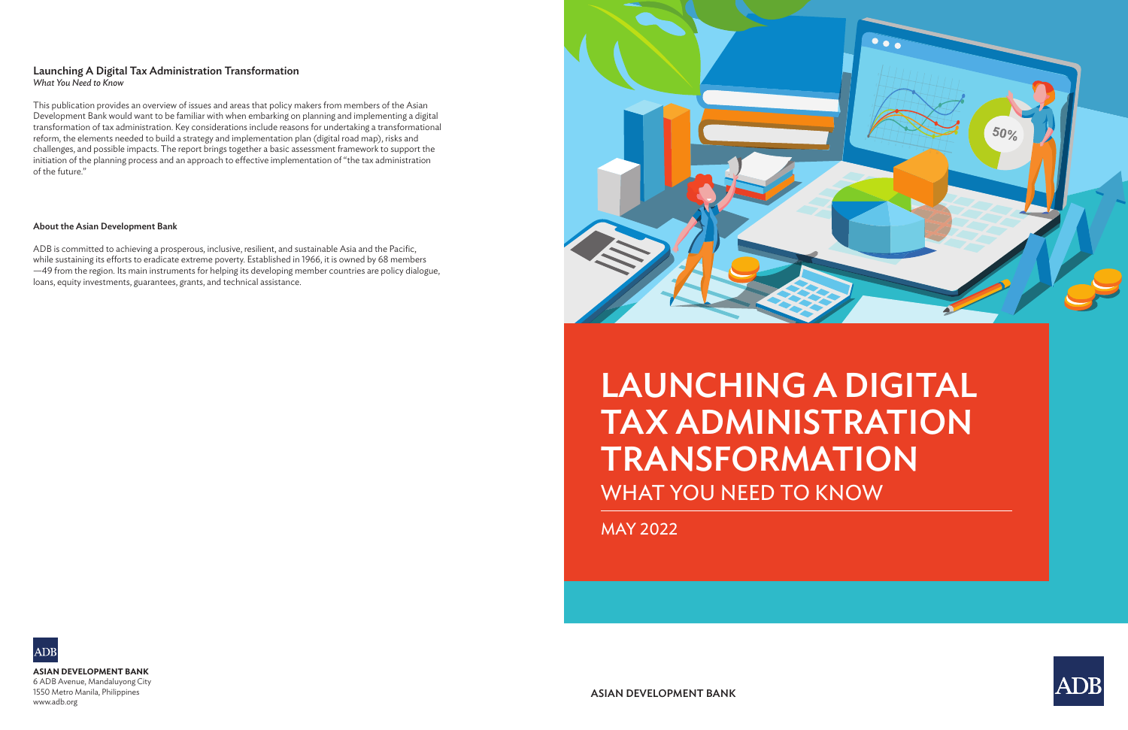

# LAUNCHING A DIGITAL TAX ADMINISTRATION TRANSFORMATION WHAT YOU NEED TO KNOW

MAY 2022



ASIAN DEVELOPMENT BANK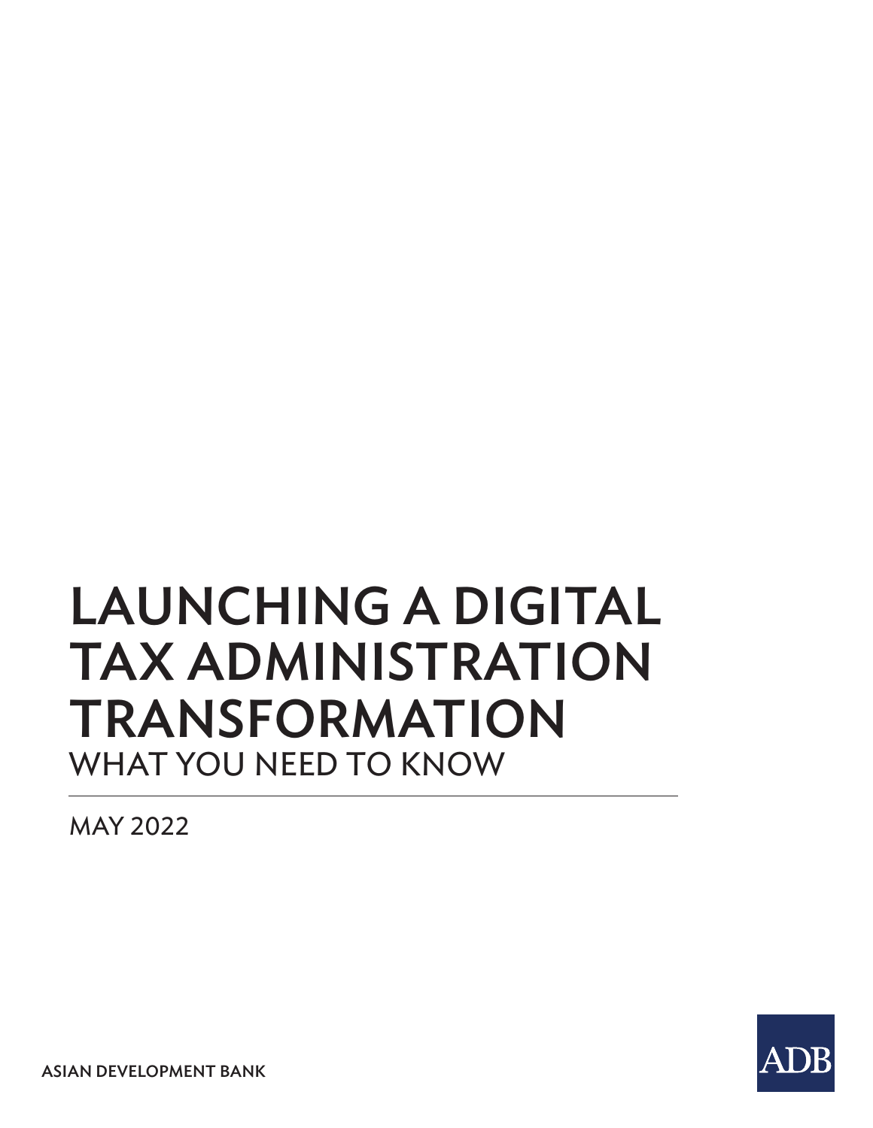# LAUNCHING A DIGITAL TAX ADMINISTRATION TRANSFORMATION WHAT YOU NEED TO KNOW

MAY 2022



ASIAN DEVELOPMENT BANK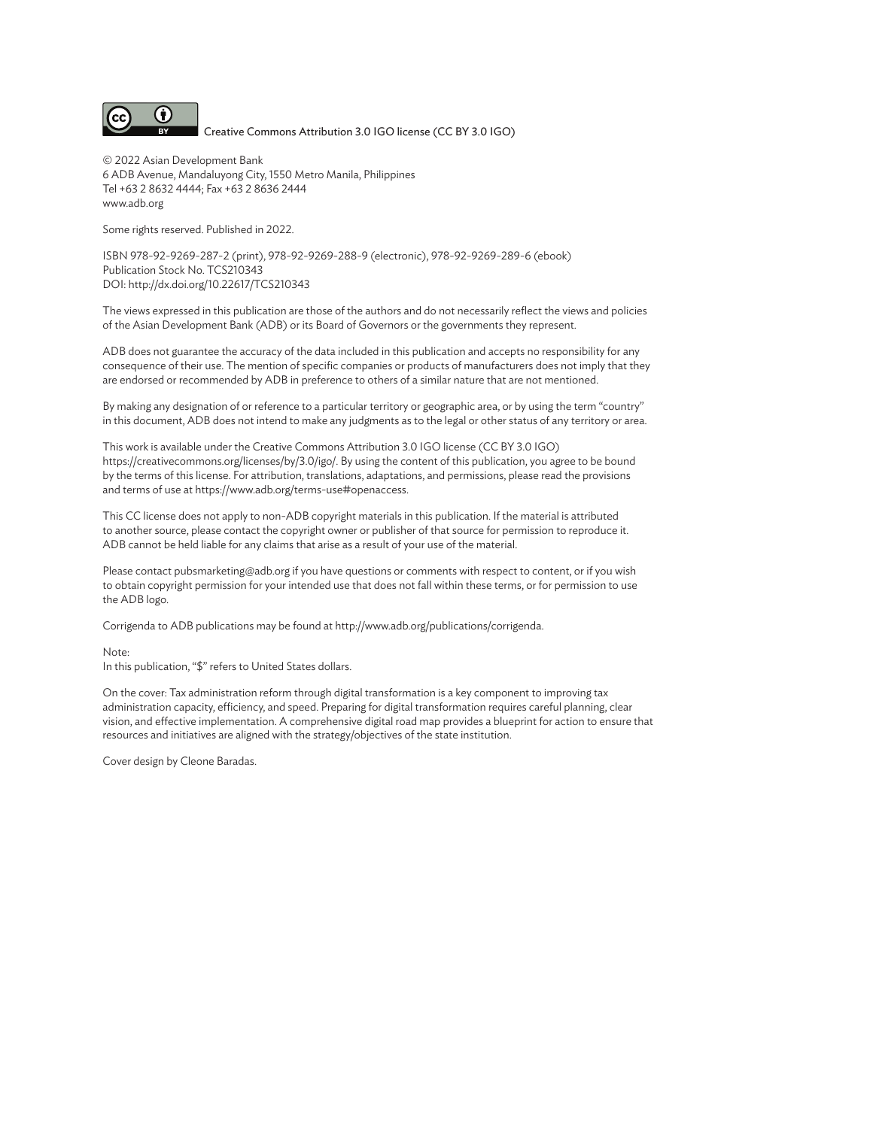

Creative Commons Attribution 3.0 IGO license (CC BY 3.0 IGO)

© 2022 Asian Development Bank 6 ADB Avenue, Mandaluyong City, 1550 Metro Manila, Philippines Tel +63 2 8632 4444; Fax +63 2 8636 2444 www.adb.org

Some rights reserved. Published in 2022.

ISBN 978-92-9269-287-2 (print), 978-92-9269-288-9 (electronic), 978-92-9269-289-6 (ebook) Publication Stock No. TCS210343 DOI: http://dx.doi.org/10.22617/TCS210343

The views expressed in this publication are those of the authors and do not necessarily reflect the views and policies of the Asian Development Bank (ADB) or its Board of Governors or the governments they represent.

ADB does not guarantee the accuracy of the data included in this publication and accepts no responsibility for any consequence of their use. The mention of specific companies or products of manufacturers does not imply that they are endorsed or recommended by ADB in preference to others of a similar nature that are not mentioned.

By making any designation of or reference to a particular territory or geographic area, or by using the term "country" in this document, ADB does not intend to make any judgments as to the legal or other status of any territory or area.

This work is available under the Creative Commons Attribution 3.0 IGO license (CC BY 3.0 IGO) https://creativecommons.org/licenses/by/3.0/igo/. By using the content of this publication, you agree to be bound by the terms of this license. For attribution, translations, adaptations, and permissions, please read the provisions and terms of use at https://www.adb.org/terms-use#openaccess.

This CC license does not apply to non-ADB copyright materials in this publication. If the material is attributed to another source, please contact the copyright owner or publisher of that source for permission to reproduce it. ADB cannot be held liable for any claims that arise as a result of your use of the material.

Please contact pubsmarketing@adb.org if you have questions or comments with respect to content, or if you wish to obtain copyright permission for your intended use that does not fall within these terms, or for permission to use the ADB logo.

Corrigenda to ADB publications may be found at http://www.adb.org/publications/corrigenda.

Note:

In this publication, "\$" refers to United States dollars.

On the cover: Tax administration reform through digital transformation is a key component to improving tax administration capacity, efficiency, and speed. Preparing for digital transformation requires careful planning, clear vision, and effective implementation. A comprehensive digital road map provides a blueprint for action to ensure that resources and initiatives are aligned with the strategy/objectives of the state institution.

Cover design by Cleone Baradas.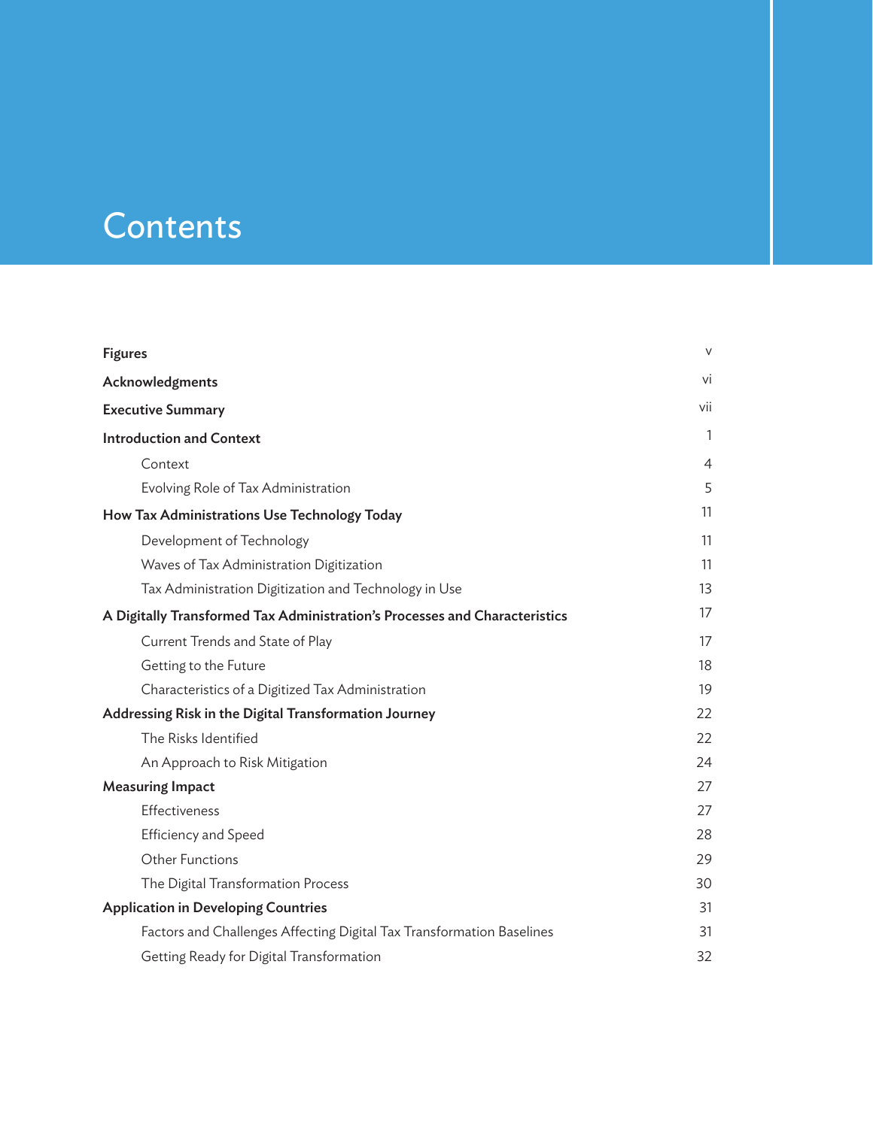## **Contents**

| <b>Figures</b>                                                             | $\vee$         |
|----------------------------------------------------------------------------|----------------|
| Acknowledgments                                                            | vi             |
| <b>Executive Summary</b>                                                   | vii            |
| <b>Introduction and Context</b>                                            | 1              |
| Context                                                                    | $\overline{4}$ |
| Evolving Role of Tax Administration                                        | 5              |
| How Tax Administrations Use Technology Today                               | 11             |
| Development of Technology                                                  | 11             |
| Waves of Tax Administration Digitization                                   | 11             |
| Tax Administration Digitization and Technology in Use                      | 13             |
| A Digitally Transformed Tax Administration's Processes and Characteristics | 17             |
| Current Trends and State of Play                                           | 17             |
| Getting to the Future                                                      | 18             |
| Characteristics of a Digitized Tax Administration                          | 19             |
| Addressing Risk in the Digital Transformation Journey                      | 22             |
| The Risks Identified                                                       | 22             |
| An Approach to Risk Mitigation                                             | 24             |
| <b>Measuring Impact</b>                                                    | 27             |
| Effectiveness                                                              | 27             |
| <b>Efficiency and Speed</b>                                                | 28             |
| Other Functions                                                            | 29             |
| The Digital Transformation Process                                         | 30             |
| <b>Application in Developing Countries</b>                                 | 31             |
| Factors and Challenges Affecting Digital Tax Transformation Baselines      | 31             |
| Getting Ready for Digital Transformation                                   | 32             |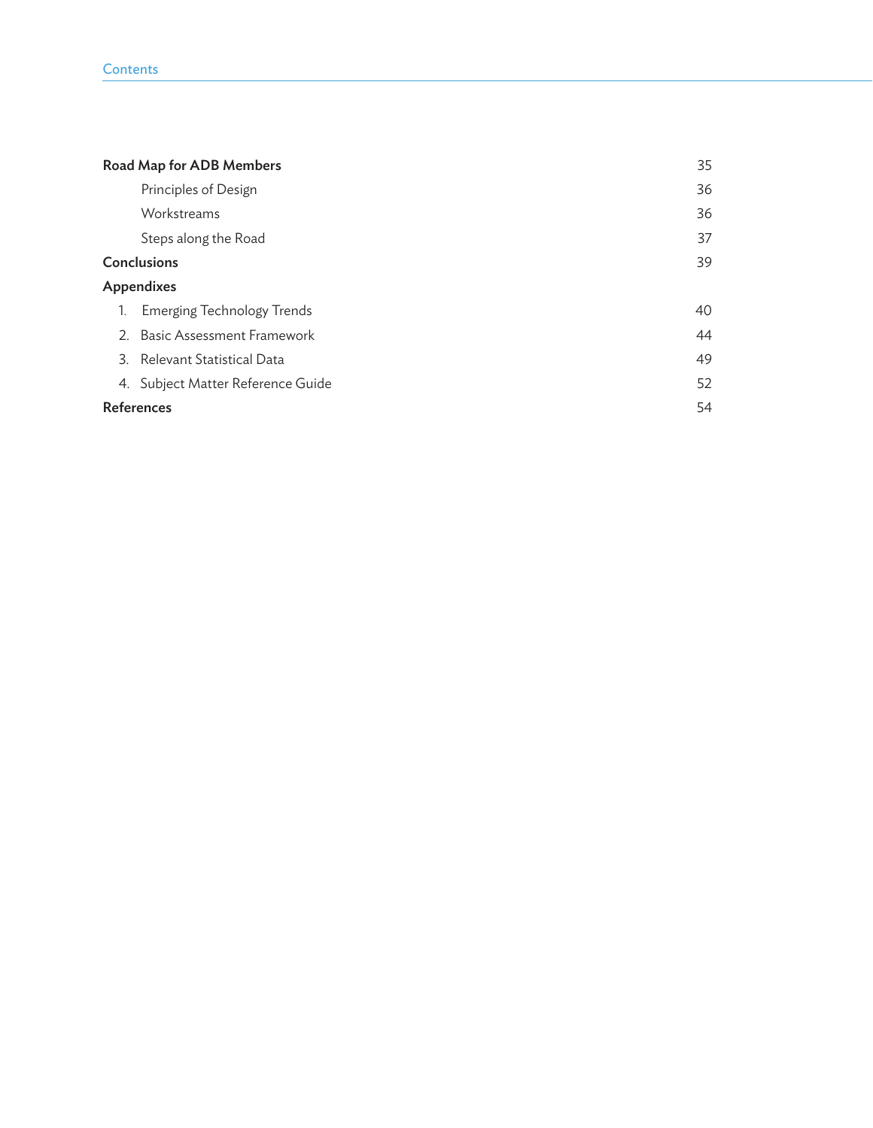|    | Road Map for ADB Members          | 35 |
|----|-----------------------------------|----|
|    | Principles of Design              | 36 |
|    | Workstreams                       | 36 |
|    | Steps along the Road              | 37 |
|    | Conclusions                       | 39 |
|    | Appendixes                        |    |
| 1. | <b>Emerging Technology Trends</b> | 40 |
|    | 2. Basic Assessment Framework     | 44 |
|    | 3. Relevant Statistical Data      | 49 |
|    | 4. Subject Matter Reference Guide | 52 |
|    | References                        | 54 |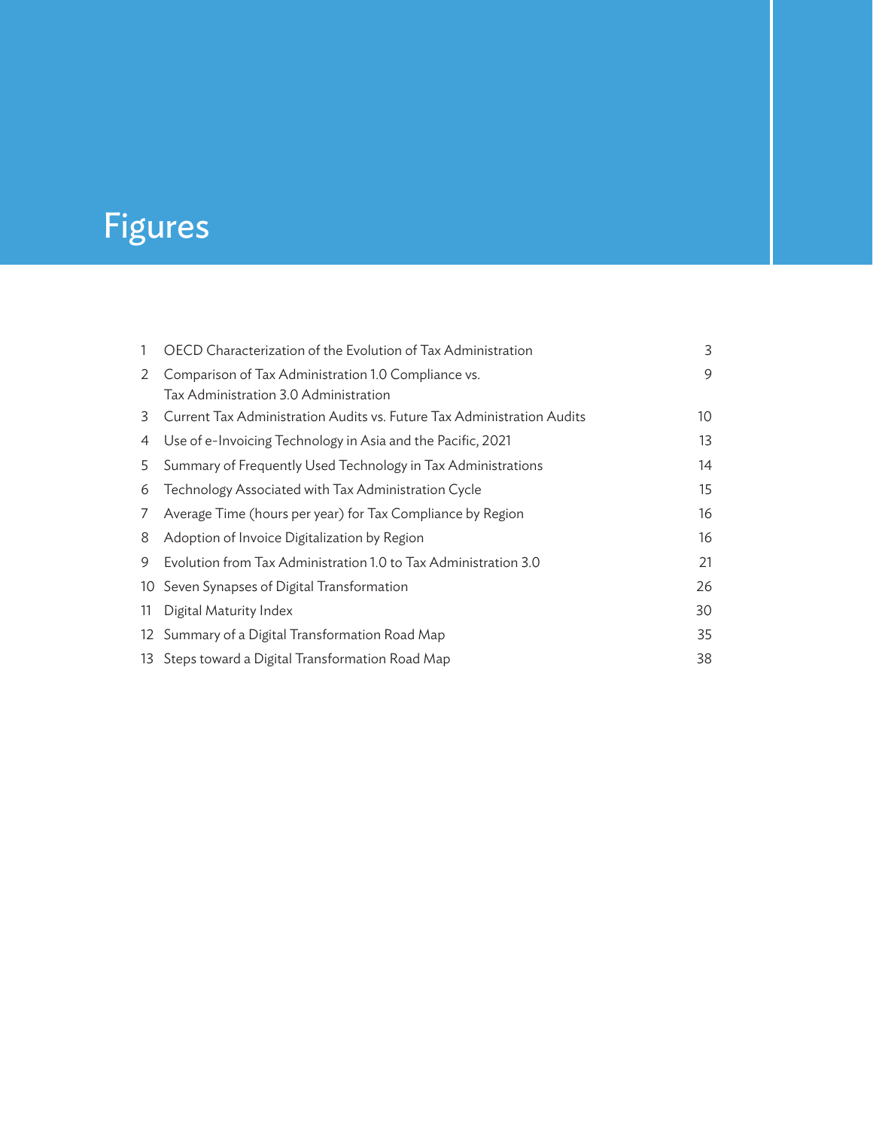# Figures

| 1  | OECD Characterization of the Evolution of Tax Administration                                 | 3  |
|----|----------------------------------------------------------------------------------------------|----|
| 2  | Comparison of Tax Administration 1.0 Compliance vs.<br>Tax Administration 3.0 Administration | 9  |
| 3  | Current Tax Administration Audits vs. Future Tax Administration Audits                       | 10 |
| 4  | Use of e-Invoicing Technology in Asia and the Pacific, 2021                                  | 13 |
| 5. | Summary of Frequently Used Technology in Tax Administrations                                 | 14 |
| 6  | Technology Associated with Tax Administration Cycle                                          | 15 |
| 7  | Average Time (hours per year) for Tax Compliance by Region                                   | 16 |
| 8  | Adoption of Invoice Digitalization by Region                                                 | 16 |
| 9  | Evolution from Tax Administration 1.0 to Tax Administration 3.0                              | 21 |
|    | 10 Seven Synapses of Digital Transformation                                                  | 26 |
| 11 | Digital Maturity Index                                                                       | 30 |
|    | 12 Summary of a Digital Transformation Road Map                                              | 35 |
|    | 13 Steps toward a Digital Transformation Road Map                                            | 38 |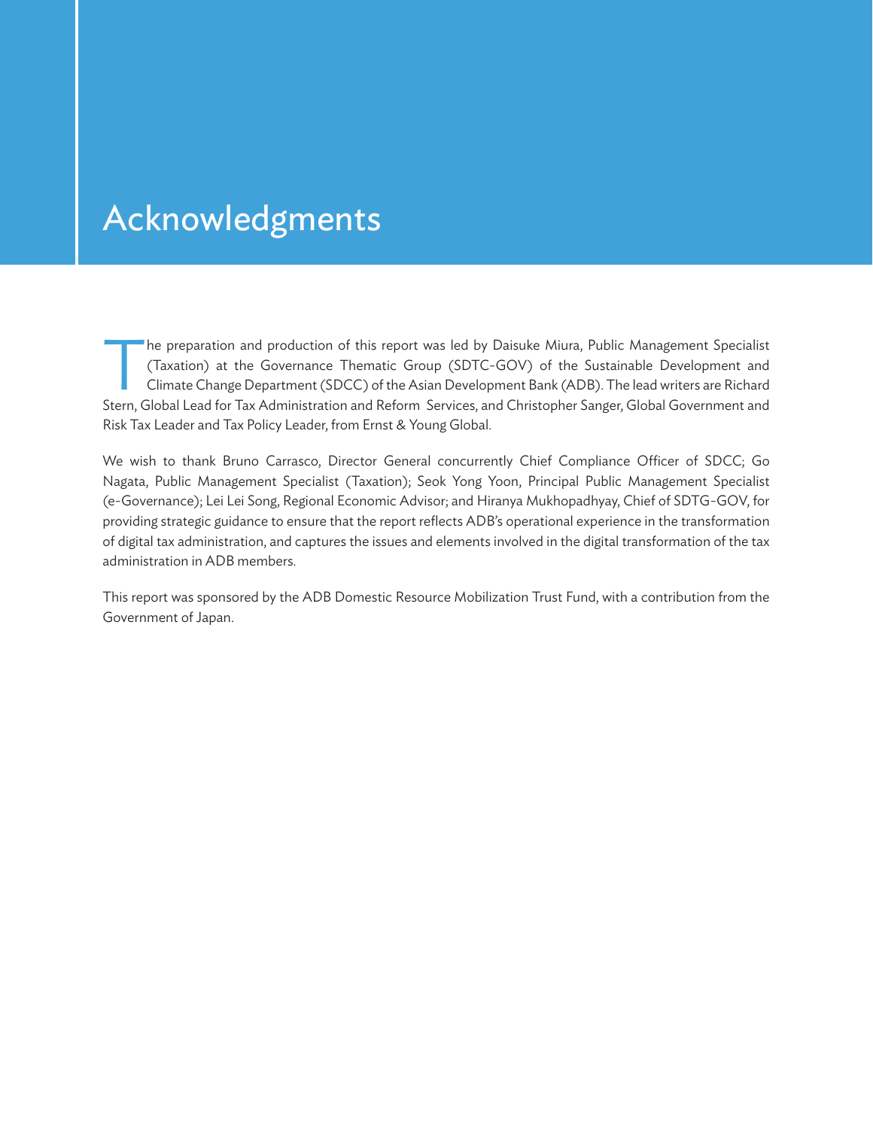## Acknowledgments

The preparation and production of this report was led by Daisuke Miura, Public Management Specialist (Taxation) at the Governance Thematic Group (SDTC-GOV) of the Sustainable Development and Climate Change Department (SDCC (Taxation) at the Governance Thematic Group (SDTC-GOV) of the Sustainable Development and Stern, Global Lead for Tax Administration and Reform Services, and Christopher Sanger, Global Government and Risk Tax Leader and Tax Policy Leader, from Ernst & Young Global.

We wish to thank Bruno Carrasco, Director General concurrently Chief Compliance Officer of SDCC; Go Nagata, Public Management Specialist (Taxation); Seok Yong Yoon, Principal Public Management Specialist (e-Governance); Lei Lei Song, Regional Economic Advisor; and Hiranya Mukhopadhyay, Chief of SDTG-GOV, for providing strategic guidance to ensure that the report reflects ADB's operational experience in the transformation of digital tax administration, and captures the issues and elements involved in the digital transformation of the tax administration in ADB members.

This report was sponsored by the ADB Domestic Resource Mobilization Trust Fund, with a contribution from the Government of Japan.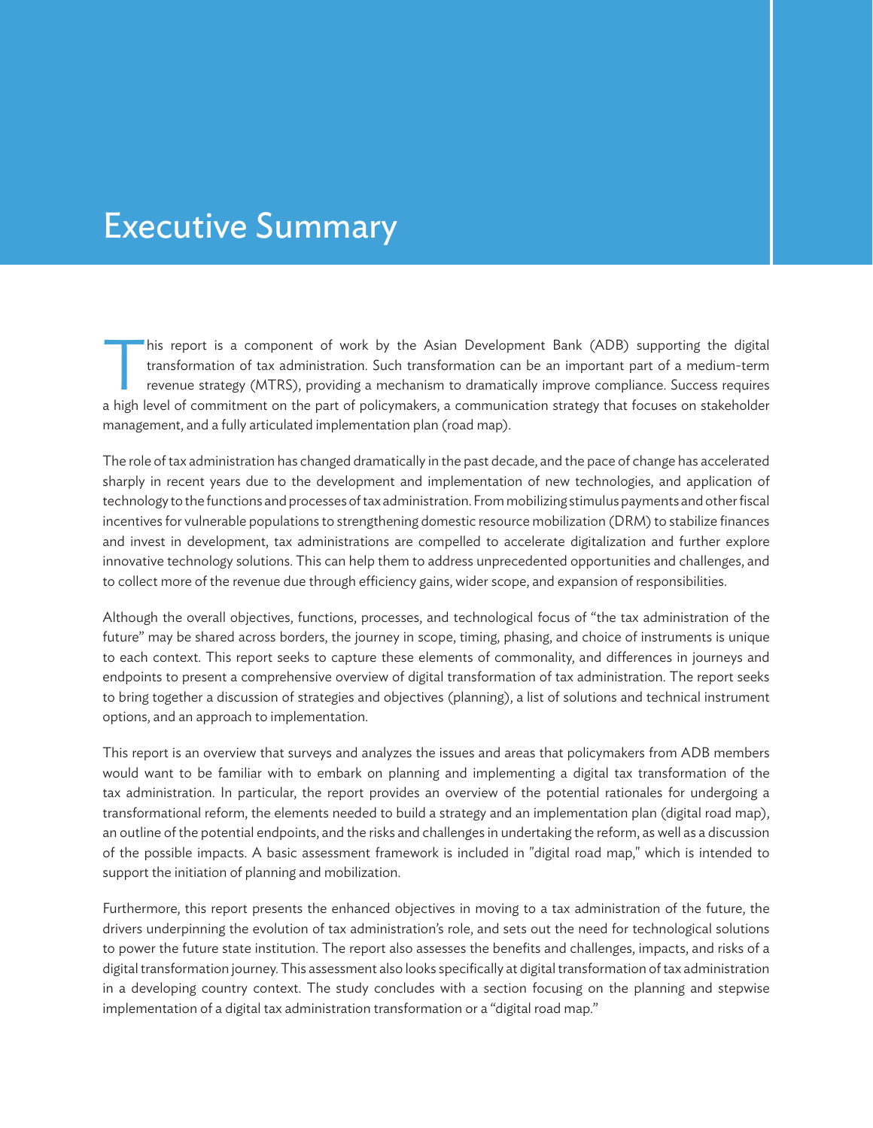## Executive Summary

This report is a component of work by the Asian Development Bank (ADB) supporting the digital transformation of tax administration. Such transformation can be an important part of a medium-term revenue strategy (MTRS), pro transformation of tax administration. Such transformation can be an important part of a medium-term revenue strategy (MTRS), providing a mechanism to dramatically improve compliance. Success requires a high level of commitment on the part of policymakers, a communication strategy that focuses on stakeholder management, and a fully articulated implementation plan (road map).

The role of tax administration has changed dramatically in the past decade, and the pace of change has accelerated sharply in recent years due to the development and implementation of new technologies, and application of technology to the functions and processes of tax administration. From mobilizing stimulus payments and other fiscal incentives for vulnerable populations to strengthening domestic resource mobilization (DRM) to stabilize finances and invest in development, tax administrations are compelled to accelerate digitalization and further explore innovative technology solutions. This can help them to address unprecedented opportunities and challenges, and to collect more of the revenue due through efficiency gains, wider scope, and expansion of responsibilities.

Although the overall objectives, functions, processes, and technological focus of "the tax administration of the future" may be shared across borders, the journey in scope, timing, phasing, and choice of instruments is unique to each context. This report seeks to capture these elements of commonality, and differences in journeys and endpoints to present a comprehensive overview of digital transformation of tax administration. The report seeks to bring together a discussion of strategies and objectives (planning), a list of solutions and technical instrument options, and an approach to implementation.

This report is an overview that surveys and analyzes the issues and areas that policymakers from ADB members would want to be familiar with to embark on planning and implementing a digital tax transformation of the tax administration. In particular, the report provides an overview of the potential rationales for undergoing a transformational reform, the elements needed to build a strategy and an implementation plan (digital road map), an outline of the potential endpoints, and the risks and challenges in undertaking the reform, as well as a discussion of the possible impacts. A basic assessment framework is included in "digital road map," which is intended to support the initiation of planning and mobilization.

Furthermore, this report presents the enhanced objectives in moving to a tax administration of the future, the drivers underpinning the evolution of tax administration's role, and sets out the need for technological solutions to power the future state institution. The report also assesses the benefits and challenges, impacts, and risks of a digital transformation journey. This assessment also looks specifically at digital transformation of tax administration in a developing country context. The study concludes with a section focusing on the planning and stepwise implementation of a digital tax administration transformation or a "digital road map."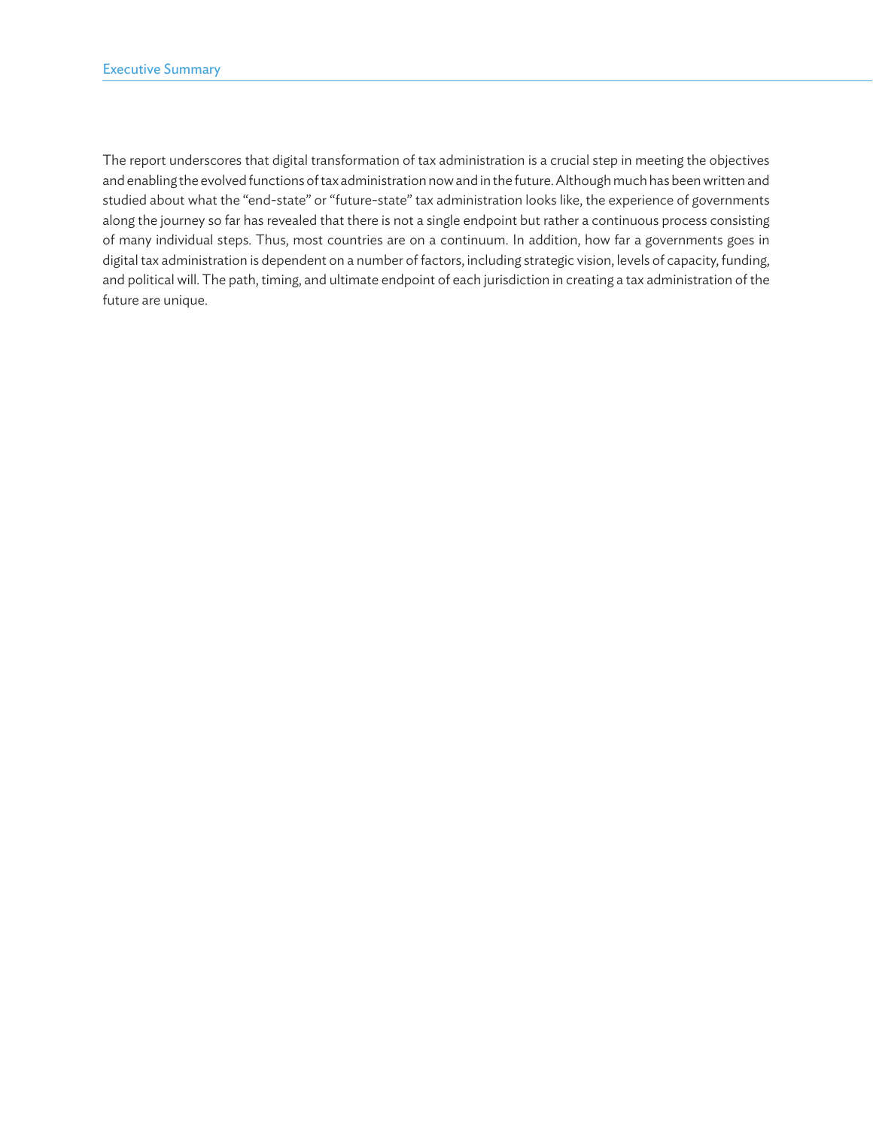The report underscores that digital transformation of tax administration is a crucial step in meeting the objectives and enabling the evolved functions of tax administration now and in the future. Although much has been written and studied about what the "end-state" or "future-state" tax administration looks like, the experience of governments along the journey so far has revealed that there is not a single endpoint but rather a continuous process consisting of many individual steps. Thus, most countries are on a continuum. In addition, how far a governments goes in digital tax administration is dependent on a number of factors, including strategic vision, levels of capacity, funding, and political will. The path, timing, and ultimate endpoint of each jurisdiction in creating a tax administration of the future are unique.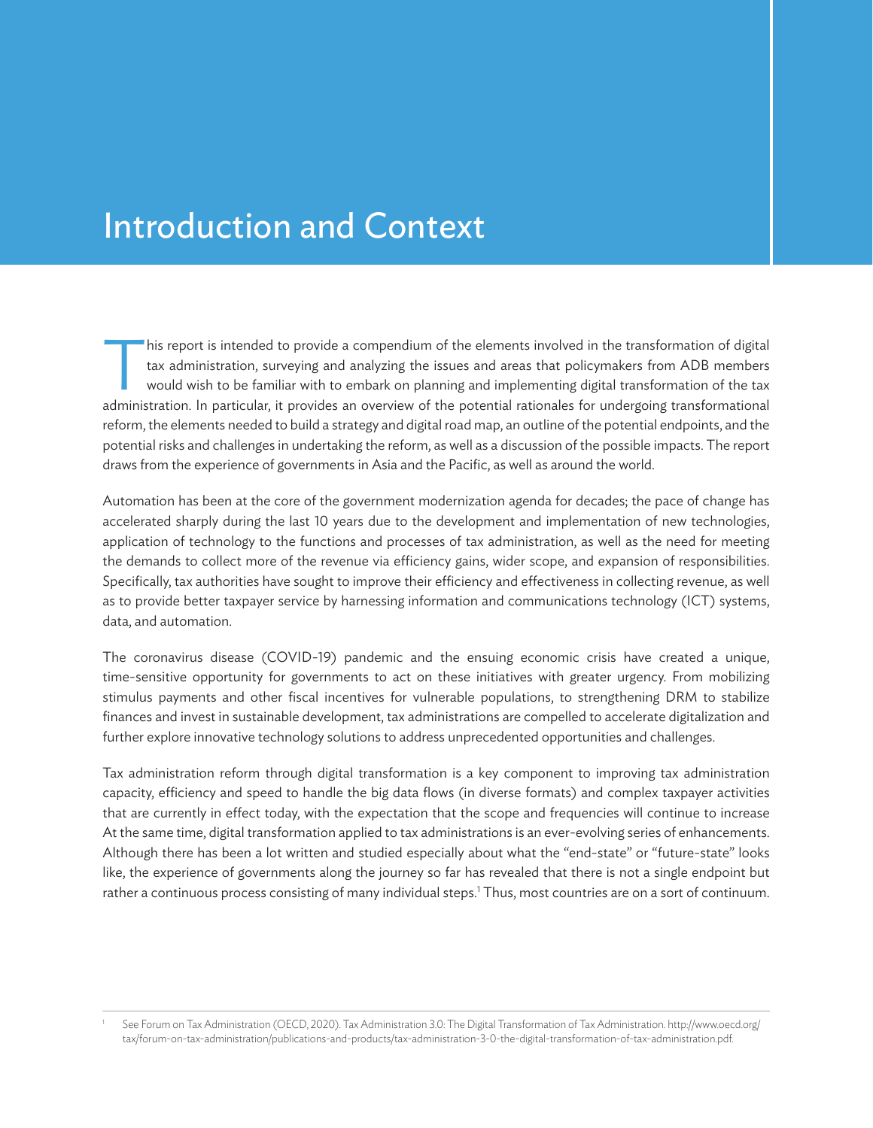## Introduction and Context

This report is intended to provide a compendium of the elements involved in the transformation of digital tax administration, surveying and analyzing the issues and areas that policymakers from ADB members would wish to be tax administration, surveying and analyzing the issues and areas that policymakers from ADB members would wish to be familiar with to embark on planning and implementing digital transformation of the tax administration. In particular, it provides an overview of the potential rationales for undergoing transformational reform, the elements needed to build a strategy and digital road map, an outline of the potential endpoints, and the potential risks and challenges in undertaking the reform, as well as a discussion of the possible impacts. The report draws from the experience of governments in Asia and the Pacific, as well as around the world.

Automation has been at the core of the government modernization agenda for decades; the pace of change has accelerated sharply during the last 10 years due to the development and implementation of new technologies, application of technology to the functions and processes of tax administration, as well as the need for meeting the demands to collect more of the revenue via efficiency gains, wider scope, and expansion of responsibilities. Specifically, tax authorities have sought to improve their efficiency and effectiveness in collecting revenue, as well as to provide better taxpayer service by harnessing information and communications technology (ICT) systems, data, and automation.

The coronavirus disease (COVID-19) pandemic and the ensuing economic crisis have created a unique, time-sensitive opportunity for governments to act on these initiatives with greater urgency. From mobilizing stimulus payments and other fiscal incentives for vulnerable populations, to strengthening DRM to stabilize finances and invest in sustainable development, tax administrations are compelled to accelerate digitalization and further explore innovative technology solutions to address unprecedented opportunities and challenges.

Tax administration reform through digital transformation is a key component to improving tax administration capacity, efficiency and speed to handle the big data flows (in diverse formats) and complex taxpayer activities that are currently in effect today, with the expectation that the scope and frequencies will continue to increase At the same time, digital transformation applied to tax administrations is an ever-evolving series of enhancements. Although there has been a lot written and studied especially about what the "end-state" or "future-state" looks like, the experience of governments along the journey so far has revealed that there is not a single endpoint but rather a continuous process consisting of many individual steps.<sup>1</sup> Thus, most countries are on a sort of continuum.

See Forum on Tax Administration (OECD, 2020). Tax Administration 3.0: The Digital Transformation of Tax Administration. [http://www.oecd.org/](http://www.oecd.org/tax/forum-on-tax-administration/publications-and-products/tax-administration-3-0-the-digital-transformation-of-tax-administration.pdf) [tax/forum-on-tax-administration/publications-and-products/tax-administration-3-0-the-digital-transformation-of-tax-administration.pdf](http://www.oecd.org/tax/forum-on-tax-administration/publications-and-products/tax-administration-3-0-the-digital-transformation-of-tax-administration.pdf).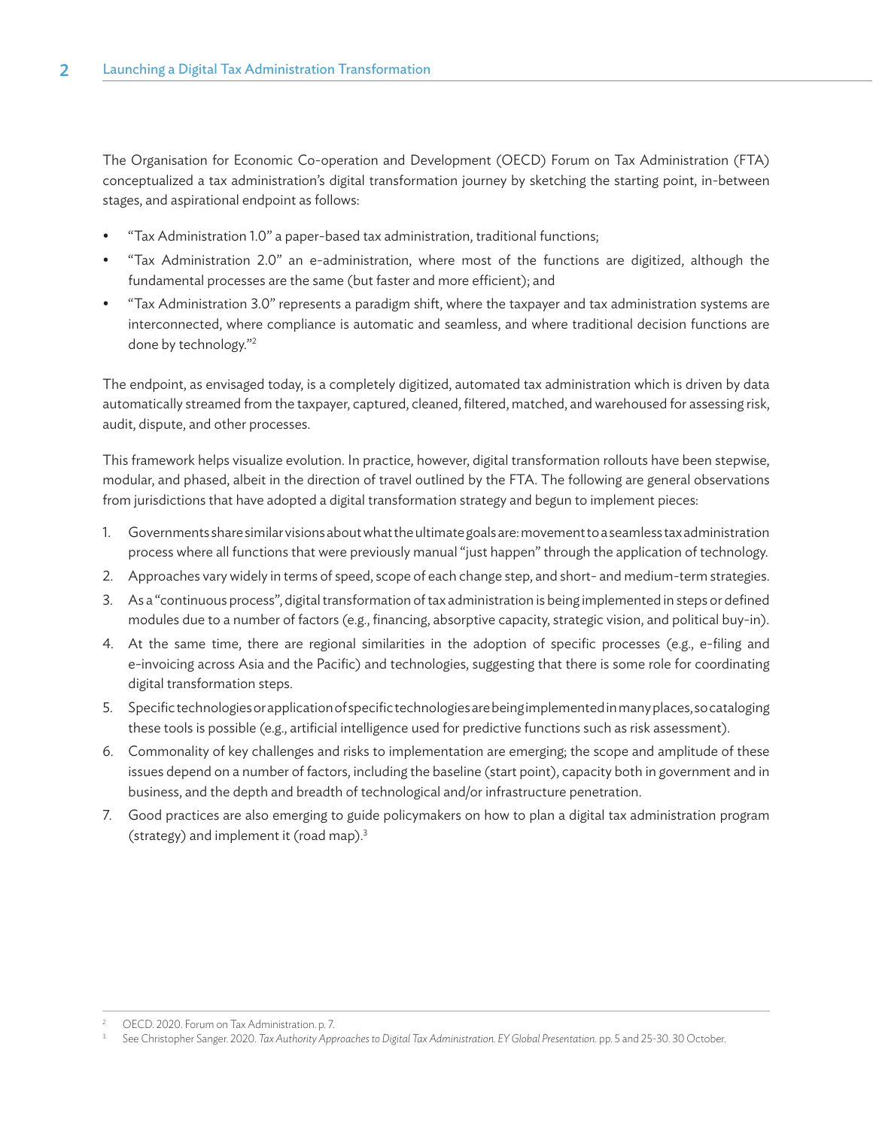The Organisation for Economic Co-operation and Development (OECD) Forum on Tax Administration (FTA) conceptualized a tax administration's digital transformation journey by sketching the starting point, in-between stages, and aspirational endpoint as follows:

- "Tax Administration 1.0" a paper-based tax administration, traditional functions;
- "Tax Administration 2.0" an e-administration, where most of the functions are digitized, although the fundamental processes are the same (but faster and more efficient); and
- "Tax Administration 3.0" represents a paradigm shift, where the taxpayer and tax administration systems are interconnected, where compliance is automatic and seamless, and where traditional decision functions are done by technology."2

The endpoint, as envisaged today, is a completely digitized, automated tax administration which is driven by data automatically streamed from the taxpayer, captured, cleaned, filtered, matched, and warehoused for assessing risk, audit, dispute, and other processes.

This framework helps visualize evolution. In practice, however, digital transformation rollouts have been stepwise, modular, and phased, albeit in the direction of travel outlined by the FTA. The following are general observations from jurisdictions that have adopted a digital transformation strategy and begun to implement pieces:

- 1. Governments share similar visions about what the ultimate goals are: movement to a seamless tax administration process where all functions that were previously manual "just happen" through the application of technology.
- 2. Approaches vary widely in terms of speed, scope of each change step, and short- and medium-term strategies.
- 3. As a "continuous process", digital transformation of tax administration is being implemented in steps or defined modules due to a number of factors (e.g., financing, absorptive capacity, strategic vision, and political buy-in).
- 4. At the same time, there are regional similarities in the adoption of specific processes (e.g., e-filing and e-invoicing across Asia and the Pacific) and technologies, suggesting that there is some role for coordinating digital transformation steps.
- 5. Specific technologies or application of specific technologies are being implemented in many places, so cataloging these tools is possible (e.g., artificial intelligence used for predictive functions such as risk assessment).
- 6. Commonality of key challenges and risks to implementation are emerging; the scope and amplitude of these issues depend on a number of factors, including the baseline (start point), capacity both in government and in business, and the depth and breadth of technological and/or infrastructure penetration.
- 7. Good practices are also emerging to guide policymakers on how to plan a digital tax administration program (strategy) and implement it (road map).3

<sup>2</sup> OECD. 2020. Forum on Tax Administration. p. 7.

<sup>3</sup> See Christopher Sanger. 2020. *Tax Authority Approaches to Digital Tax Administration. EY Global Presentation.* pp. 5 and 25-30. 30 October.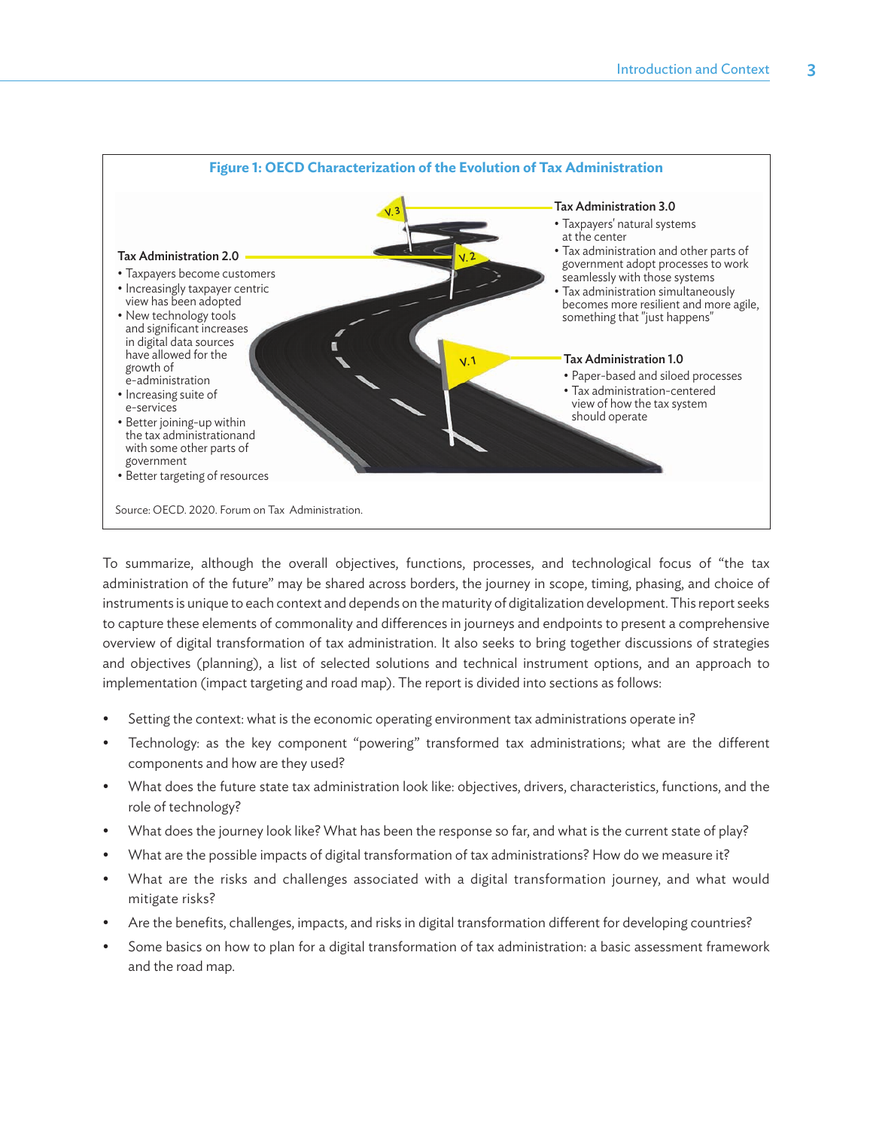

To summarize, although the overall objectives, functions, processes, and technological focus of "the tax administration of the future" may be shared across borders, the journey in scope, timing, phasing, and choice of instruments is unique to each context and depends on the maturity of digitalization development. This report seeks to capture these elements of commonality and differences in journeys and endpoints to present a comprehensive overview of digital transformation of tax administration. It also seeks to bring together discussions of strategies and objectives (planning), a list of selected solutions and technical instrument options, and an approach to implementation (impact targeting and road map). The report is divided into sections as follows:

- Setting the context: what is the economic operating environment tax administrations operate in?
- Technology: as the key component "powering" transformed tax administrations; what are the different components and how are they used?
- What does the future state tax administration look like: objectives, drivers, characteristics, functions, and the role of technology?
- What does the journey look like? What has been the response so far, and what is the current state of play?
- What are the possible impacts of digital transformation of tax administrations? How do we measure it?
- What are the risks and challenges associated with a digital transformation journey, and what would mitigate risks?
- Are the benefits, challenges, impacts, and risks in digital transformation different for developing countries?
- Some basics on how to plan for a digital transformation of tax administration: a basic assessment framework and the road map.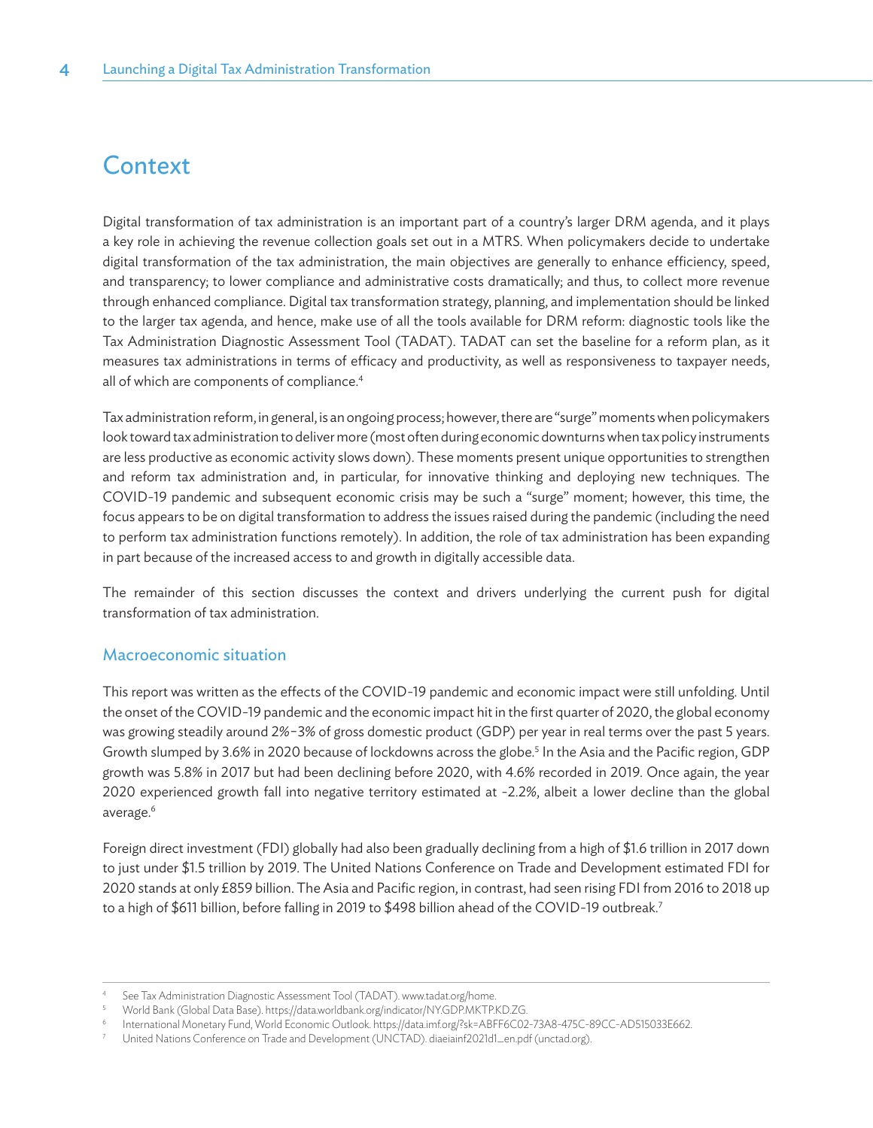### **Context**

Digital transformation of tax administration is an important part of a country's larger DRM agenda, and it plays a key role in achieving the revenue collection goals set out in a MTRS. When policymakers decide to undertake digital transformation of the tax administration, the main objectives are generally to enhance efficiency, speed, and transparency; to lower compliance and administrative costs dramatically; and thus, to collect more revenue through enhanced compliance. Digital tax transformation strategy, planning, and implementation should be linked to the larger tax agenda, and hence, make use of all the tools available for DRM reform: diagnostic tools like the Tax Administration Diagnostic Assessment Tool (TADAT). TADAT can set the baseline for a reform plan, as it measures tax administrations in terms of efficacy and productivity, as well as responsiveness to taxpayer needs, all of which are components of compliance.<sup>4</sup>

Tax administration reform, in general, is an ongoing process; however, there are "surge" moments when policymakers look toward tax administration to deliver more (most often during economic downturns when tax policy instruments are less productive as economic activity slows down). These moments present unique opportunities to strengthen and reform tax administration and, in particular, for innovative thinking and deploying new techniques. The COVID-19 pandemic and subsequent economic crisis may be such a "surge" moment; however, this time, the focus appears to be on digital transformation to address the issues raised during the pandemic (including the need to perform tax administration functions remotely). In addition, the role of tax administration has been expanding in part because of the increased access to and growth in digitally accessible data.

The remainder of this section discusses the context and drivers underlying the current push for digital transformation of tax administration.

#### Macroeconomic situation

This report was written as the effects of the COVID-19 pandemic and economic impact were still unfolding. Until the onset of the COVID-19 pandemic and the economic impact hit in the first quarter of 2020, the global economy was growing steadily around 2%−3% of gross domestic product (GDP) per year in real terms over the past 5 years. Growth slumped by 3.6% in 2020 because of lockdowns across the globe.<sup>5</sup> In the Asia and the Pacific region, GDP growth was 5.8% in 2017 but had been declining before 2020, with 4.6% recorded in 2019. Once again, the year 2020 experienced growth fall into negative territory estimated at -2.2%, albeit a lower decline than the global average.<sup>6</sup>

Foreign direct investment (FDI) globally had also been gradually declining from a high of \$1.6 trillion in 2017 down to just under \$1.5 trillion by 2019. The United Nations Conference on Trade and Development estimated FDI for 2020 stands at only £859 billion. The Asia and Pacific region, in contrast, had seen rising FDI from 2016 to 2018 up to a high of \$611 billion, before falling in 2019 to \$498 billion ahead of the COVID-19 outbreak.<sup>7</sup>

See Tax Administration Diagnostic Assessment Tool (TADAT). www.tadat.org/home.

<sup>5</sup> World Bank (Global Data Base). https://[data.worldbank.org/indicator/NY.GDP.MKTP.KD.ZG.](https://data.worldbank.org/indicator/NY.GDP.MKTP.KD.ZG)

<sup>6</sup> International Monetary Fund, World Economic Outlook. https://d[ata.imf.org/?sk=ABFF6C02-73A8-475C-89CC-AD515033E662.](https://data.imf.org/?sk=ABFF6C02-73A8-475C-89CC-AD515033E662)

United Na[tions Conference on Trade and Devel](https://unctad.org/system/files/official-document/diaeiainf2021d1_en.pdf)opment (UNCTAD). diaeiainf2021d1\_en.pdf (unctad.org).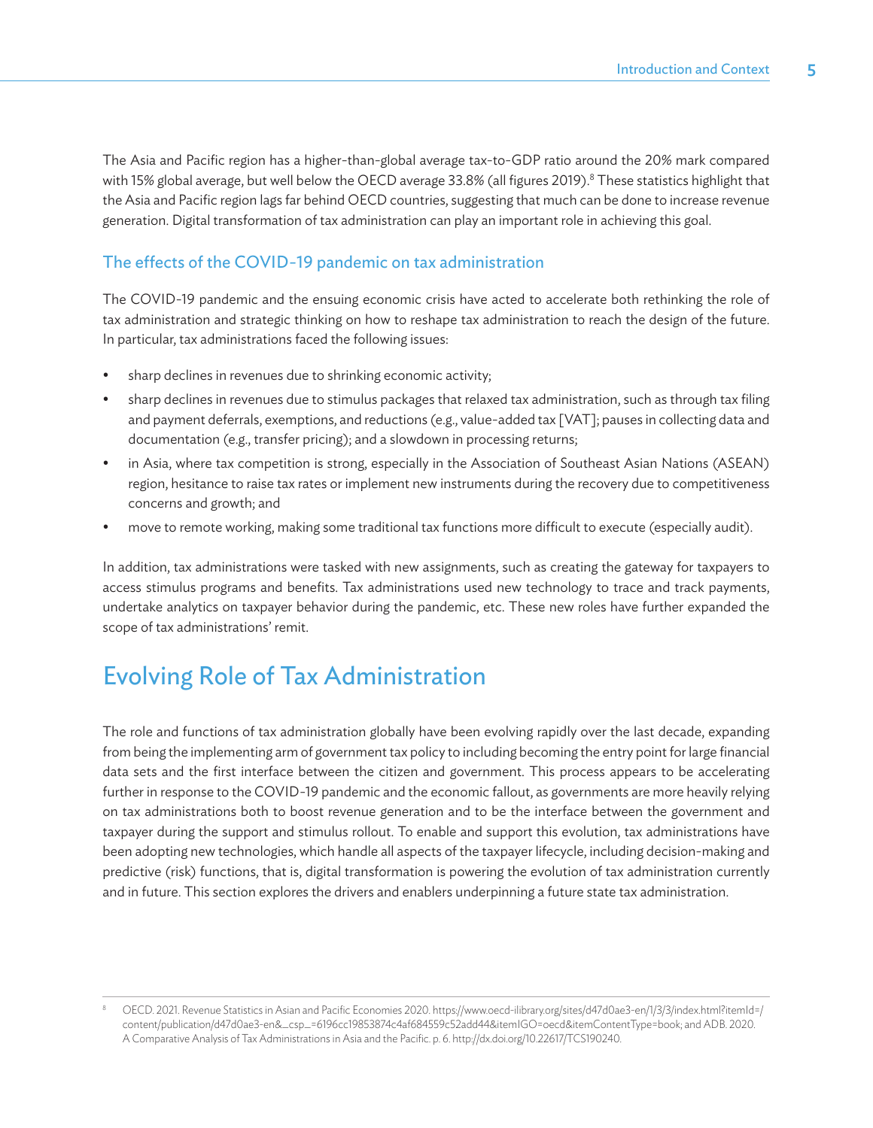The Asia and Pacific region has a higher-than-global average tax-to-GDP ratio around the 20% mark compared with 15% global average, but well below the OECD average 33.8% (all figures 2019).<sup>8</sup> These statistics highlight that the Asia and Pacific region lags far behind OECD countries, suggesting that much can be done to increase revenue generation. Digital transformation of tax administration can play an important role in achieving this goal.

#### The effects of the COVID-19 pandemic on tax administration

The COVID-19 pandemic and the ensuing economic crisis have acted to accelerate both rethinking the role of tax administration and strategic thinking on how to reshape tax administration to reach the design of the future. In particular, tax administrations faced the following issues:

- sharp declines in revenues due to shrinking economic activity;
- sharp declines in revenues due to stimulus packages that relaxed tax administration, such as through tax filing and payment deferrals, exemptions, and reductions (e.g., value-added tax [VAT]; pauses in collecting data and documentation (e.g., transfer pricing); and a slowdown in processing returns;
- in Asia, where tax competition is strong, especially in the Association of Southeast Asian Nations (ASEAN) region, hesitance to raise tax rates or implement new instruments during the recovery due to competitiveness concerns and growth; and
- move to remote working, making some traditional tax functions more difficult to execute (especially audit).

In addition, tax administrations were tasked with new assignments, such as creating the gateway for taxpayers to access stimulus programs and benefits. Tax administrations used new technology to trace and track payments, undertake analytics on taxpayer behavior during the pandemic, etc. These new roles have further expanded the scope of tax administrations' remit.

### Evolving Role of Tax Administration

The role and functions of tax administration globally have been evolving rapidly over the last decade, expanding from being the implementing arm of government tax policy to including becoming the entry point for large financial data sets and the first interface between the citizen and government. This process appears to be accelerating further in response to the COVID-19 pandemic and the economic fallout, as governments are more heavily relying on tax administrations both to boost revenue generation and to be the interface between the government and taxpayer during the support and stimulus rollout. To enable and support this evolution, tax administrations have been adopting new technologies, which handle all aspects of the taxpayer lifecycle, including decision-making and predictive (risk) functions, that is, digital transformation is powering the evolution of tax administration currently and in future. This section explores the drivers and enablers underpinning a future state tax administration.

<sup>8</sup> OECD. 2021. Revenue Statistics in Asian and Pacific Economies 2020. [https://www.oecd-ilibrary.org/sites/d47d0ae3-en/1/3/3/index.html?itemId=/](https://www.oecd-ilibrary.org/sites/d47d0ae3-en/1/3/3/index.html?itemId=/content/publication/d47d0ae3-en&_csp_=6196cc19853874c4af684559c52add44&itemIGO=oecd&itemContentType=book) [content/publication/d47d0ae3-en&\\_csp\\_=6196cc19853874c4af684559c52add44&itemIGO=oecd&itemContentType=book](https://www.oecd-ilibrary.org/sites/d47d0ae3-en/1/3/3/index.html?itemId=/content/publication/d47d0ae3-en&_csp_=6196cc19853874c4af684559c52add44&itemIGO=oecd&itemContentType=book); and ADB. 2020. A Comparative Analysis of Tax Administrations in Asia and the Pacific. p. 6. http://dx.doi.org/10.22617/TCS190240.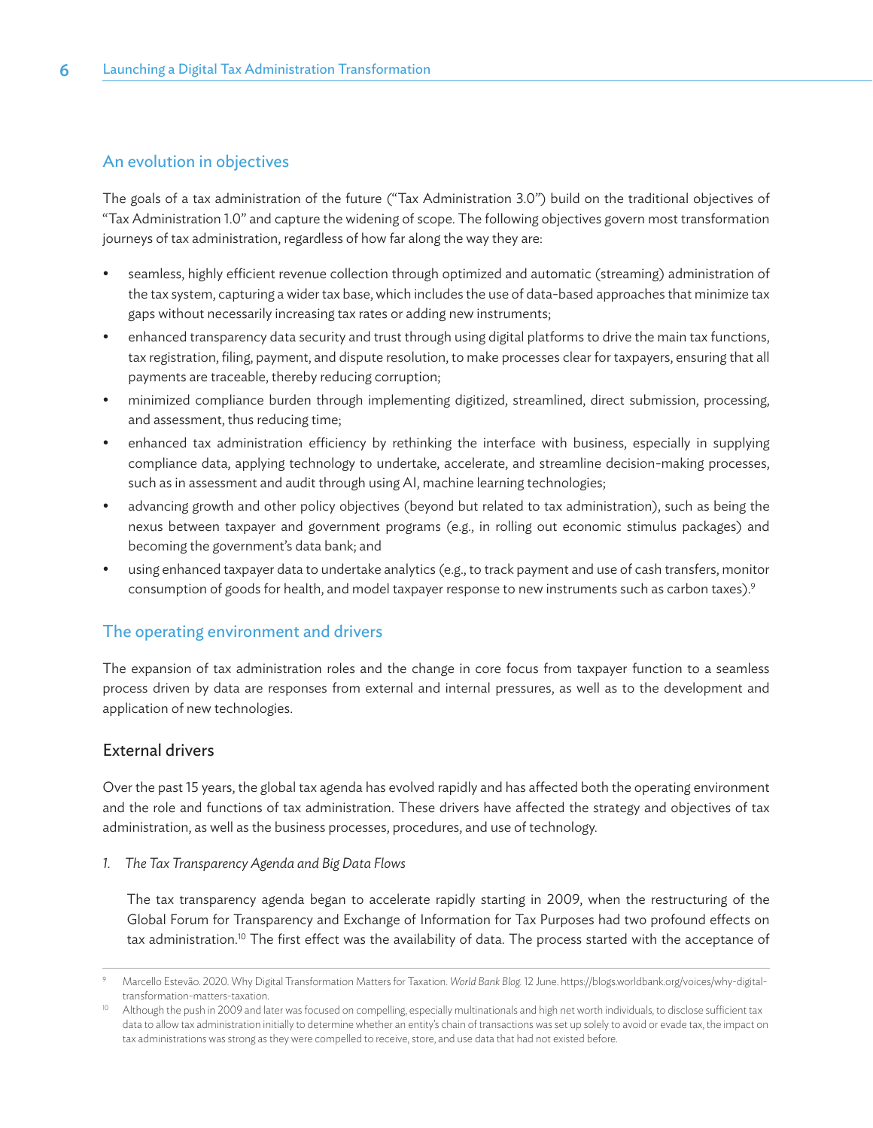#### An evolution in objectives

The goals of a tax administration of the future ("Tax Administration 3.0") build on the traditional objectives of "Tax Administration 1.0" and capture the widening of scope. The following objectives govern most transformation journeys of tax administration, regardless of how far along the way they are:

- seamless, highly efficient revenue collection through optimized and automatic (streaming) administration of the tax system, capturing a wider tax base, which includes the use of data-based approaches that minimize tax gaps without necessarily increasing tax rates or adding new instruments;
- enhanced transparency data security and trust through using digital platforms to drive the main tax functions, tax registration, filing, payment, and dispute resolution, to make processes clear for taxpayers, ensuring that all payments are traceable, thereby reducing corruption;
- minimized compliance burden through implementing digitized, streamlined, direct submission, processing, and assessment, thus reducing time;
- enhanced tax administration efficiency by rethinking the interface with business, especially in supplying compliance data, applying technology to undertake, accelerate, and streamline decision-making processes, such as in assessment and audit through using AI, machine learning technologies;
- advancing growth and other policy objectives (beyond but related to tax administration), such as being the nexus between taxpayer and government programs (e.g., in rolling out economic stimulus packages) and becoming the government's data bank; and
- using enhanced taxpayer data to undertake analytics (e.g., to track payment and use of cash transfers, monitor consumption of goods for health, and model taxpayer response to new instruments such as carbon taxes).<sup>9</sup>

#### The operating environment and drivers

The expansion of tax administration roles and the change in core focus from taxpayer function to a seamless process driven by data are responses from external and internal pressures, as well as to the development and application of new technologies.

#### External drivers

Over the past 15 years, the global tax agenda has evolved rapidly and has affected both the operating environment and the role and functions of tax administration. These drivers have affected the strategy and objectives of tax administration, as well as the business processes, procedures, and use of technology.

#### *1. The Tax Transparency Agenda and Big Data Flows*

The tax transparency agenda began to accelerate rapidly starting in 2009, when the restructuring of the Global Forum for Transparency and Exchange of Information for Tax Purposes had two profound effects on tax administration.<sup>10</sup> The first effect was the availability of data. The process started with the acceptance of

<sup>9</sup> Marcello Estevão. 2020. Why Digital Transformation Matters for Taxation. *World Bank Blog.* 12 June. https://blogs.worldbank.org/voices/why-digitaltransformation-matters-taxation.

Although the push in 2009 and later was focused on compelling, especially multinationals and high net worth individuals, to disclose sufficient tax data to allow tax administration initially to determine whether an entity's chain of transactions was set up solely to avoid or evade tax, the impact on tax administrations was strong as they were compelled to receive, store, and use data that had not existed before.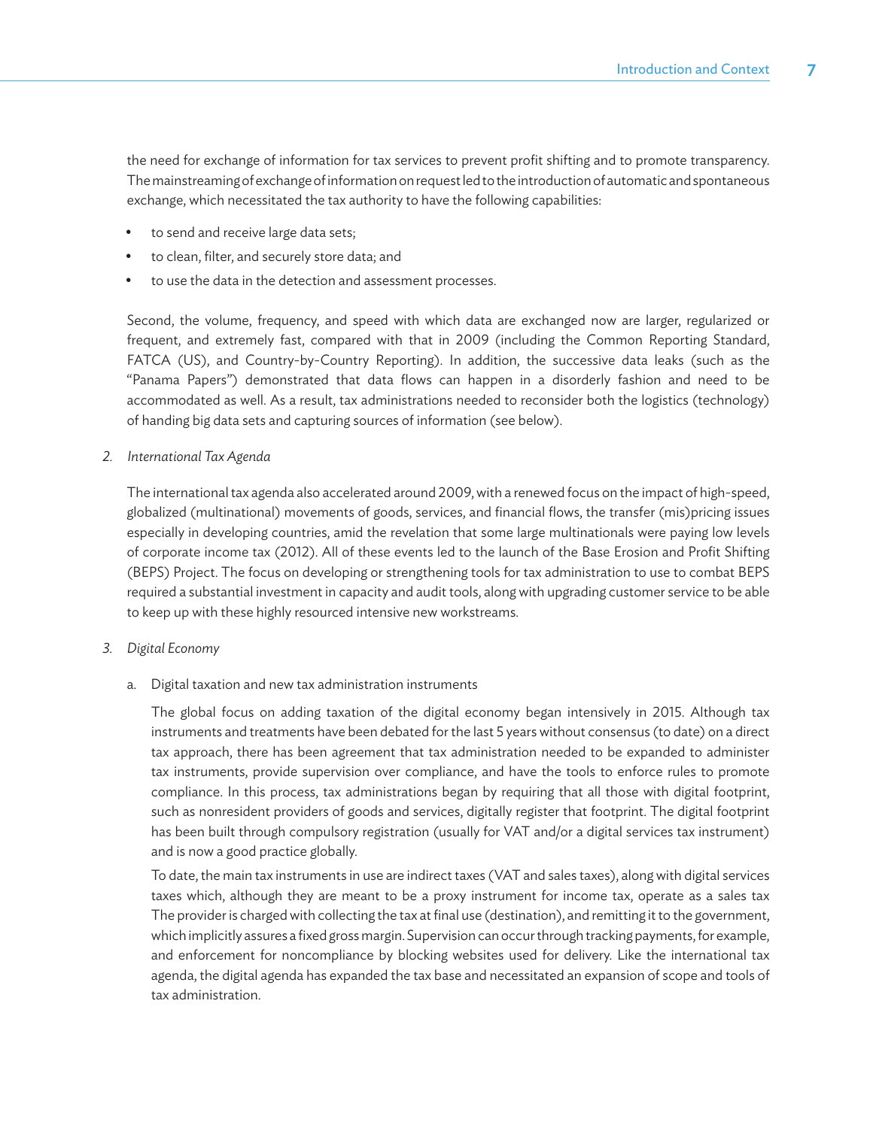the need for exchange of information for tax services to prevent profit shifting and to promote transparency. The mainstreaming of exchange of information on request led to the introduction of automatic and spontaneous exchange, which necessitated the tax authority to have the following capabilities:

- to send and receive large data sets;
- to clean, filter, and securely store data; and
- to use the data in the detection and assessment processes.

Second, the volume, frequency, and speed with which data are exchanged now are larger, regularized or frequent, and extremely fast, compared with that in 2009 (including the Common Reporting Standard, FATCA (US), and Country-by-Country Reporting). In addition, the successive data leaks (such as the "Panama Papers") demonstrated that data flows can happen in a disorderly fashion and need to be accommodated as well. As a result, tax administrations needed to reconsider both the logistics (technology) of handing big data sets and capturing sources of information (see below).

*2. International Tax Agenda*

The international tax agenda also accelerated around 2009, with a renewed focus on the impact of high-speed, globalized (multinational) movements of goods, services, and financial flows, the transfer (mis)pricing issues especially in developing countries, amid the revelation that some large multinationals were paying low levels of corporate income tax (2012). All of these events led to the launch of the Base Erosion and Profit Shifting (BEPS) Project. The focus on developing or strengthening tools for tax administration to use to combat BEPS required a substantial investment in capacity and audit tools, along with upgrading customer service to be able to keep up with these highly resourced intensive new workstreams.

- *3. Digital Economy*
	- a. Digital taxation and new tax administration instruments

The global focus on adding taxation of the digital economy began intensively in 2015. Although tax instruments and treatments have been debated for the last 5 years without consensus (to date) on a direct tax approach, there has been agreement that tax administration needed to be expanded to administer tax instruments, provide supervision over compliance, and have the tools to enforce rules to promote compliance. In this process, tax administrations began by requiring that all those with digital footprint, such as nonresident providers of goods and services, digitally register that footprint. The digital footprint has been built through compulsory registration (usually for VAT and/or a digital services tax instrument) and is now a good practice globally.

To date, the main tax instruments in use are indirect taxes (VAT and sales taxes), along with digital services taxes which, although they are meant to be a proxy instrument for income tax, operate as a sales tax The provider is charged with collecting the tax at final use (destination), and remitting it to the government, which implicitly assures a fixed gross margin. Supervision can occur through tracking payments, for example, and enforcement for noncompliance by blocking websites used for delivery. Like the international tax agenda, the digital agenda has expanded the tax base and necessitated an expansion of scope and tools of tax administration.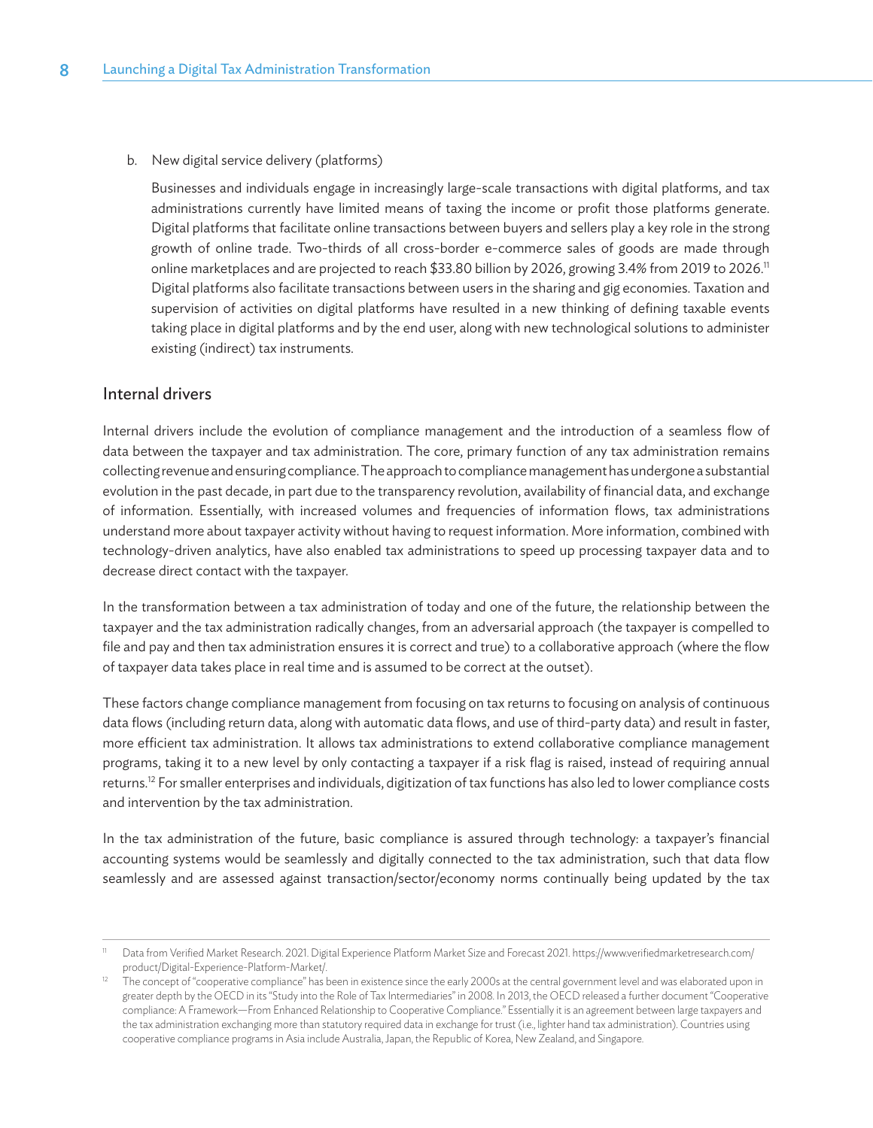b. New digital service delivery (platforms)

Businesses and individuals engage in increasingly large-scale transactions with digital platforms, and tax administrations currently have limited means of taxing the income or profit those platforms generate. Digital platforms that facilitate online transactions between buyers and sellers play a key role in the strong growth of online trade. Two-thirds of all cross-border e-commerce sales of goods are made through online marketplaces and are projected to reach \$33.80 billion by 2026, growing 3.4% from 2019 to 2026.<sup>11</sup> Digital platforms also facilitate transactions between users in the sharing and gig economies. Taxation and supervision of activities on digital platforms have resulted in a new thinking of defining taxable events taking place in digital platforms and by the end user, along with new technological solutions to administer existing (indirect) tax instruments.

#### Internal drivers

Internal drivers include the evolution of compliance management and the introduction of a seamless flow of data between the taxpayer and tax administration. The core, primary function of any tax administration remains collecting revenue and ensuring compliance. The approach to compliance management has undergone a substantial evolution in the past decade, in part due to the transparency revolution, availability of financial data, and exchange of information. Essentially, with increased volumes and frequencies of information flows, tax administrations understand more about taxpayer activity without having to request information. More information, combined with technology-driven analytics, have also enabled tax administrations to speed up processing taxpayer data and to decrease direct contact with the taxpayer.

In the transformation between a tax administration of today and one of the future, the relationship between the taxpayer and the tax administration radically changes, from an adversarial approach (the taxpayer is compelled to file and pay and then tax administration ensures it is correct and true) to a collaborative approach (where the flow of taxpayer data takes place in real time and is assumed to be correct at the outset).

These factors change compliance management from focusing on tax returns to focusing on analysis of continuous data flows (including return data, along with automatic data flows, and use of third-party data) and result in faster, more efficient tax administration. It allows tax administrations to extend collaborative compliance management programs, taking it to a new level by only contacting a taxpayer if a risk flag is raised, instead of requiring annual returns.12 For smaller enterprises and individuals, digitization of tax functions has also led to lower compliance costs and intervention by the tax administration.

In the tax administration of the future, basic compliance is assured through technology: a taxpayer's financial accounting systems would be seamlessly and digitally connected to the tax administration, such that data flow seamlessly and are assessed against transaction/sector/economy norms continually being updated by the tax

Data from Verified Market Research. 2021. Digital Experience Platform Market Size and Forecast 2021. [https://www.verifiedmarketresearch.com/](https://www.verifiedmarketresearch.com/product/Digital-Experience-Platform-Market/) [product/Digital-Experience-Platform-Market/](https://www.verifiedmarketresearch.com/product/Digital-Experience-Platform-Market/).

<sup>12</sup> The concept of "cooperative compliance" has been in existence since the early 2000s at the central government level and was elaborated upon in greater depth by the OECD in its "Study into the Role of Tax Intermediaries" in 2008. In 2013, the OECD released a further document "Cooperative compliance: A Framework—From Enhanced Relationship to Cooperative Compliance." Essentially it is an agreement between large taxpayers and the tax administration exchanging more than statutory required data in exchange for trust (i.e., lighter hand tax administration). Countries using cooperative compliance programs in Asia include Australia, Japan, the Republic of Korea, New Zealand, and Singapore.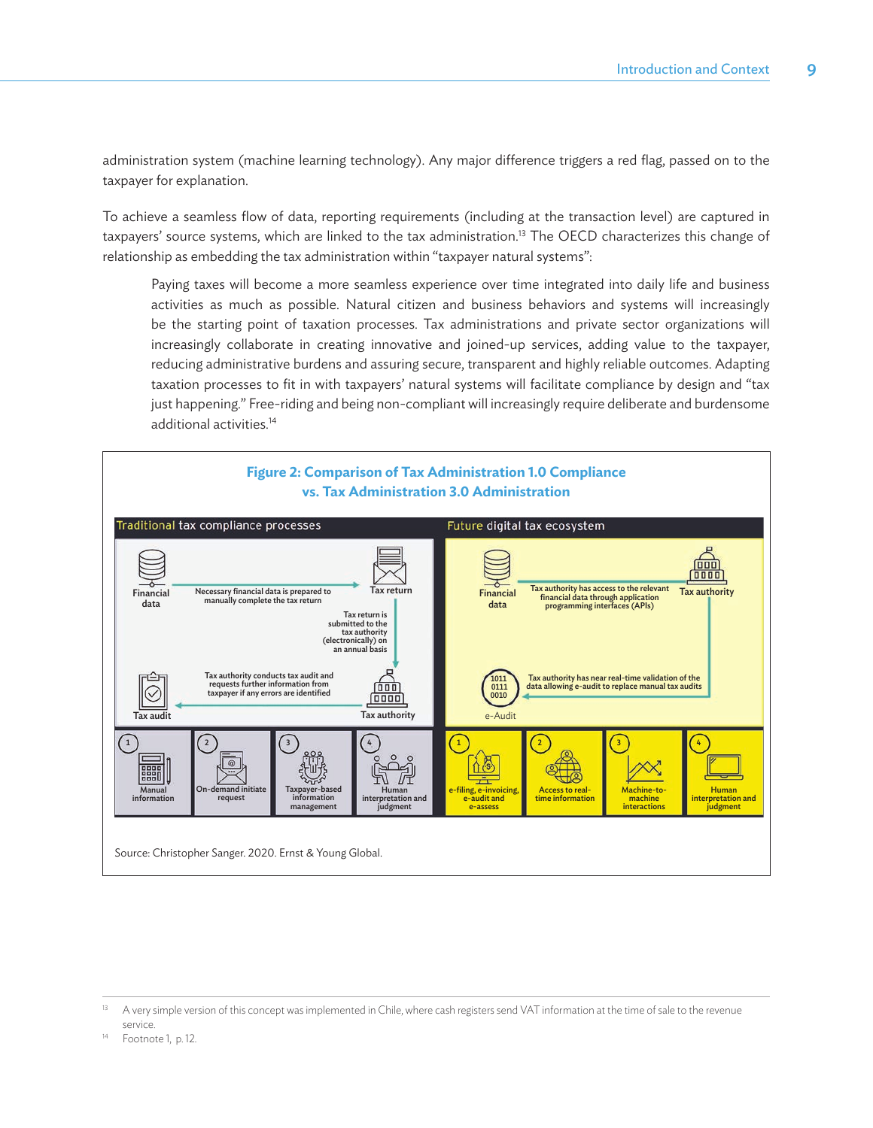administration system (machine learning technology). Any major difference triggers a red flag, passed on to the taxpayer for explanation.

To achieve a seamless flow of data, reporting requirements (including at the transaction level) are captured in taxpayers' source systems, which are linked to the tax administration.<sup>13</sup> The OECD characterizes this change of relationship as embedding the tax administration within "taxpayer natural systems":

Paying taxes will become a more seamless experience over time integrated into daily life and business activities as much as possible. Natural citizen and business behaviors and systems will increasingly be the starting point of taxation processes. Tax administrations and private sector organizations will increasingly collaborate in creating innovative and joined-up services, adding value to the taxpayer, reducing administrative burdens and assuring secure, transparent and highly reliable outcomes. Adapting taxation processes to fit in with taxpayers' natural systems will facilitate compliance by design and "tax just happening." Free-riding and being non-compliant will increasingly require deliberate and burdensome additional activities.14



service.<br>Footnote 1, p. 12.

<sup>&</sup>lt;sup>13</sup> A very simple version of this concept was implemented in Chile, where cash registers send VAT information at the time of sale to the revenue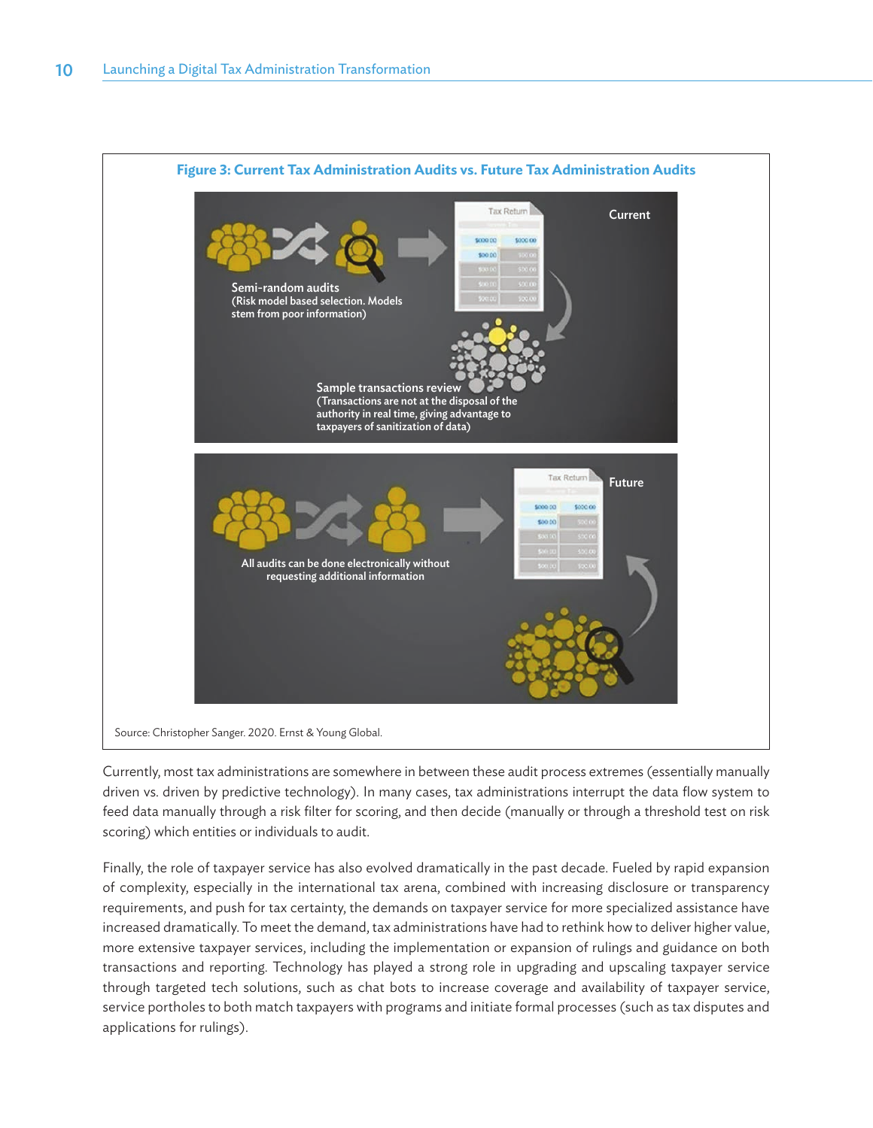

Currently, most tax administrations are somewhere in between these audit process extremes (essentially manually driven vs. driven by predictive technology). In many cases, tax administrations interrupt the data flow system to feed data manually through a risk filter for scoring, and then decide (manually or through a threshold test on risk scoring) which entities or individuals to audit.

Finally, the role of taxpayer service has also evolved dramatically in the past decade. Fueled by rapid expansion of complexity, especially in the international tax arena, combined with increasing disclosure or transparency requirements, and push for tax certainty, the demands on taxpayer service for more specialized assistance have increased dramatically. To meet the demand, tax administrations have had to rethink how to deliver higher value, more extensive taxpayer services, including the implementation or expansion of rulings and guidance on both transactions and reporting. Technology has played a strong role in upgrading and upscaling taxpayer service through targeted tech solutions, such as chat bots to increase coverage and availability of taxpayer service, service portholes to both match taxpayers with programs and initiate formal processes (such as tax disputes and applications for rulings).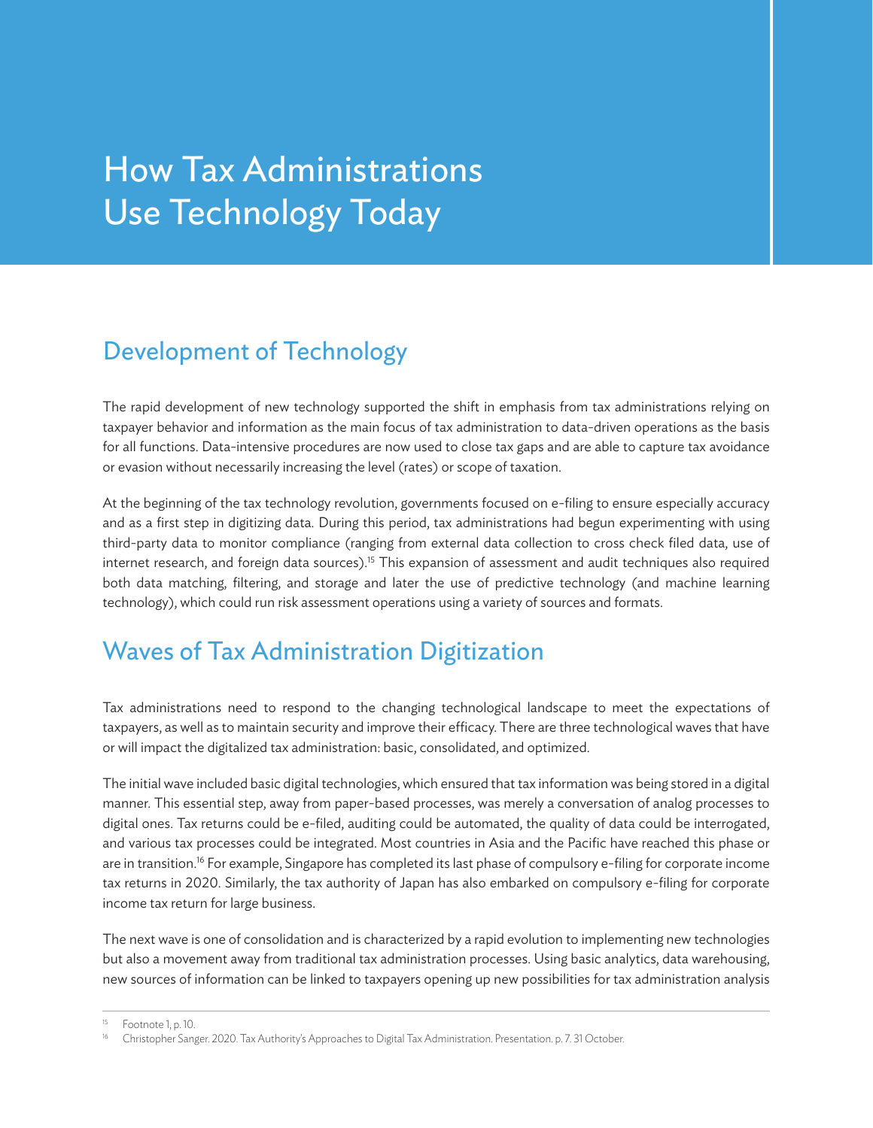## How Tax Administrations Use Technology Today

### Development of Technology

The rapid development of new technology supported the shift in emphasis from tax administrations relying on taxpayer behavior and information as the main focus of tax administration to data-driven operations as the basis for all functions. Data-intensive procedures are now used to close tax gaps and are able to capture tax avoidance or evasion without necessarily increasing the level (rates) or scope of taxation.

At the beginning of the tax technology revolution, governments focused on e-filing to ensure especially accuracy and as a first step in digitizing data. During this period, tax administrations had begun experimenting with using third-party data to monitor compliance (ranging from external data collection to cross check filed data, use of internet research, and foreign data sources).<sup>15</sup> This expansion of assessment and audit techniques also required both data matching, filtering, and storage and later the use of predictive technology (and machine learning technology), which could run risk assessment operations using a variety of sources and formats.

### Waves of Tax Administration Digitization

Tax administrations need to respond to the changing technological landscape to meet the expectations of taxpayers, as well as to maintain security and improve their efficacy. There are three technological waves that have or will impact the digitalized tax administration: basic, consolidated, and optimized.

The initial wave included basic digital technologies, which ensured that tax information was being stored in a digital manner. This essential step, away from paper-based processes, was merely a conversation of analog processes to digital ones. Tax returns could be e-filed, auditing could be automated, the quality of data could be interrogated, and various tax processes could be integrated. Most countries in Asia and the Pacific have reached this phase or are in transition.<sup>16</sup> For example, Singapore has completed its last phase of compulsory e-filing for corporate income tax returns in 2020. Similarly, the tax authority of Japan has also embarked on compulsory e-filing for corporate income tax return for large business.

The next wave is one of consolidation and is characterized by a rapid evolution to implementing new technologies but also a movement away from traditional tax administration processes. Using basic analytics, data warehousing, new sources of information can be linked to taxpayers opening up new possibilities for tax administration analysis

Footnote 1, p. 10.

<sup>16</sup> Christopher Sanger. 2020. Tax Authority's Approaches to Digital Tax Administration. Presentation. p. 7. 31 October.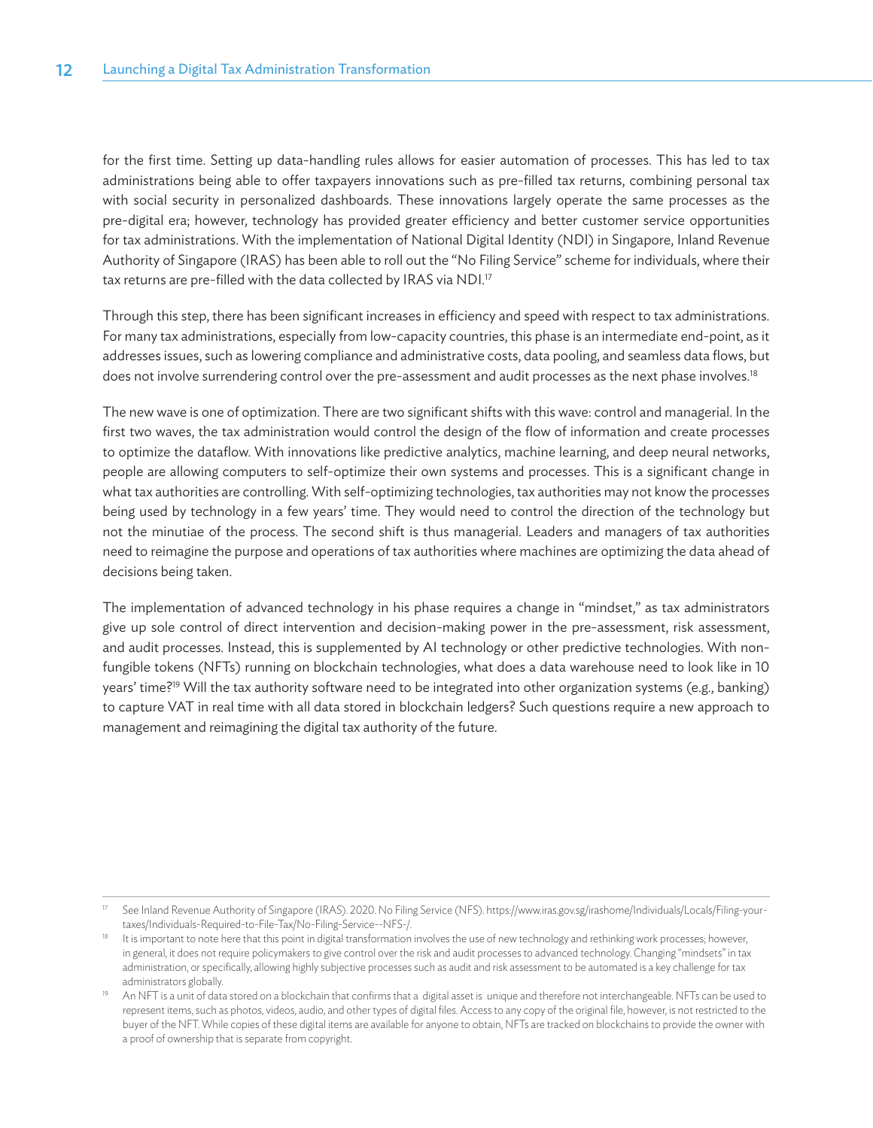for the first time. Setting up data-handling rules allows for easier automation of processes. This has led to tax administrations being able to offer taxpayers innovations such as pre-filled tax returns, combining personal tax with social security in personalized dashboards. These innovations largely operate the same processes as the pre-digital era; however, technology has provided greater efficiency and better customer service opportunities for tax administrations. With the implementation of National Digital Identity (NDI) in Singapore, Inland Revenue Authority of Singapore (IRAS) has been able to roll out the "No Filing Service" scheme for individuals, where their tax returns are pre-filled with the data collected by IRAS via NDI.<sup>17</sup>

Through this step, there has been significant increases in efficiency and speed with respect to tax administrations. For many tax administrations, especially from low-capacity countries, this phase is an intermediate end-point, as it addresses issues, such as lowering compliance and administrative costs, data pooling, and seamless data flows, but does not involve surrendering control over the pre-assessment and audit processes as the next phase involves.<sup>18</sup>

The new wave is one of optimization. There are two significant shifts with this wave: control and managerial. In the first two waves, the tax administration would control the design of the flow of information and create processes to optimize the dataflow. With innovations like predictive analytics, machine learning, and deep neural networks, people are allowing computers to self-optimize their own systems and processes. This is a significant change in what tax authorities are controlling. With self-optimizing technologies, tax authorities may not know the processes being used by technology in a few years' time. They would need to control the direction of the technology but not the minutiae of the process. The second shift is thus managerial. Leaders and managers of tax authorities need to reimagine the purpose and operations of tax authorities where machines are optimizing the data ahead of decisions being taken.

The implementation of advanced technology in his phase requires a change in "mindset," as tax administrators give up sole control of direct intervention and decision-making power in the pre-assessment, risk assessment, and audit processes. Instead, this is supplemented by AI technology or other predictive technologies. With nonfungible tokens (NFTs) running on blockchain technologies, what does a data warehouse need to look like in 10 years' time?19 Will the tax authority software need to be integrated into other organization systems (e.g., banking) to capture VAT in real time with all data stored in blockchain ledgers? Such questions require a new approach to management and reimagining the digital tax authority of the future.

<sup>17</sup> See Inland Revenue Authority of Singapore (IRAS). 2020. No Filing Service (NFS). [https://www.iras.gov.sg/irashome/Individuals/Locals/Filing-your](https://www.iras.gov.sg/irashome/Individuals/Locals?Filing-your-taxes/Individuals-Required-to-File-Tax/No-Filing-Service--NFS-/)[taxes/Individuals-Required-to-File-Tax/No-Filing-Service--NFS-/.](https://www.iras.gov.sg/irashome/Individuals/Locals?Filing-your-taxes/Individuals-Required-to-File-Tax/No-Filing-Service--NFS-/)

<sup>&</sup>lt;sup>18</sup> It is important to note here that this point in digital transformation involves the use of new technology and rethinking work processes; however, in general, it does not require policymakers to give control over the risk and audit processes to advanced technology. Changing "mindsets" in tax administration, or specifically, allowing highly subjective processes such as audit and risk assessment to be automated is a key challenge for tax administrators globally.

<sup>19</sup> An NFT is a unit of data stored on [a blockchai](https://en.wikipedia.org/wiki/Blockchain)n that confirms that [a digital asse](https://en.wikipedia.org/wiki/Digital_asset)t is unique and therefore not interchangeable. NFTs can be used to represent items, such as photos, videos, audio, and other types of digital files. Access to any copy of the original file, however, is not restricted to the buyer of the NFT. While copies of these digital items are available for anyone to obtain, NFTs are tracked on blockchains to provide the owner with a proof of [ownership](https://en.wikipedia.org/wiki/Ownership) that is separate from [copyright.](https://en.wikipedia.org/wiki/Copyright)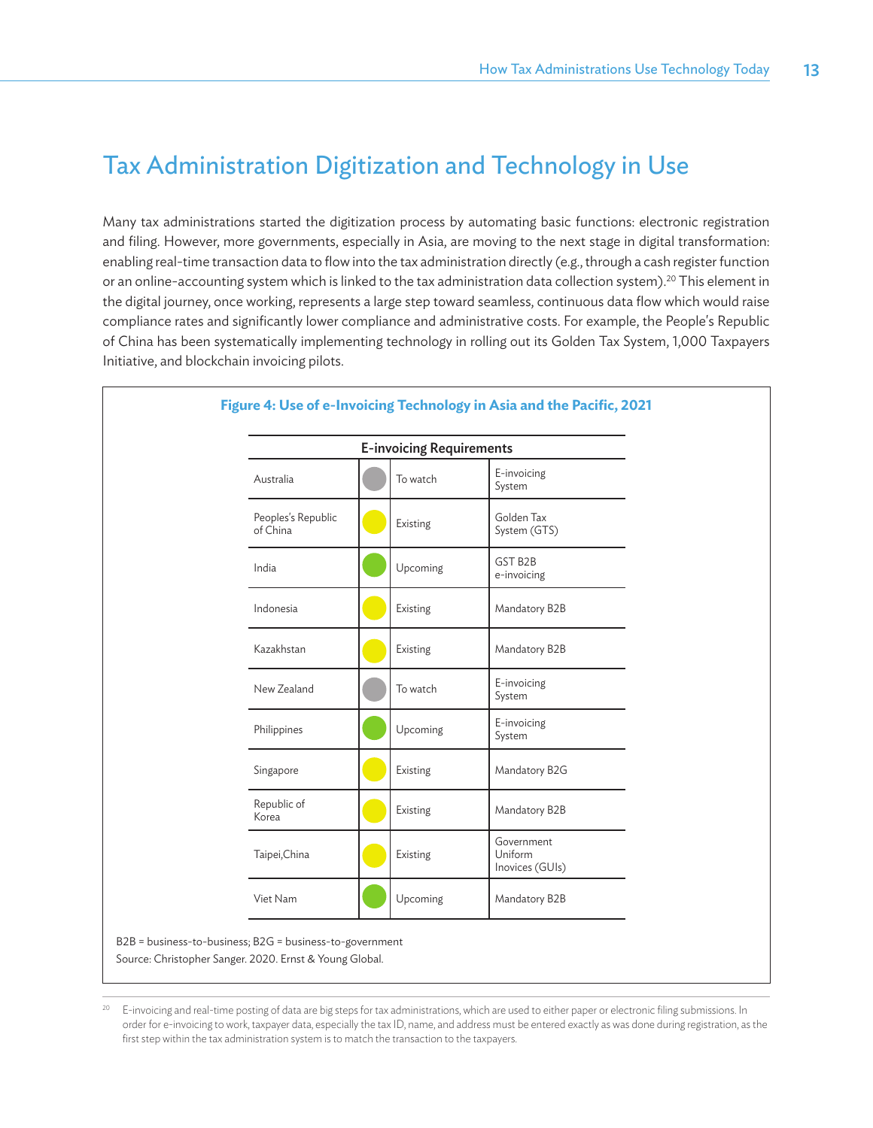## Tax Administration Digitization and Technology in Use

Many tax administrations started the digitization process by automating basic functions: electronic registration and filing. However, more governments, especially in Asia, are moving to the next stage in digital transformation: enabling real-time transaction data to flow into the tax administration directly (e.g., through a cash register function or an online-accounting system which is linked to the tax administration data collection system).<sup>20</sup> This element in the digital journey, once working, represents a large step toward seamless, continuous data flow which would raise compliance rates and significantly lower compliance and administrative costs. For example, the People's Republic of China has been systematically implementing technology in rolling out its Golden Tax System, 1,000 Taxpayers Initiative, and blockchain invoicing pilots.

|                                | <b>E-invoicing Requirements</b> |                                          |
|--------------------------------|---------------------------------|------------------------------------------|
| Australia                      | To watch                        | E-invoicing<br>System                    |
| Peoples's Republic<br>of China | Existing                        | Golden Tax<br>System (GTS)               |
| India                          | Upcoming                        | GST B2B<br>e-invoicing                   |
| Indonesia                      | Existing                        | Mandatory B2B                            |
| Kazakhstan                     | Existing                        | Mandatory B2B                            |
| New Zealand                    | To watch                        | E-invoicing<br>System                    |
| Philippines                    | Upcoming                        | E-invoicing<br>System                    |
| Singapore                      | Existing                        | Mandatory B2G                            |
| Republic of<br>Korea           | Existing                        | Mandatory B2B                            |
| Taipei, China                  | Existing                        | Government<br>Uniform<br>Inovices (GUIs) |
| Viet Nam                       | Upcoming                        | Mandatory B2B                            |

o-business; B2G = business-to-government Source: Christopher Sanger. 2020. Ernst & Young Global.

<sup>&</sup>lt;sup>20</sup> E-invoicing and real-time posting of data are big steps for tax administrations, which are used to either paper or electronic filing submissions. In order for e-invoicing to work, taxpayer data, especially the tax ID, name, and address must be entered exactly as was done during registration, as the first step within the tax administration system is to match the transaction to the taxpayers.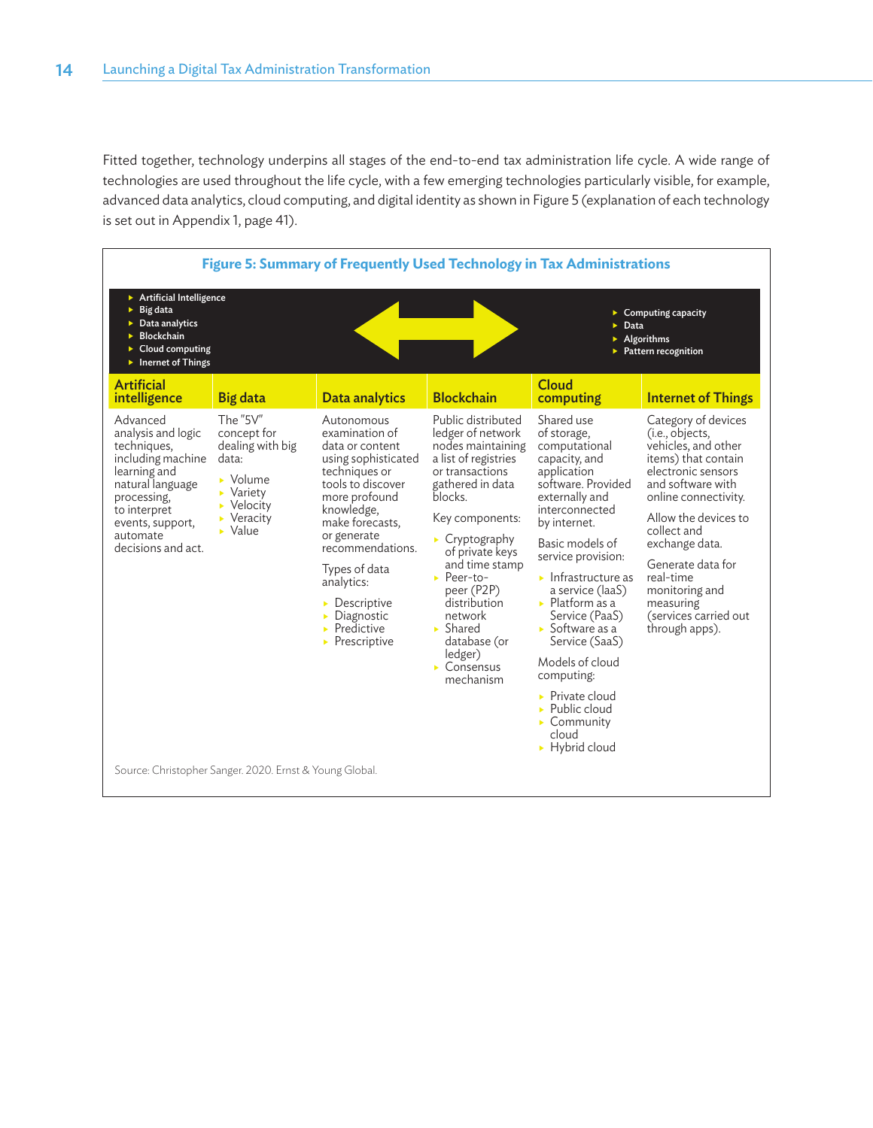Fitted together, technology underpins all stages of the end-to-end tax administration life cycle. A wide range of technologies are used throughout the life cycle, with a few emerging technologies particularly visible, for example, advanced data analytics, cloud computing, and digital identity as shown in Figure 5 (explanation of each technology is set out in Appendix 1, page 41).

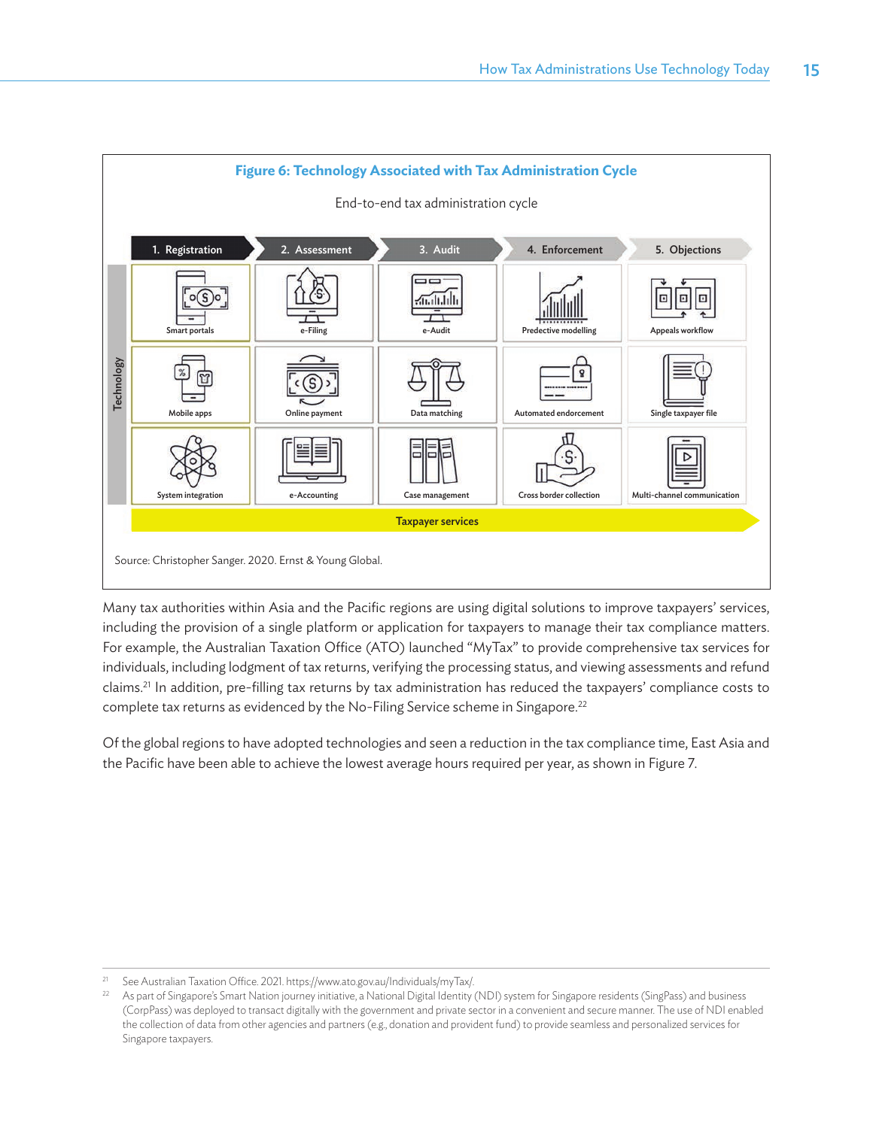

Many tax authorities within Asia and the Pacific regions are using digital solutions to improve taxpayers' services, including the provision of a single platform or application for taxpayers to manage their tax compliance matters. For example, the Australian Taxation Office (ATO) launched "MyTax" to provide comprehensive tax services for individuals, including lodgment of tax returns, verifying the processing status, and viewing assessments and refund claims.21 In addition, pre-filling tax returns by tax administration has reduced the taxpayers' compliance costs to complete tax returns as evidenced by the No-Filing Service scheme in Singapore.<sup>22</sup>

Of the global regions to have adopted technologies and seen a reduction in the tax compliance time, East Asia and the Pacific have been able to achieve the lowest average hours required per year, as shown in Figure 7.

<sup>&</sup>lt;sup>21</sup> See Australian Taxation Office. 2021. https://www.ato.gov.au/Individuals/myTax/.<br>22 Ae part of Singenera's Smart Nation in unau initiative a National District Identity.

<sup>22</sup> As part of Singapore's Smart Nation journey initiative, a National Digital Identity (NDI) system for Singapore residents (SingPass) and business (CorpPass) was deployed to transact digitally with the government and private sector in a convenient and secure manner. The use of NDI enabled the collection of data from other agencies and partners (e.g., donation and provident fund) to provide seamless and personalized services for Singapore taxpayers.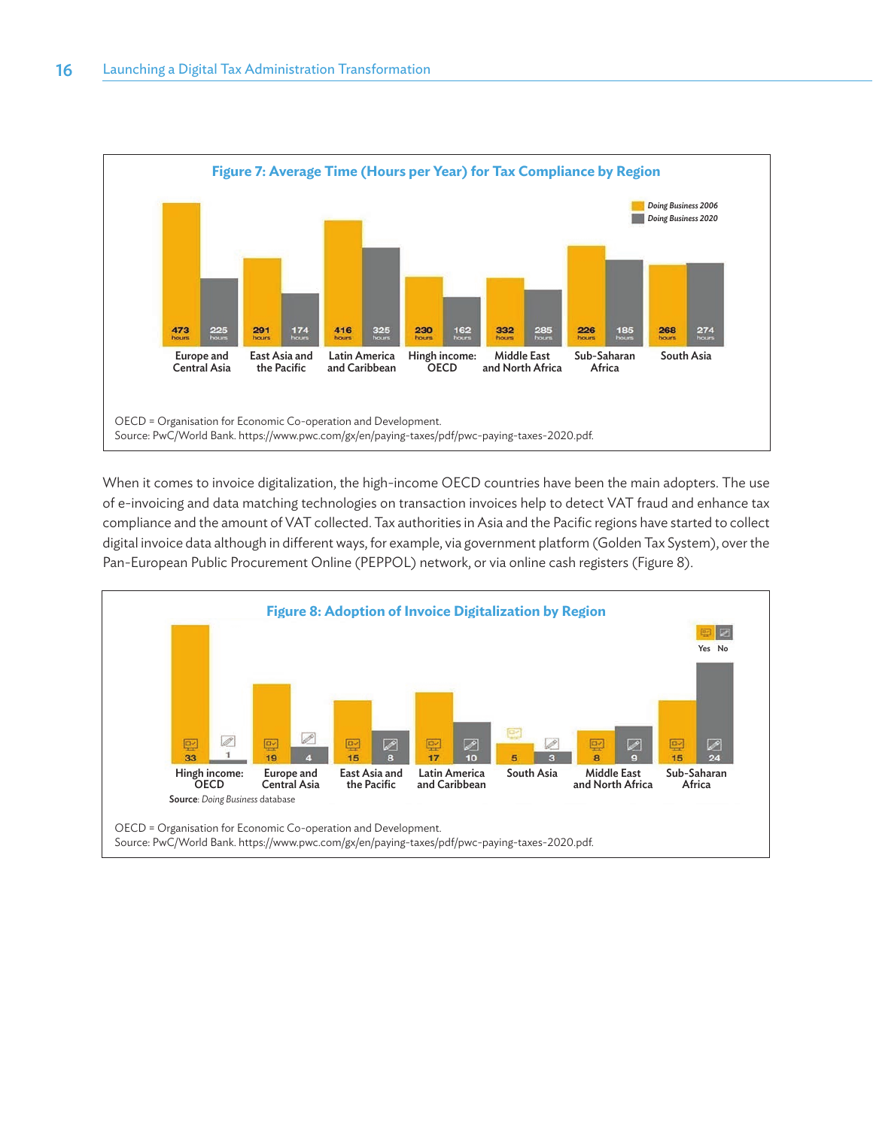

When it comes to invoice digitalization, the high-income OECD countries have been the main adopters. The use of e-invoicing and data matching technologies on transaction invoices help to detect VAT fraud and enhance tax compliance and the amount of VAT collected. Tax authorities in Asia and the Pacific regions have started to collect digital invoice data although in different ways, for example, via government platform (Golden Tax System), over the Pan-European Public Procurement Online (PEPPOL) network, or via online cash registers (Figure 8).

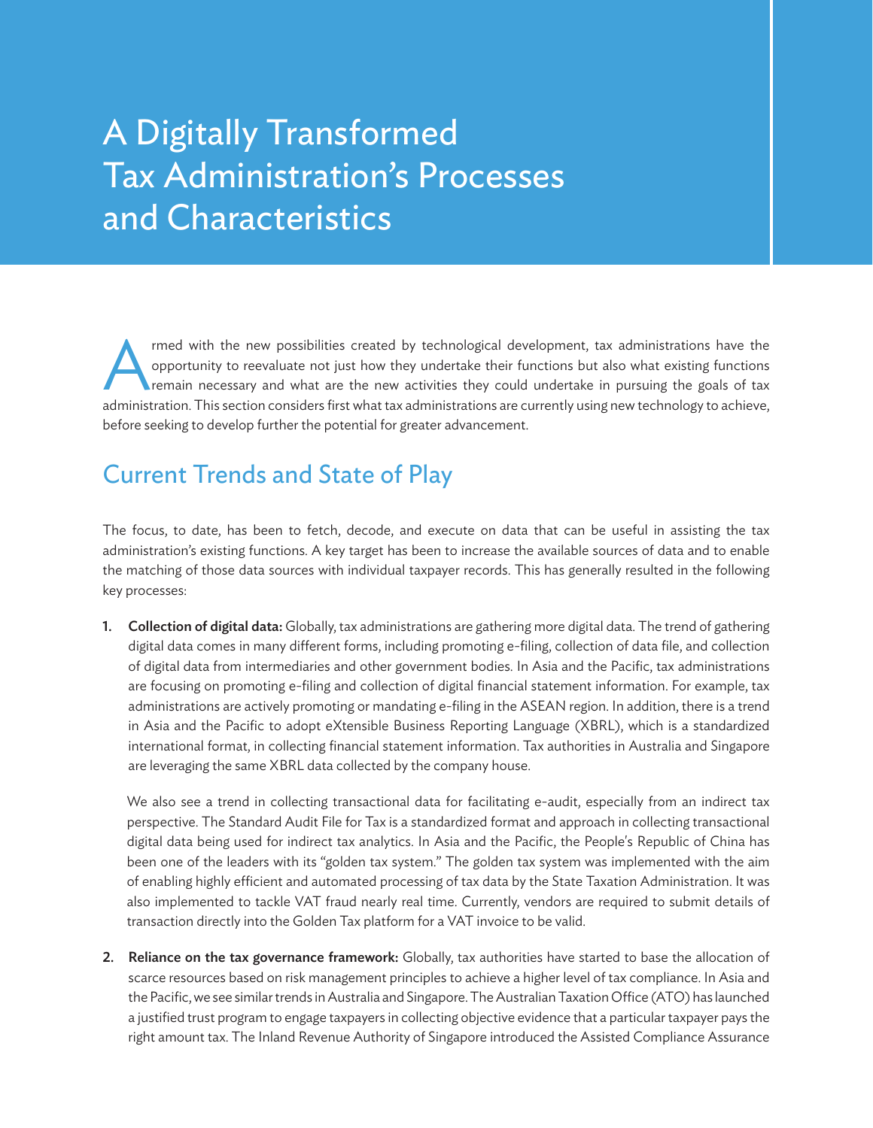## A Digitally Transformed Tax Administration's Processes and Characteristics

rmed with the new possibilities created by technological development, tax administrations have the opportunity to reevaluate not just how they undertake their functions but also what existing functions remain necessary and opportunity to reevaluate not just how they undertake their functions but also what existing functions remain necessary and what are the new activities they could undertake in pursuing the goals of tax administration. This section considers first what tax administrations are currently using new technology to achieve, before seeking to develop further the potential for greater advancement.

### Current Trends and State of Play

The focus, to date, has been to fetch, decode, and execute on data that can be useful in assisting the tax administration's existing functions. A key target has been to increase the available sources of data and to enable the matching of those data sources with individual taxpayer records. This has generally resulted in the following key processes:

1. Collection of digital data: Globally, tax administrations are gathering more digital data. The trend of gathering digital data comes in many different forms, including promoting e-filing, collection of data file, and collection of digital data from intermediaries and other government bodies. In Asia and the Pacific, tax administrations are focusing on promoting e-filing and collection of digital financial statement information. For example, tax administrations are actively promoting or mandating e-filing in the ASEAN region. In addition, there is a trend in Asia and the Pacific to adopt eXtensible Business Reporting Language (XBRL), which is a standardized international format, in collecting financial statement information. Tax authorities in Australia and Singapore are leveraging the same XBRL data collected by the company house.

We also see a trend in collecting transactional data for facilitating e-audit, especially from an indirect tax perspective. The Standard Audit File for Tax is a standardized format and approach in collecting transactional digital data being used for indirect tax analytics. In Asia and the Pacific, the People's Republic of China has been one of the leaders with its "golden tax system." The golden tax system was implemented with the aim of enabling highly efficient and automated processing of tax data by the State Taxation Administration. It was also implemented to tackle VAT fraud nearly real time. Currently, vendors are required to submit details of transaction directly into the Golden Tax platform for a VAT invoice to be valid.

2. Reliance on the tax governance framework: Globally, tax authorities have started to base the allocation of scarce resources based on risk management principles to achieve a higher level of tax compliance. In Asia and the Pacific, we see similar trends in Australia and Singapore. The Australian Taxation Office (ATO) has launched a justified trust program to engage taxpayers in collecting objective evidence that a particular taxpayer pays the right amount tax. The Inland Revenue Authority of Singapore introduced the Assisted Compliance Assurance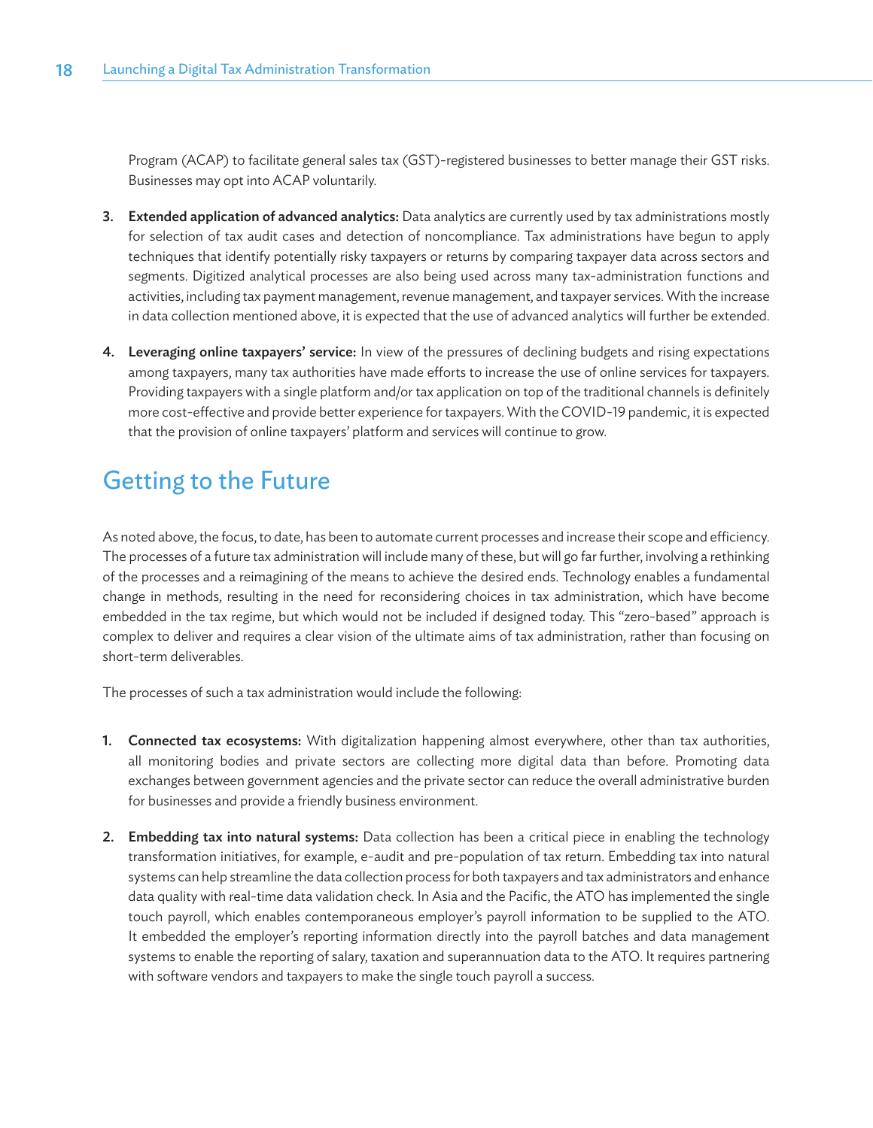Program (ACAP) to facilitate general sales tax (GST)-registered businesses to better manage their GST risks. Businesses may opt into ACAP voluntarily.

- 3. Extended application of advanced analytics: Data analytics are currently used by tax administrations mostly for selection of tax audit cases and detection of noncompliance. Tax administrations have begun to apply techniques that identify potentially risky taxpayers or returns by comparing taxpayer data across sectors and segments. Digitized analytical processes are also being used across many tax-administration functions and activities, including tax payment management, revenue management, and taxpayer services. With the increase in data collection mentioned above, it is expected that the use of advanced analytics will further be extended.
- 4. Leveraging online taxpayers' service: In view of the pressures of declining budgets and rising expectations among taxpayers, many tax authorities have made efforts to increase the use of online services for taxpayers. Providing taxpayers with a single platform and/or tax application on top of the traditional channels is definitely more cost-effective and provide better experience for taxpayers. With the COVID-19 pandemic, it is expected that the provision of online taxpayers' platform and services will continue to grow.

### Getting to the Future

As noted above, the focus, to date, has been to automate current processes and increase their scope and efficiency. The processes of a future tax administration will include many of these, but will go far further, involving a rethinking of the processes and a reimagining of the means to achieve the desired ends. Technology enables a fundamental change in methods, resulting in the need for reconsidering choices in tax administration, which have become embedded in the tax regime, but which would not be included if designed today. This "zero-based" approach is complex to deliver and requires a clear vision of the ultimate aims of tax administration, rather than focusing on short-term deliverables.

The processes of such a tax administration would include the following:

- 1. Connected tax ecosystems: With digitalization happening almost everywhere, other than tax authorities, all monitoring bodies and private sectors are collecting more digital data than before. Promoting data exchanges between government agencies and the private sector can reduce the overall administrative burden for businesses and provide a friendly business environment.
- 2. Embedding tax into natural systems: Data collection has been a critical piece in enabling the technology transformation initiatives, for example, e-audit and pre-population of tax return. Embedding tax into natural systems can help streamline the data collection process for both taxpayers and tax administrators and enhance data quality with real-time data validation check. In Asia and the Pacific, the ATO has implemented the single touch payroll, which enables contemporaneous employer's payroll information to be supplied to the ATO. It embedded the employer's reporting information directly into the payroll batches and data management systems to enable the reporting of salary, taxation and superannuation data to the ATO. It requires partnering with software vendors and taxpayers to make the single touch payroll a success.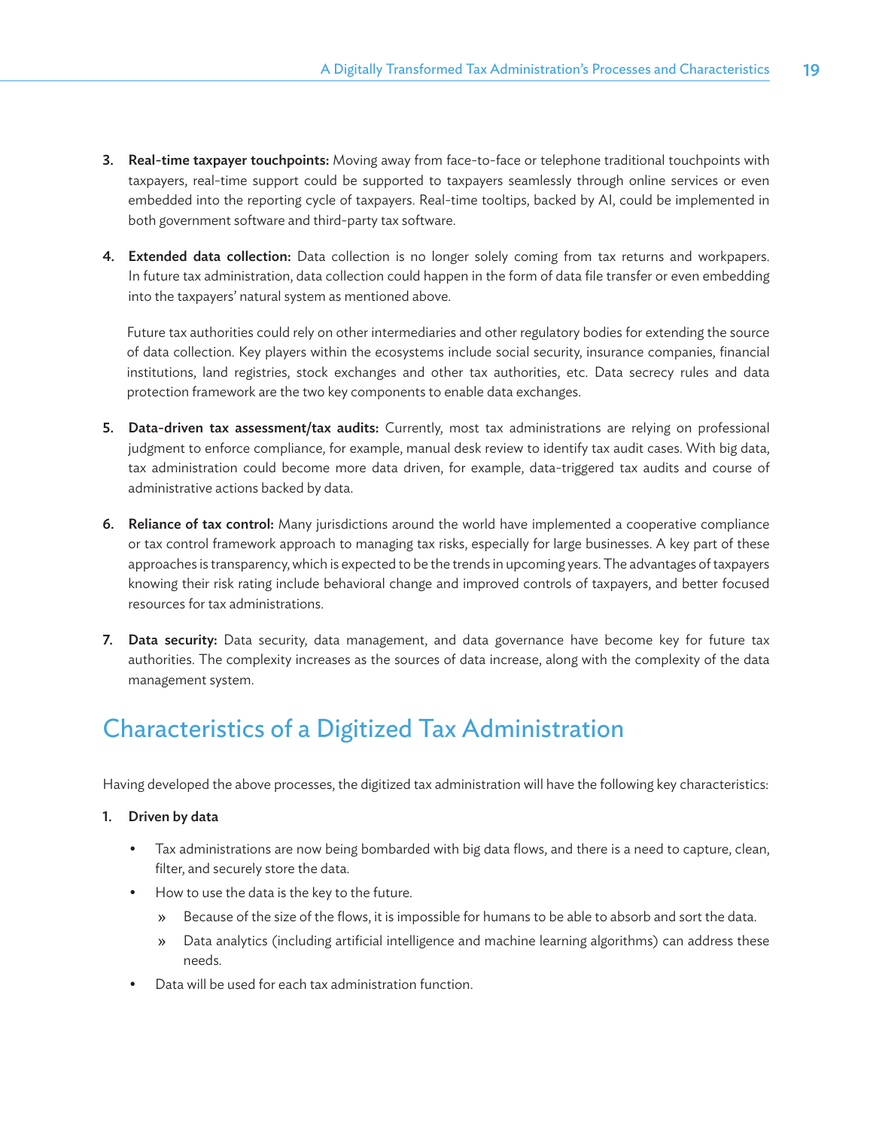- **3.** Real-time taxpayer touchpoints: Moving away from face-to-face or telephone traditional touchpoints with taxpayers, real-time support could be supported to taxpayers seamlessly through online services or even embedded into the reporting cycle of taxpayers. Real-time tooltips, backed by AI, could be implemented in both government software and third-party tax software.
- 4. Extended data collection: Data collection is no longer solely coming from tax returns and workpapers. In future tax administration, data collection could happen in the form of data file transfer or even embedding into the taxpayers' natural system as mentioned above.

Future tax authorities could rely on other intermediaries and other regulatory bodies for extending the source of data collection. Key players within the ecosystems include social security, insurance companies, financial institutions, land registries, stock exchanges and other tax authorities, etc. Data secrecy rules and data protection framework are the two key components to enable data exchanges.

- 5. Data-driven tax assessment/tax audits: Currently, most tax administrations are relying on professional judgment to enforce compliance, for example, manual desk review to identify tax audit cases. With big data, tax administration could become more data driven, for example, data-triggered tax audits and course of administrative actions backed by data.
- 6. Reliance of tax control: Many jurisdictions around the world have implemented a cooperative compliance or tax control framework approach to managing tax risks, especially for large businesses. A key part of these approaches is transparency, which is expected to be the trends in upcoming years. The advantages of taxpayers knowing their risk rating include behavioral change and improved controls of taxpayers, and better focused resources for tax administrations.
- 7. Data security: Data security, data management, and data governance have become key for future tax authorities. The complexity increases as the sources of data increase, along with the complexity of the data management system.

### Characteristics of a Digitized Tax Administration

Having developed the above processes, the digitized tax administration will have the following key characteristics:

#### 1. Driven by data

- Tax administrations are now being bombarded with big data flows, and there is a need to capture, clean, filter, and securely store the data.
- How to use the data is the key to the future.
	- » Because of the size of the flows, it is impossible for humans to be able to absorb and sort the data.
	- » Data analytics (including artificial intelligence and machine learning algorithms) can address these needs.
- Data will be used for each tax administration function.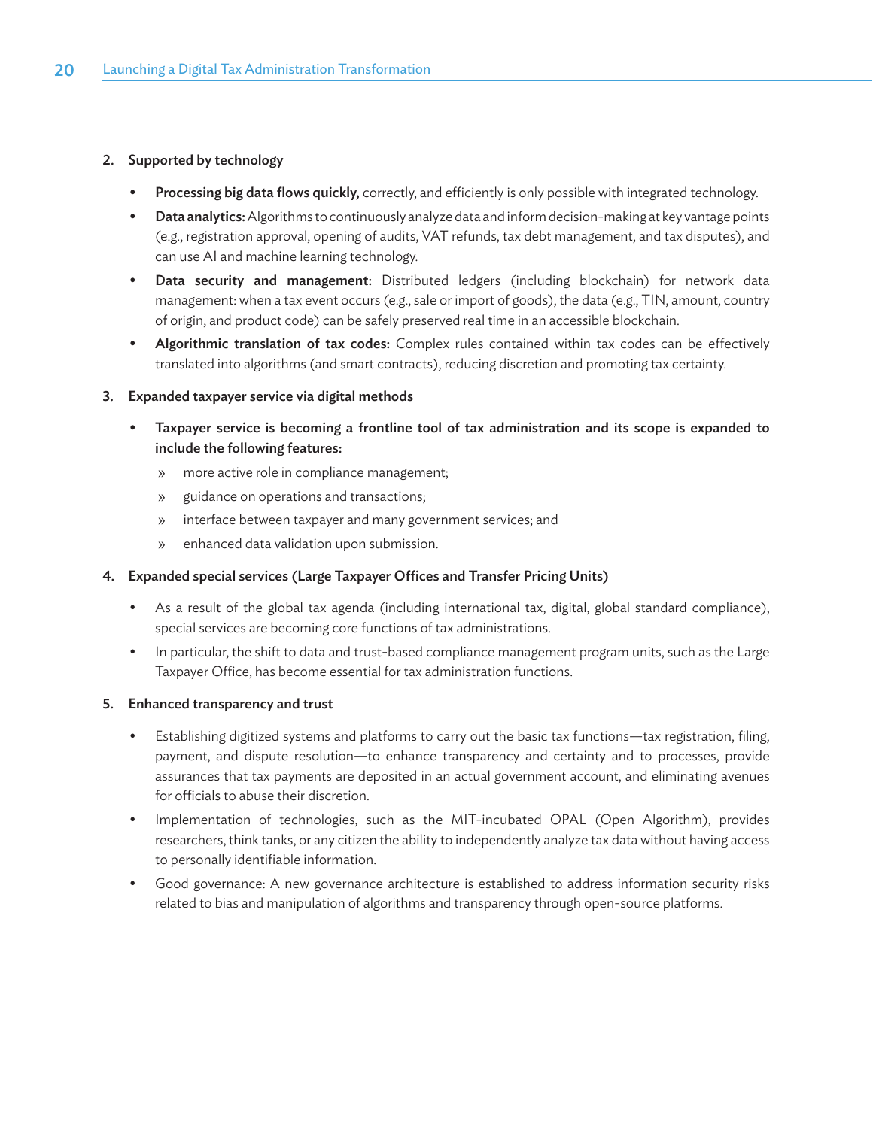#### 2. Supported by technology

- Processing big data flows quickly, correctly, and efficiently is only possible with integrated technology.
- Data analytics: Algorithms to continuously analyze data and inform decision-making at key vantage points (e.g., registration approval, opening of audits, VAT refunds, tax debt management, and tax disputes), and can use AI and machine learning technology.
- Data security and management: Distributed ledgers (including blockchain) for network data management: when a tax event occurs (e.g., sale or import of goods), the data (e.g., TIN, amount, country of origin, and product code) can be safely preserved real time in an accessible blockchain.
- Algorithmic translation of tax codes: Complex rules contained within tax codes can be effectively translated into algorithms (and smart contracts), reducing discretion and promoting tax certainty.

#### 3. Expanded taxpayer service via digital methods

- Taxpayer service is becoming a frontline tool of tax administration and its scope is expanded to include the following features:
	- » more active role in compliance management;
	- » guidance on operations and transactions;
	- » interface between taxpayer and many government services; and
	- » enhanced data validation upon submission.

#### 4. Expanded special services (Large Taxpayer Offices and Transfer Pricing Units)

- As a result of the global tax agenda (including international tax, digital, global standard compliance), special services are becoming core functions of tax administrations.
- In particular, the shift to data and trust-based compliance management program units, such as the Large Taxpayer Office, has become essential for tax administration functions.

#### 5. Enhanced transparency and trust

- Establishing digitized systems and platforms to carry out the basic tax functions—tax registration, filing, payment, and dispute resolution—to enhance transparency and certainty and to processes, provide assurances that tax payments are deposited in an actual government account, and eliminating avenues for officials to abuse their discretion.
- Implementation of technologies, such as the MIT-incubated [OPAL](https://www.opalproject.org/) (Open Algorithm), provides researchers, think tanks, or any citizen the ability to independently analyze tax data without having access to personally identifiable information.
- Good governance: A new governance architecture is established to address information security risks related to bias and manipulation of algorithms and transparency through open-source platforms.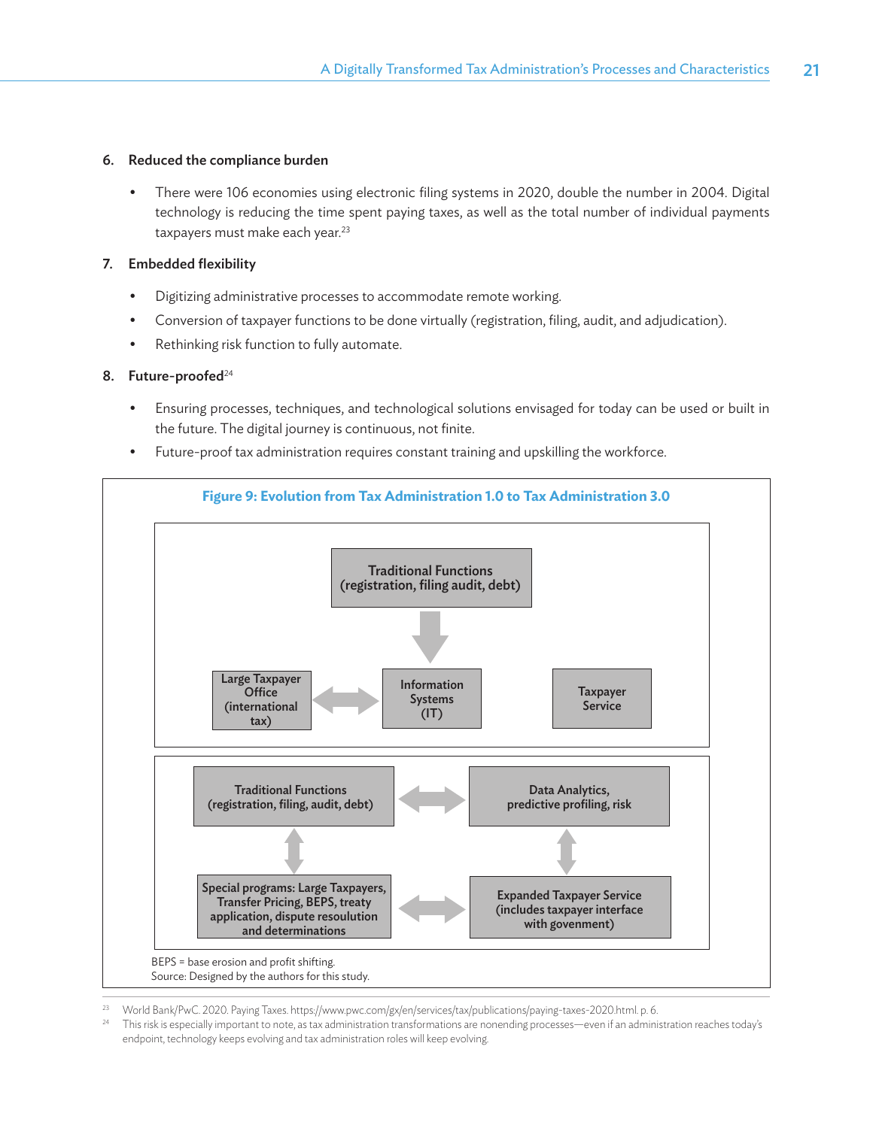#### 6. Reduced the compliance burden

• There were 106 economies using electronic filing systems in 2020, double the number in 2004. Digital technology is reducing the time spent paying taxes, as well as the total number of individual payments taxpayers must make each year.<sup>23</sup>

#### 7. Embedded flexibility

- Digitizing administrative processes to accommodate remote working.
- Conversion of taxpayer functions to be done virtually (registration, filing, audit, and adjudication).
- Rethinking risk function to fully automate.

#### 8. Future-proofed $^{24}$

- Ensuring processes, techniques, and technological solutions envisaged for today can be used or built in the future. The digital journey is continuous, not finite.
- Future-proof tax administration requires constant training and upskilling the workforce.



<sup>23</sup> World Bank/PwC. 2020. Paying Taxes. [https://www.pwc.com/gx/en/services/tax/publications/paying-taxes-2020.html.](https://www.pwc.com/gx/en/services/tax/publications/paying-taxes-2020.html) p. 6.

<sup>&</sup>lt;sup>24</sup> This risk is especially important to note, as tax administration transformations are nonending processes—even if an administration reaches today's endpoint, technology keeps evolving and tax administration roles will keep evolving.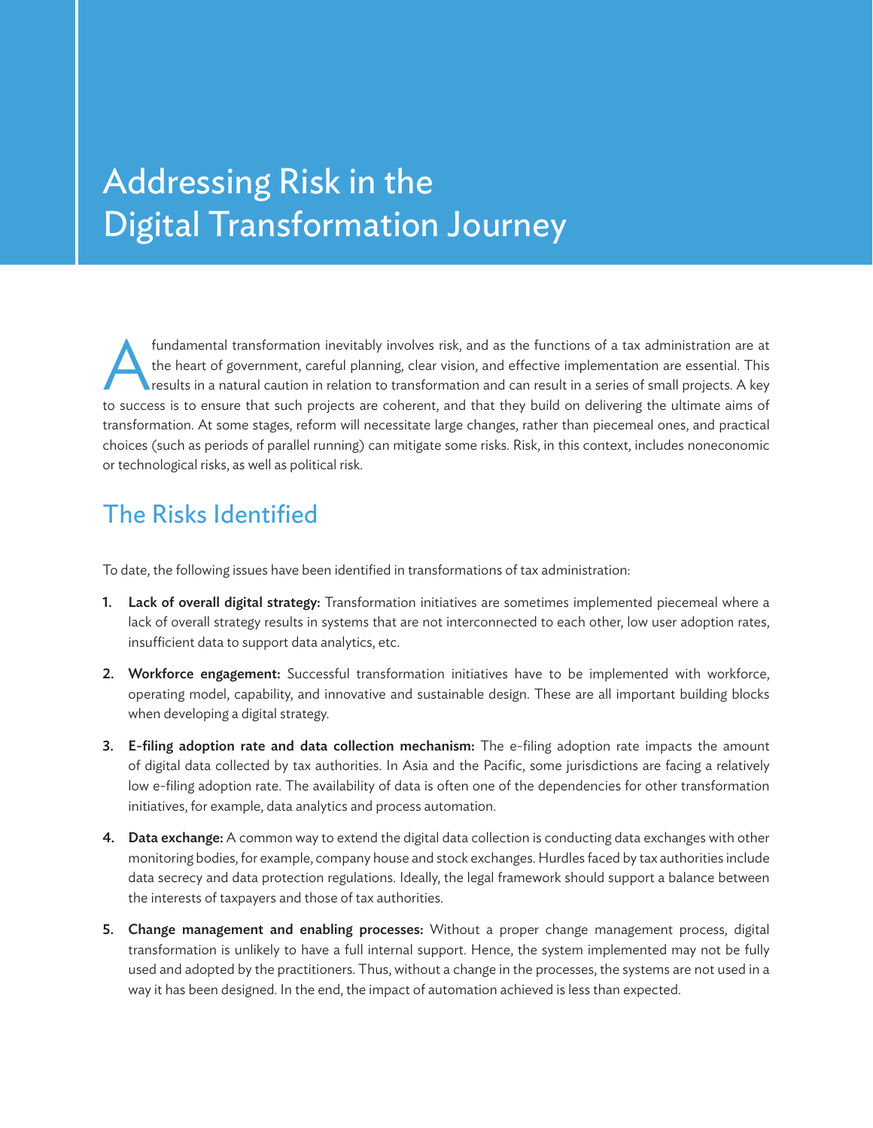## Addressing Risk in the Digital Transformation Journey

fundamental transformation inevitably involves risk, and as the functions of a tax administration are at the heart of government, careful planning, clear vision, and effective implementation are essential. This results in the heart of government, careful planning, clear vision, and effective implementation are essential. This results in a natural caution in relation to transformation and can result in a series of small projects. A key to success is to ensure that such projects are coherent, and that they build on delivering the ultimate aims of transformation. At some stages, reform will necessitate large changes, rather than piecemeal ones, and practical choices (such as periods of parallel running) can mitigate some risks. Risk, in this context, includes noneconomic or technological risks, as well as political risk.

## The Risks Identified

To date, the following issues have been identified in transformations of tax administration:

- 1. Lack of overall digital strategy: Transformation initiatives are sometimes implemented piecemeal where a lack of overall strategy results in systems that are not interconnected to each other, low user adoption rates, insufficient data to support data analytics, etc.
- 2. Workforce engagement: Successful transformation initiatives have to be implemented with workforce, operating model, capability, and innovative and sustainable design. These are all important building blocks when developing a digital strategy.
- 3. E-filing adoption rate and data collection mechanism: The e-filing adoption rate impacts the amount of digital data collected by tax authorities. In Asia and the Pacific, some jurisdictions are facing a relatively low e-filing adoption rate. The availability of data is often one of the dependencies for other transformation initiatives, for example, data analytics and process automation.
- 4. Data exchange: A common way to extend the digital data collection is conducting data exchanges with other monitoring bodies, for example, company house and stock exchanges. Hurdles faced by tax authorities include data secrecy and data protection regulations. Ideally, the legal framework should support a balance between the interests of taxpayers and those of tax authorities.
- 5. Change management and enabling processes: Without a proper change management process, digital transformation is unlikely to have a full internal support. Hence, the system implemented may not be fully used and adopted by the practitioners. Thus, without a change in the processes, the systems are not used in a way it has been designed. In the end, the impact of automation achieved is less than expected.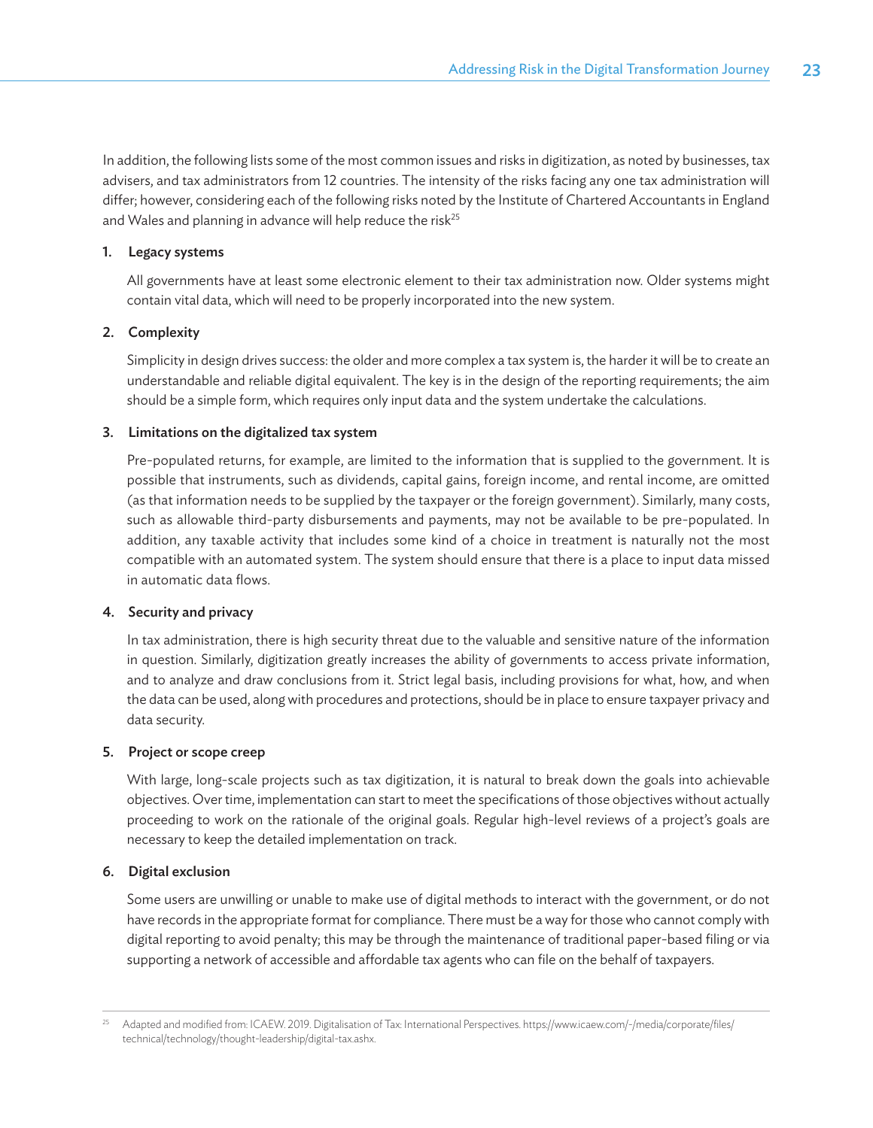In addition, the following lists some of the most common issues and risks in digitization, as noted by businesses, tax advisers, and tax administrators from 12 countries. The intensity of the risks facing any one tax administration will differ; however, considering each of the following risks noted by the Institute of Chartered Accountants in England and Wales and planning in advance will help reduce the risk<sup>25</sup>

#### 1. Legacy systems

All governments have at least some electronic element to their tax administration now. Older systems might contain vital data, which will need to be properly incorporated into the new system.

#### 2. Complexity

Simplicity in design drives success: the older and more complex a tax system is, the harder it will be to create an understandable and reliable digital equivalent. The key is in the design of the reporting requirements; the aim should be a simple form, which requires only input data and the system undertake the calculations.

#### 3. Limitations on the digitalized tax system

Pre-populated returns, for example, are limited to the information that is supplied to the government. It is possible that instruments, such as dividends, capital gains, foreign income, and rental income, are omitted (as that information needs to be supplied by the taxpayer or the foreign government). Similarly, many costs, such as allowable third-party disbursements and payments, may not be available to be pre-populated. In addition, any taxable activity that includes some kind of a choice in treatment is naturally not the most compatible with an automated system. The system should ensure that there is a place to input data missed in automatic data flows.

#### 4. Security and privacy

In tax administration, there is high security threat due to the valuable and sensitive nature of the information in question. Similarly, digitization greatly increases the ability of governments to access private information, and to analyze and draw conclusions from it. Strict legal basis, including provisions for what, how, and when the data can be used, along with procedures and protections, should be in place to ensure taxpayer privacy and data security.

#### 5. Project or scope creep

With large, long-scale projects such as tax digitization, it is natural to break down the goals into achievable objectives. Over time, implementation can start to meet the specifications of those objectives without actually proceeding to work on the rationale of the original goals. Regular high-level reviews of a project's goals are necessary to keep the detailed implementation on track.

#### 6. Digital exclusion

Some users are unwilling or unable to make use of digital methods to interact with the government, or do not have records in the appropriate format for compliance. There must be a way for those who cannot comply with digital reporting to avoid penalty; this may be through the maintenance of traditional paper-based filing or via supporting a network of accessible and affordable tax agents who can file on the behalf of taxpayers.

<sup>25</sup> Adapted and modified from: ICAEW. 2019. Digitalisation of Tax: International Perspectives. [https://www.icaew.com/-/media/corporate/files/](https://www.icaew.com/-/media/corporate/files/technical/technology/thought-leadership/digital-tax.ashx)  [technical/technology/thought-leadership/digital-tax.ashx](https://www.icaew.com/-/media/corporate/files/technical/technology/thought-leadership/digital-tax.ashx).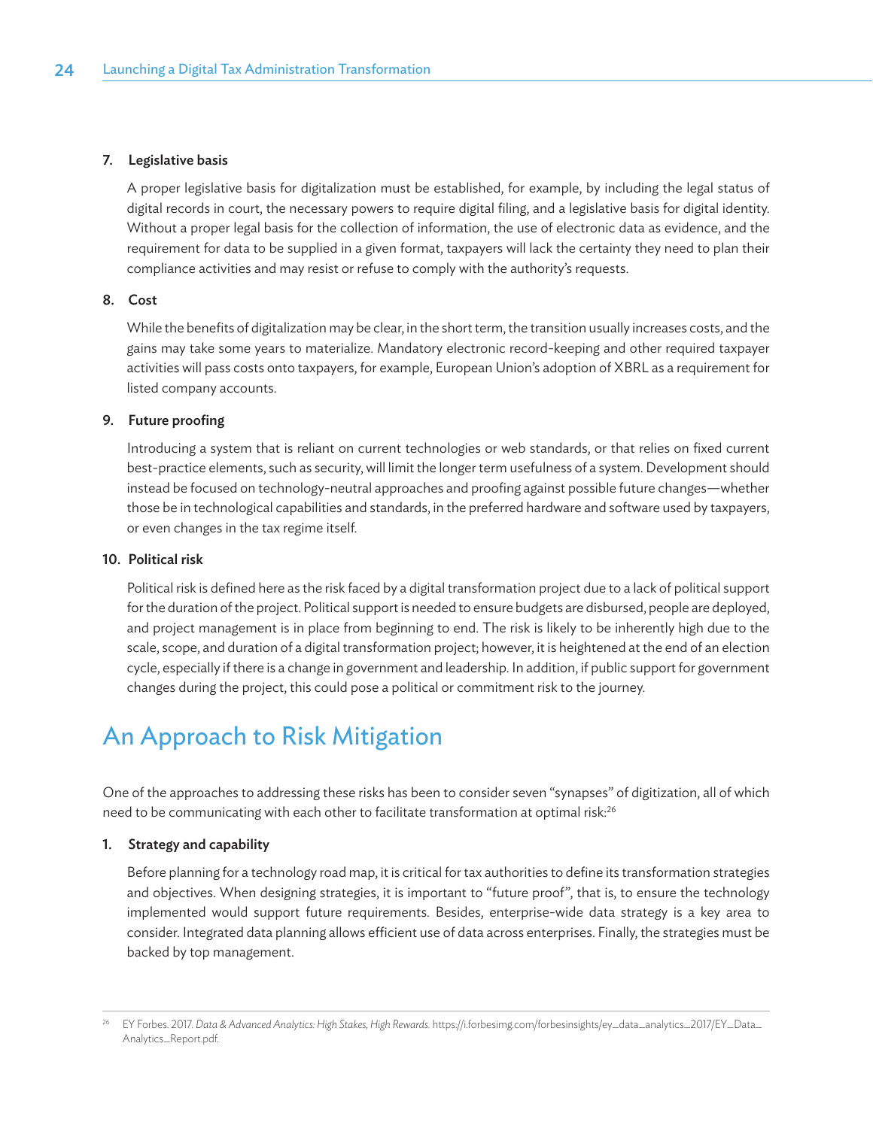#### 7. Legislative basis

A proper legislative basis for digitalization must be established, for example, by including the legal status of digital records in court, the necessary powers to require digital filing, and a legislative basis for digital identity. Without a proper legal basis for the collection of information, the use of electronic data as evidence, and the requirement for data to be supplied in a given format, taxpayers will lack the certainty they need to plan their compliance activities and may resist or refuse to comply with the authority's requests.

#### 8. Cost

While the benefits of digitalization may be clear, in the short term, the transition usually increases costs, and the gains may take some years to materialize. Mandatory electronic record-keeping and other required taxpayer activities will pass costs onto taxpayers, for example, European Union's adoption of XBRL as a requirement for listed company accounts.

#### 9. Future proofing

Introducing a system that is reliant on current technologies or web standards, or that relies on fixed current best-practice elements, such as security, will limit the longer term usefulness of a system. Development should instead be focused on technology-neutral approaches and proofing against possible future changes—whether those be in technological capabilities and standards, in the preferred hardware and software used by taxpayers, or even changes in the tax regime itself.

#### 10. Political risk

Political risk is defined here as the risk faced by a digital transformation project due to a lack of political support for the duration of the project. Political support is needed to ensure budgets are disbursed, people are deployed, and project management is in place from beginning to end. The risk is likely to be inherently high due to the scale, scope, and duration of a digital transformation project; however, it is heightened at the end of an election cycle, especially if there is a change in government and leadership. In addition, if public support for government changes during the project, this could pose a political or commitment risk to the journey.

### An Approach to Risk Mitigation

One of the approaches to addressing these risks has been to consider seven "synapses" of digitization, all of which need to be communicating with each other to facilitate transformation at optimal risk:<sup>26</sup>

#### 1. Strategy and capability

Before planning for a technology road map, it is critical for tax authorities to define its transformation strategies and objectives. When designing strategies, it is important to "future proof", that is, to ensure the technology implemented would support future requirements. Besides, enterprise-wide data strategy is a key area to consider. Integrated data planning allows efficient use of data across enterprises. Finally, the strategies must be backed by top management.

<sup>26</sup> EY Forbes. 2017. *Data & Advanced Analytics: High Stakes, High Rewards.* [https://i.forbesimg.com/forbesinsights/ey\\_data\\_analytics\\_2017/EY\\_Data\\_](https://i.forbesimg.com/forbesinsights/ey_data_analytics_2017/EY_Data_Analytics_Report.pdf) [Analytics\\_Report.pdf](https://i.forbesimg.com/forbesinsights/ey_data_analytics_2017/EY_Data_Analytics_Report.pdf).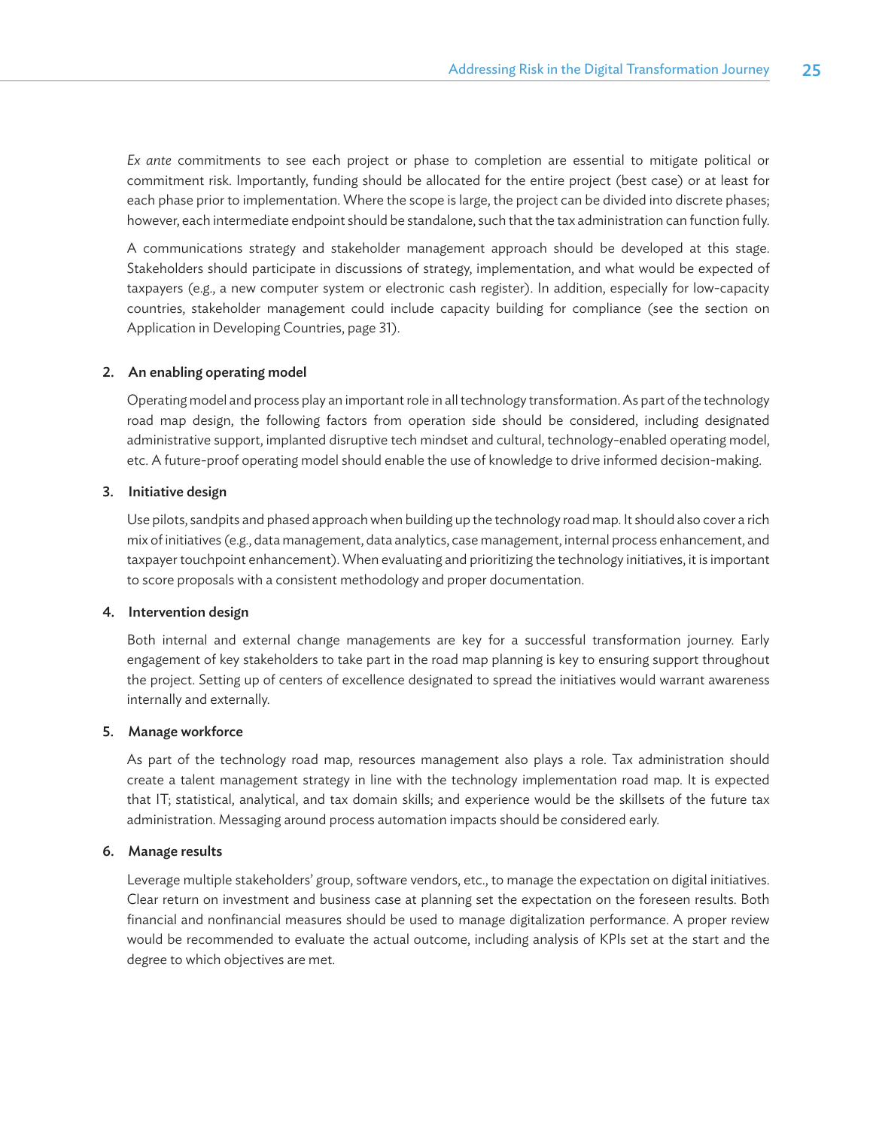*Ex ante* commitments to see each project or phase to completion are essential to mitigate political or commitment risk. Importantly, funding should be allocated for the entire project (best case) or at least for each phase prior to implementation. Where the scope is large, the project can be divided into discrete phases; however, each intermediate endpoint should be standalone, such that the tax administration can function fully.

A communications strategy and stakeholder management approach should be developed at this stage. Stakeholders should participate in discussions of strategy, implementation, and what would be expected of taxpayers (e.g., a new computer system or electronic cash register). In addition, especially for low-capacity countries, stakeholder management could include capacity building for compliance (see the section on Application in Developing Countries, page 31).

#### 2. An enabling operating model

Operating model and process play an important role in all technology transformation. As part of the technology road map design, the following factors from operation side should be considered, including designated administrative support, implanted disruptive tech mindset and cultural, technology-enabled operating model, etc. A future-proof operating model should enable the use of knowledge to drive informed decision-making.

#### 3. Initiative design

Use pilots, sandpits and phased approach when building up the technology road map. It should also cover a rich mix of initiatives (e.g., data management, data analytics, case management, internal process enhancement, and taxpayer touchpoint enhancement). When evaluating and prioritizing the technology initiatives, it is important to score proposals with a consistent methodology and proper documentation.

#### 4. Intervention design

Both internal and external change managements are key for a successful transformation journey. Early engagement of key stakeholders to take part in the road map planning is key to ensuring support throughout the project. Setting up of centers of excellence designated to spread the initiatives would warrant awareness internally and externally.

#### 5. Manage workforce

As part of the technology road map, resources management also plays a role. Tax administration should create a talent management strategy in line with the technology implementation road map. It is expected that IT; statistical, analytical, and tax domain skills; and experience would be the skillsets of the future tax administration. Messaging around process automation impacts should be considered early.

#### 6. Manage results

Leverage multiple stakeholders' group, software vendors, etc., to manage the expectation on digital initiatives. Clear return on investment and business case at planning set the expectation on the foreseen results. Both financial and nonfinancial measures should be used to manage digitalization performance. A proper review would be recommended to evaluate the actual outcome, including analysis of KPIs set at the start and the degree to which objectives are met.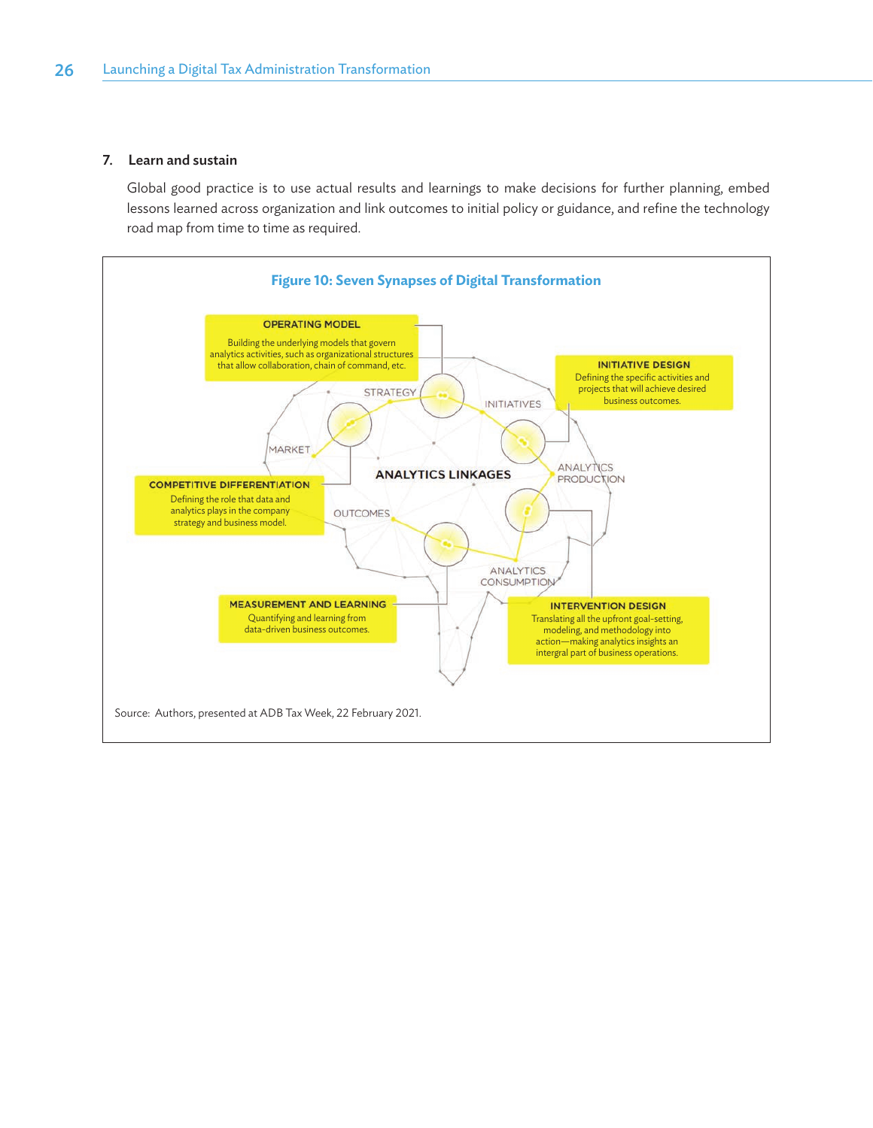#### 7. Learn and sustain

Global good practice is to use actual results and learnings to make decisions for further planning, embed lessons learned across organization and link outcomes to initial policy or guidance, and refine the technology road map from time to time as required.

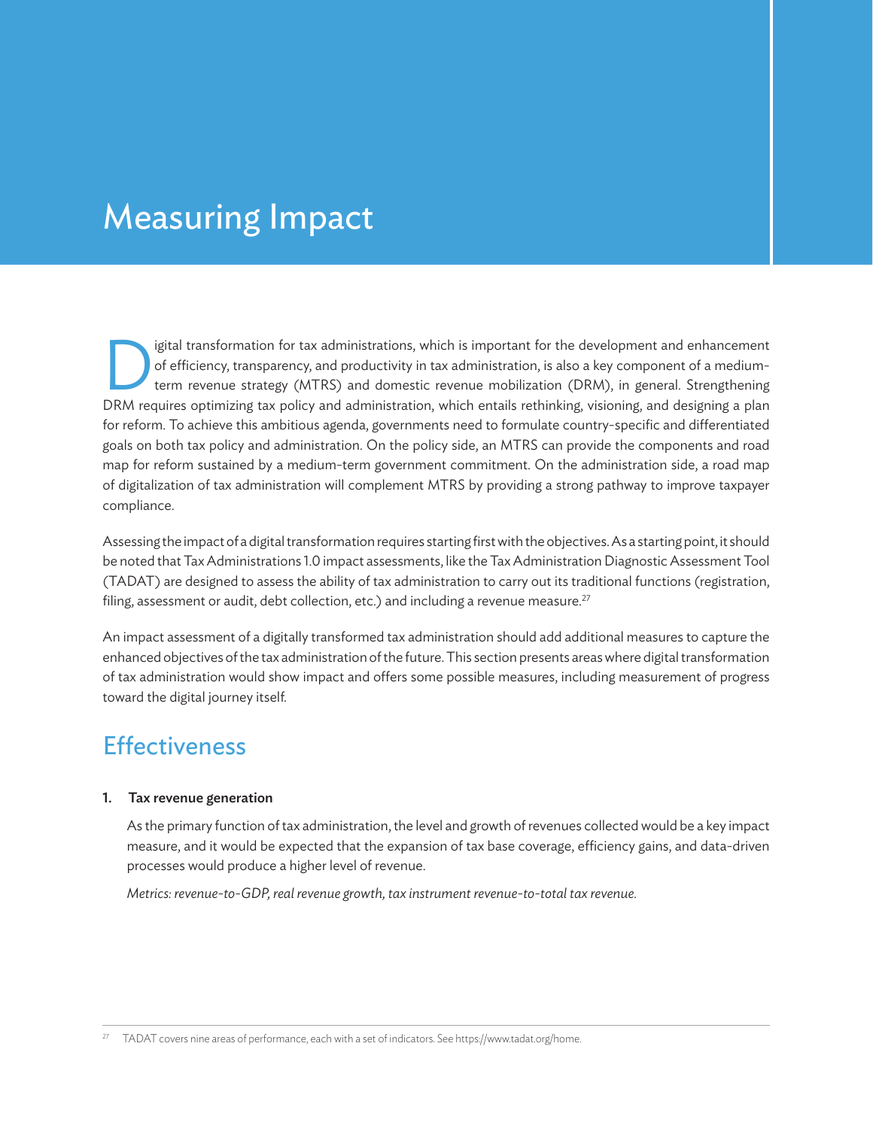## Measuring Impact

igital transformation for tax administrations, which is important for the development and enhancement of efficiency, transparency, and productivity in tax administration, is also a key component of a mediumterm revenue strategy (MTRS) and domestic revenue mobilization (DRM), in general. Strengthening DRM requires optimizing tax policy and administration, which entails rethinking, visioning, and designing a plan for reform. To achieve this ambitious agenda, governments need to formulate country-specific and differentiated goals on both tax policy and administration. On the policy side, an MTRS can provide the components and road map for reform sustained by a medium-term government commitment. On the administration side, a road map of digitalization of tax administration will complement MTRS by providing a strong pathway to improve taxpayer compliance.

Assessing the impact of a digital transformation requires starting first with the objectives. As a starting point, it should be noted that Tax Administrations 1.0 impact assessments, like the Tax Administration Diagnostic Assessment Tool (TADAT) are designed to assess the ability of tax administration to carry out its traditional functions (registration, filing, assessment or audit, debt collection, etc.) and including a revenue measure. $^{27}$ 

An impact assessment of a digitally transformed tax administration should add additional measures to capture the enhanced objectives of the tax administration of the future. This section presents areas where digital transformation of tax administration would show impact and offers some possible measures, including measurement of progress toward the digital journey itself.

### **Effectiveness**

#### 1. Tax revenue generation

As the primary function of tax administration, the level and growth of revenues collected would be a key impact measure, and it would be expected that the expansion of tax base coverage, efficiency gains, and data-driven processes would produce a higher level of revenue.

*Metrics: revenue-to-GDP, real revenue growth, tax instrument revenue-to-total tax revenue.*

<sup>27</sup> TADAT covers nine areas of performance, each with a set of indicators. See https://www.tadat.org/home.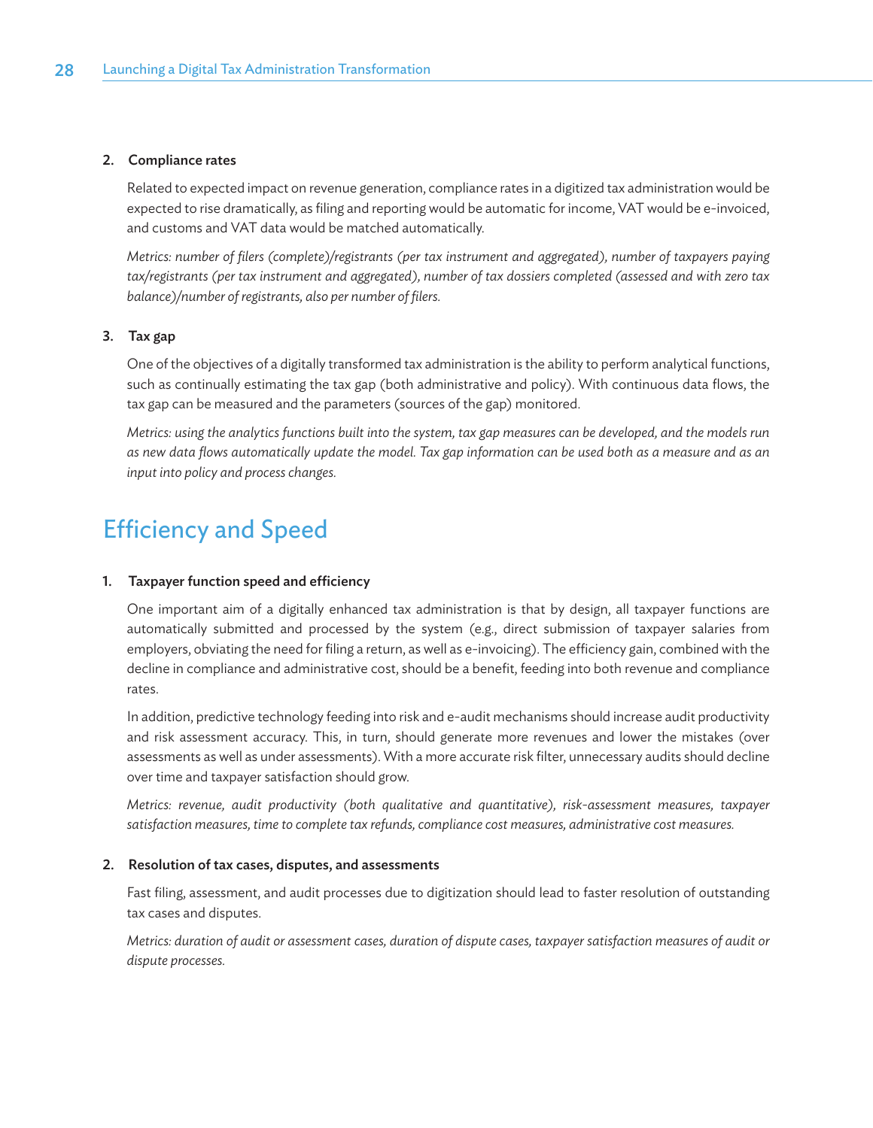#### 2. Compliance rates

Related to expected impact on revenue generation, compliance rates in a digitized tax administration would be expected to rise dramatically, as filing and reporting would be automatic for income, VAT would be e-invoiced, and customs and VAT data would be matched automatically.

*Metrics: number of filers (complete)/registrants (per tax instrument and aggregated), number of taxpayers paying tax/registrants (per tax instrument and aggregated), number of tax dossiers completed (assessed and with zero tax balance)/number of registrants, also per number of filers.*

#### 3. Tax gap

One of the objectives of a digitally transformed tax administration is the ability to perform analytical functions, such as continually estimating the tax gap (both administrative and policy). With continuous data flows, the tax gap can be measured and the parameters (sources of the gap) monitored.

*Metrics: using the analytics functions built into the system, tax gap measures can be developed, and the models run as new data flows automatically update the model. Tax gap information can be used both as a measure and as an input into policy and process changes.*

### Efficiency and Speed

#### 1. Taxpayer function speed and efficiency

One important aim of a digitally enhanced tax administration is that by design, all taxpayer functions are automatically submitted and processed by the system (e.g., direct submission of taxpayer salaries from employers, obviating the need for filing a return, as well as e-invoicing). The efficiency gain, combined with the decline in compliance and administrative cost, should be a benefit, feeding into both revenue and compliance rates.

In addition, predictive technology feeding into risk and e-audit mechanisms should increase audit productivity and risk assessment accuracy. This, in turn, should generate more revenues and lower the mistakes (over assessments as well as under assessments). With a more accurate risk filter, unnecessary audits should decline over time and taxpayer satisfaction should grow.

*Metrics: revenue, audit productivity (both qualitative and quantitative), risk-assessment measures, taxpayer satisfaction measures, time to complete tax refunds, compliance cost measures, administrative cost measures.*

#### 2. Resolution of tax cases, disputes, and assessments

Fast filing, assessment, and audit processes due to digitization should lead to faster resolution of outstanding tax cases and disputes.

*Metrics: duration of audit or assessment cases, duration of dispute cases, taxpayer satisfaction measures of audit or dispute processes.*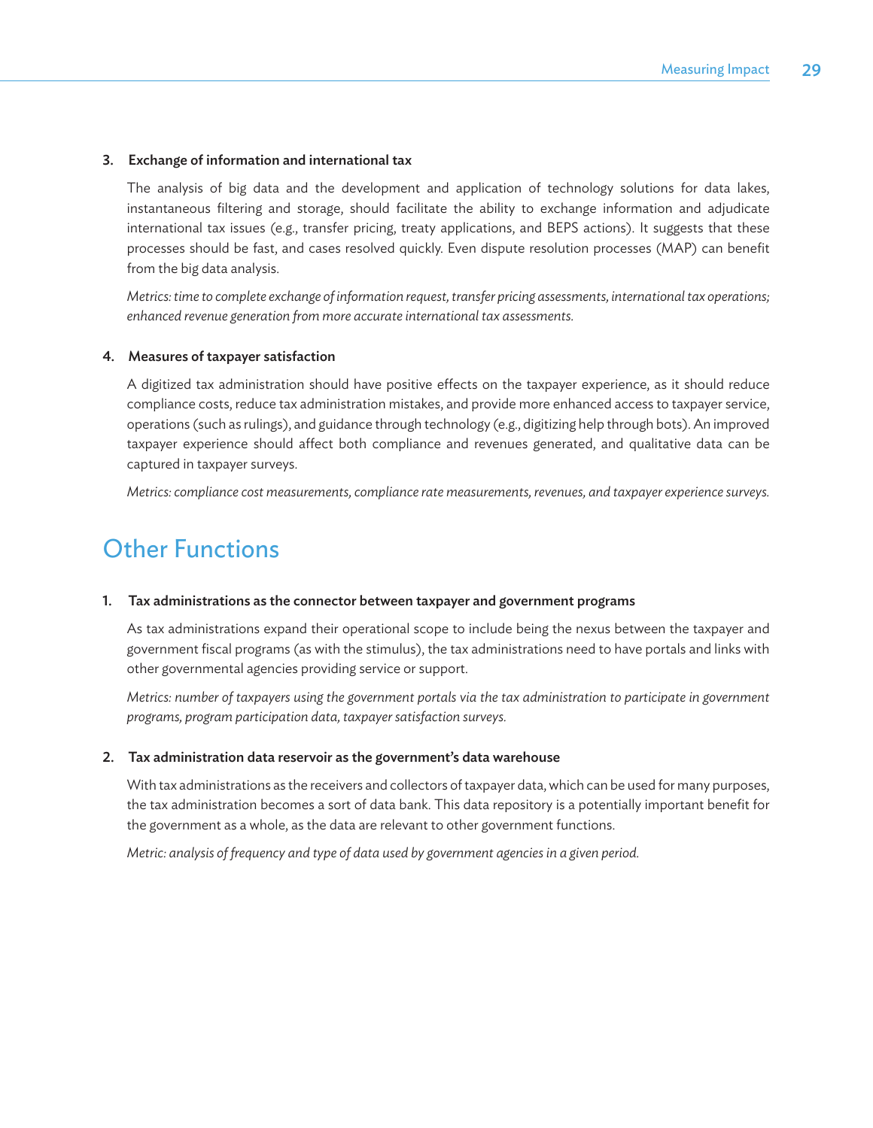#### 3. Exchange of information and international tax

The analysis of big data and the development and application of technology solutions for data lakes, instantaneous filtering and storage, should facilitate the ability to exchange information and adjudicate international tax issues (e.g., transfer pricing, treaty applications, and BEPS actions). It suggests that these processes should be fast, and cases resolved quickly. Even dispute resolution processes (MAP) can benefit from the big data analysis.

*Metrics: time to complete exchange of information request, transfer pricing assessments, international tax operations; enhanced revenue generation from more accurate international tax assessments.*

#### 4. Measures of taxpayer satisfaction

A digitized tax administration should have positive effects on the taxpayer experience, as it should reduce compliance costs, reduce tax administration mistakes, and provide more enhanced access to taxpayer service, operations (such as rulings), and guidance through technology (e.g., digitizing help through bots). An improved taxpayer experience should affect both compliance and revenues generated, and qualitative data can be captured in taxpayer surveys.

*Metrics: compliance cost measurements, compliance rate measurements, revenues, and taxpayer experience surveys.* 

### Other Functions

#### 1. Tax administrations as the connector between taxpayer and government programs

As tax administrations expand their operational scope to include being the nexus between the taxpayer and government fiscal programs (as with the stimulus), the tax administrations need to have portals and links with other governmental agencies providing service or support.

*Metrics: number of taxpayers using the government portals via the tax administration to participate in government programs, program participation data, taxpayer satisfaction surveys.*

#### 2. Tax administration data reservoir as the government's data warehouse

With tax administrations as the receivers and collectors of taxpayer data, which can be used for many purposes, the tax administration becomes a sort of data bank. This data repository is a potentially important benefit for the government as a whole, as the data are relevant to other government functions.

*Metric: analysis of frequency and type of data used by government agencies in a given period.*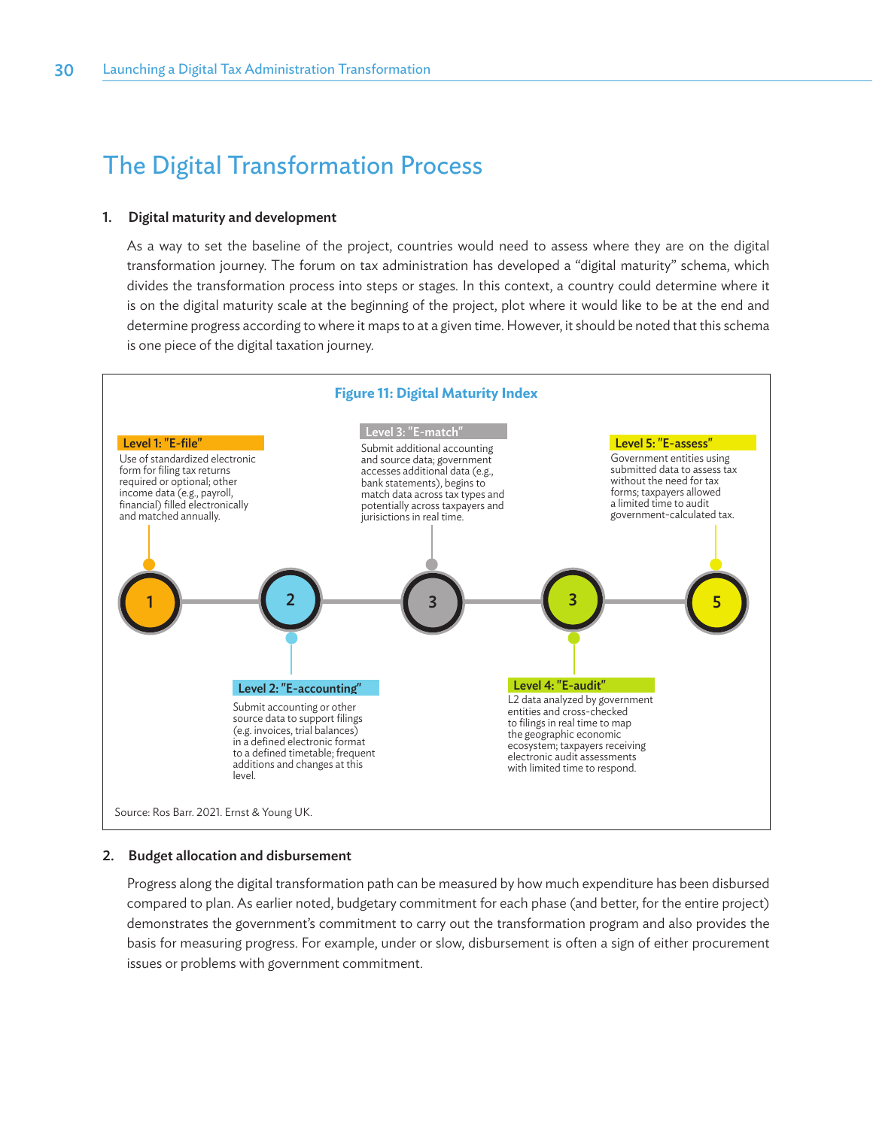### The Digital Transformation Process

#### 1. Digital maturity and development

As a way to set the baseline of the project, countries would need to assess where they are on the digital transformation journey. The forum on tax administration has developed a "digital maturity" schema, which divides the transformation process into steps or stages. In this context, a country could determine where it is on the digital maturity scale at the beginning of the project, plot where it would like to be at the end and determine progress according to where it maps to at a given time. However, it should be noted that this schema is one piece of the digital taxation journey.



#### 2. Budget allocation and disbursement

Progress along the digital transformation path can be measured by how much expenditure has been disbursed compared to plan. As earlier noted, budgetary commitment for each phase (and better, for the entire project) demonstrates the government's commitment to carry out the transformation program and also provides the basis for measuring progress. For example, under or slow, disbursement is often a sign of either procurement issues or problems with government commitment.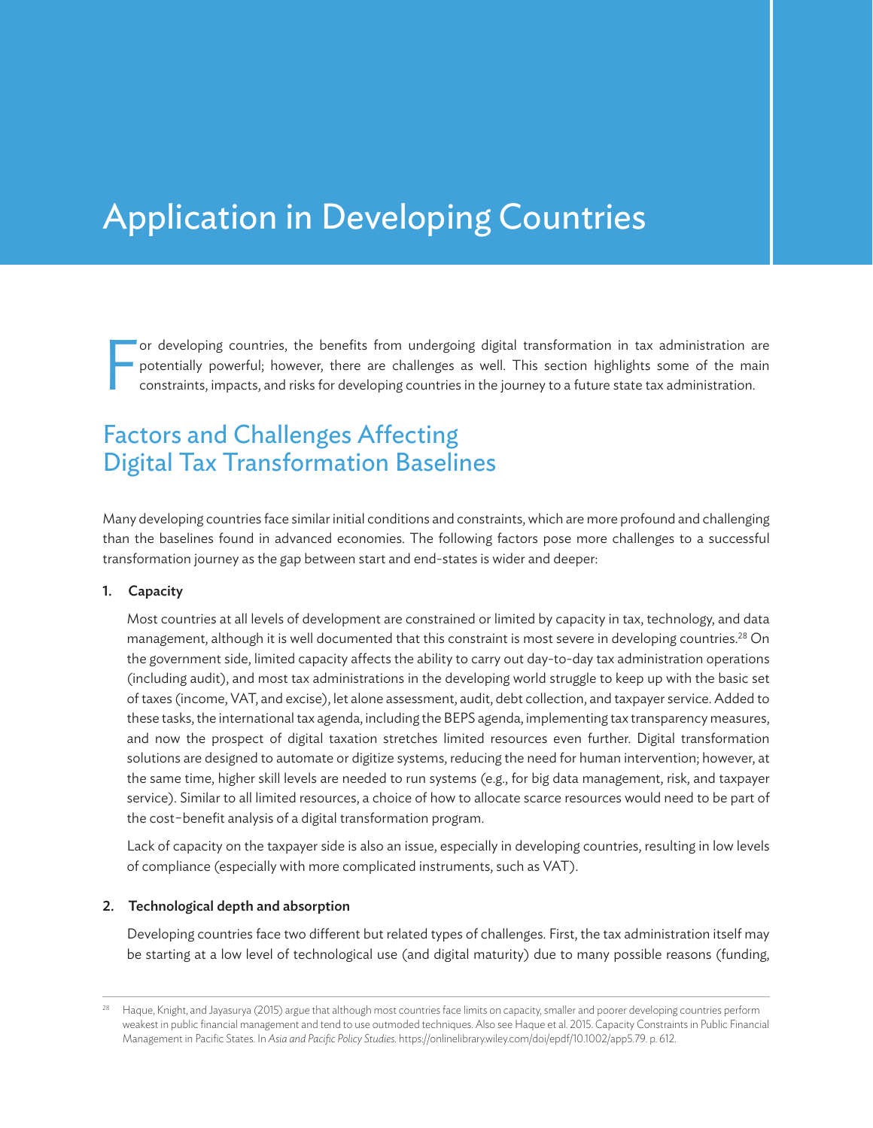## Application in Developing Countries

F or developing countries, the benefits from undergoing digital transformation in tax administration are potentially powerful; however, there are challenges as well. This section highlights some of the main constraints, impacts, and risks for developing countries in the journey to a future state tax administration.

### Factors and Challenges Affecting Digital Tax Transformation Baselines

Many developing countries face similar initial conditions and constraints, which are more profound and challenging than the baselines found in advanced economies. The following factors pose more challenges to a successful transformation journey as the gap between start and end-states is wider and deeper:

#### 1. Capacity

Most countries at all levels of development are constrained or limited by capacity in tax, technology, and data management, although it is well documented that this constraint is most severe in developing countries.<sup>28</sup> On the government side, limited capacity affects the ability to carry out day-to-day tax administration operations (including audit), and most tax administrations in the developing world struggle to keep up with the basic set of taxes (income, VAT, and excise), let alone assessment, audit, debt collection, and taxpayer service. Added to these tasks, the international tax agenda, including the BEPS agenda, implementing tax transparency measures, and now the prospect of digital taxation stretches limited resources even further. Digital transformation solutions are designed to automate or digitize systems, reducing the need for human intervention; however, at the same time, higher skill levels are needed to run systems (e.g., for big data management, risk, and taxpayer service). Similar to all limited resources, a choice of how to allocate scarce resources would need to be part of the cost−benefit analysis of a digital transformation program.

Lack of capacity on the taxpayer side is also an issue, especially in developing countries, resulting in low levels of compliance (especially with more complicated instruments, such as VAT).

#### 2. Technological depth and absorption

Developing countries face two different but related types of challenges. First, the tax administration itself may be starting at a low level of technological use (and digital maturity) due to many possible reasons (funding,

<sup>28</sup> Haque, Knight, and Jayasurya (2015) argue that although most countries face limits on capacity, smaller and poorer developing countries perform weakest in public financial management and tend to use outmoded techniques. Also see Haque et al. 2015. Capacity Constraints in Public Financial Management in Pacific States. In *Asia and Pacific Policy Studies.* [https://onlinelibrary.wiley.com/doi/epdf/10.1002/app5.79.](https://onlinelibrary.wiley.com/doi/epdf/10.1002/app5.79) p. 612.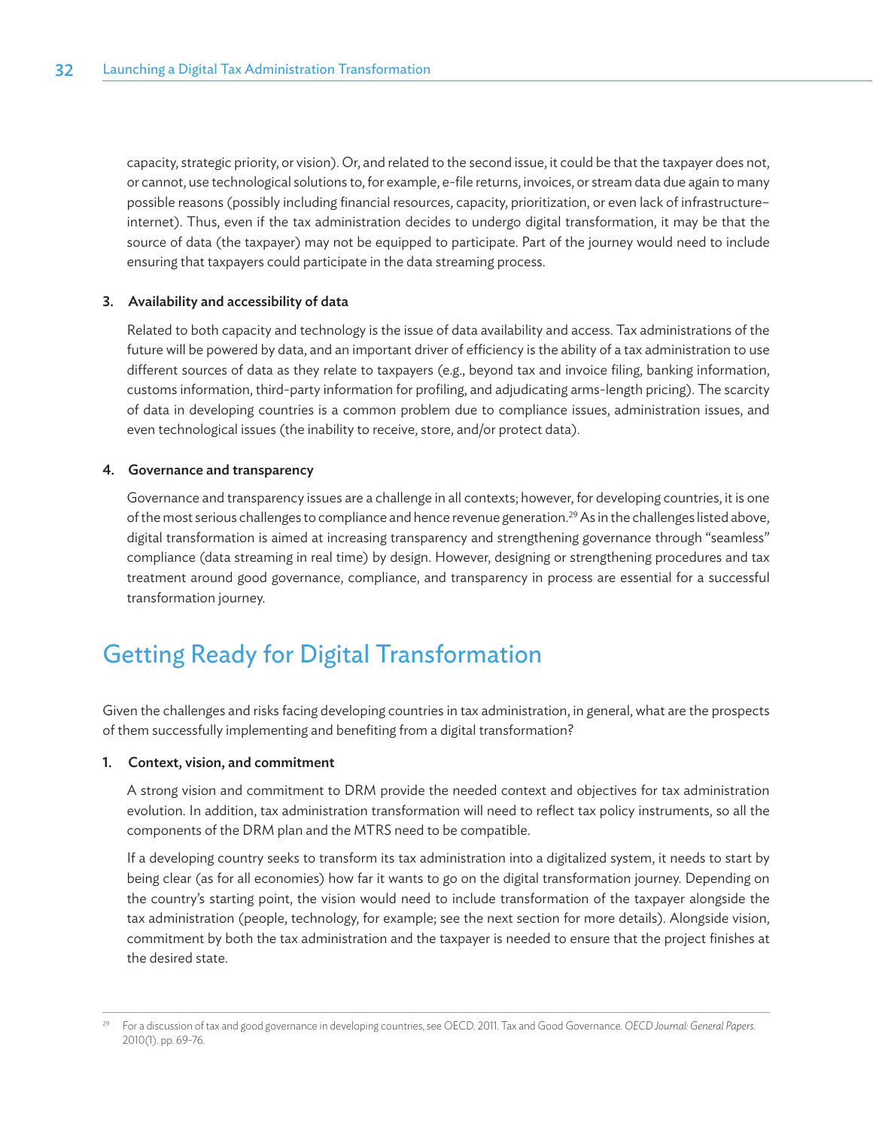capacity, strategic priority, or vision). Or, and related to the second issue, it could be that the taxpayer does not, or cannot, use technological solutions to, for example, e-file returns, invoices, or stream data due again to many possible reasons (possibly including financial resources, capacity, prioritization, or even lack of infrastructure– internet). Thus, even if the tax administration decides to undergo digital transformation, it may be that the source of data (the taxpayer) may not be equipped to participate. Part of the journey would need to include ensuring that taxpayers could participate in the data streaming process.

#### 3. Availability and accessibility of data

Related to both capacity and technology is the issue of data availability and access. Tax administrations of the future will be powered by data, and an important driver of efficiency is the ability of a tax administration to use different sources of data as they relate to taxpayers (e.g., beyond tax and invoice filing, banking information, customs information, third-party information for profiling, and adjudicating arms-length pricing). The scarcity of data in developing countries is a common problem due to compliance issues, administration issues, and even technological issues (the inability to receive, store, and/or protect data).

#### 4. Governance and transparency

Governance and transparency issues are a challenge in all contexts; however, for developing countries, it is one of the most serious challenges to compliance and hence revenue generation.29 As in the challenges listed above, digital transformation is aimed at increasing transparency and strengthening governance through "seamless" compliance (data streaming in real time) by design. However, designing or strengthening procedures and tax treatment around good governance, compliance, and transparency in process are essential for a successful transformation journey.

### Getting Ready for Digital Transformation

Given the challenges and risks facing developing countries in tax administration, in general, what are the prospects of them successfully implementing and benefiting from a digital transformation?

#### 1. Context, vision, and commitment

A strong vision and commitment to DRM provide the needed context and objectives for tax administration evolution. In addition, tax administration transformation will need to reflect tax policy instruments, so all the components of the DRM plan and the MTRS need to be compatible.

If a developing country seeks to transform its tax administration into a digitalized system, it needs to start by being clear (as for all economies) how far it wants to go on the digital transformation journey. Depending on the country's starting point, the vision would need to include transformation of the taxpayer alongside the tax administration (people, technology, for example; see the next section for more details). Alongside vision, commitment by both the tax administration and the taxpayer is needed to ensure that the project finishes at the desired state.

<sup>29</sup> For a discussion of tax and good governance in developing countries, see OECD. 2011. Tax and Good Governance. *OECD Journal: General Papers.*  2010(1). pp. 69-76.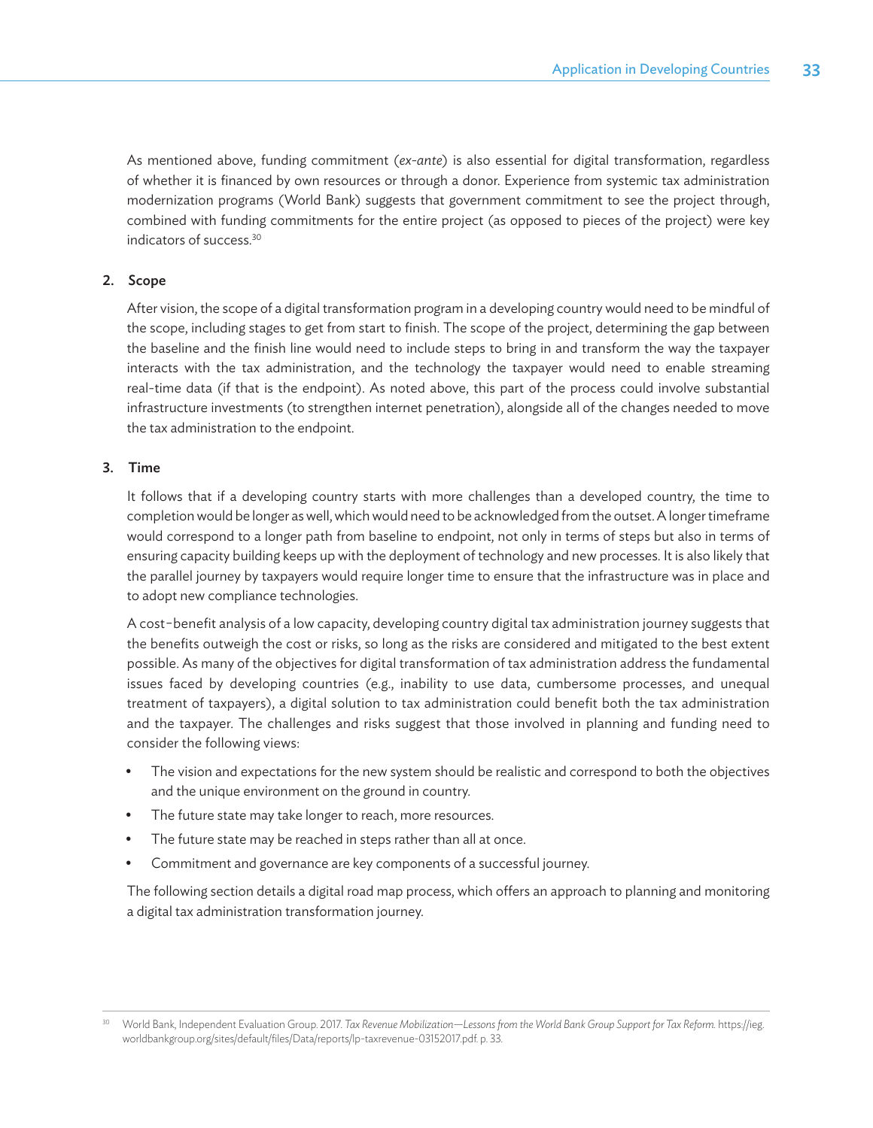As mentioned above, funding commitment (*ex-ante*) is also essential for digital transformation, regardless of whether it is financed by own resources or through a donor. Experience from systemic tax administration modernization programs (World Bank) suggests that government commitment to see the project through, combined with funding commitments for the entire project (as opposed to pieces of the project) were key indicators of success.30

#### 2. Scope

After vision, the scope of a digital transformation program in a developing country would need to be mindful of the scope, including stages to get from start to finish. The scope of the project, determining the gap between the baseline and the finish line would need to include steps to bring in and transform the way the taxpayer interacts with the tax administration, and the technology the taxpayer would need to enable streaming real-time data (if that is the endpoint). As noted above, this part of the process could involve substantial infrastructure investments (to strengthen internet penetration), alongside all of the changes needed to move the tax administration to the endpoint.

#### 3. Time

It follows that if a developing country starts with more challenges than a developed country, the time to completion would be longer as well, which would need to be acknowledged from the outset. A longer timeframe would correspond to a longer path from baseline to endpoint, not only in terms of steps but also in terms of ensuring capacity building keeps up with the deployment of technology and new processes. It is also likely that the parallel journey by taxpayers would require longer time to ensure that the infrastructure was in place and to adopt new compliance technologies.

A cost−benefit analysis of a low capacity, developing country digital tax administration journey suggests that the benefits outweigh the cost or risks, so long as the risks are considered and mitigated to the best extent possible. As many of the objectives for digital transformation of tax administration address the fundamental issues faced by developing countries (e.g., inability to use data, cumbersome processes, and unequal treatment of taxpayers), a digital solution to tax administration could benefit both the tax administration and the taxpayer. The challenges and risks suggest that those involved in planning and funding need to consider the following views:

- The vision and expectations for the new system should be realistic and correspond to both the objectives and the unique environment on the ground in country.
- The future state may take longer to reach, more resources.
- The future state may be reached in steps rather than all at once.
- Commitment and governance are key components of a successful journey.

The following section details a digital road map process, which offers an approach to planning and monitoring a digital tax administration transformation journey.

<sup>30</sup> World Bank, Independent Evaluation Group. 2017. *Tax Revenue Mobilization—Lessons from the World Bank Group Support for Tax Reform.* [https://ieg.](https://ieg.worldbankgroup.org/sites/default/files/Data/reports/lp-taxrevenue-03152017.pdf) [worldbankgroup.org/sites/default/files/Data/reports/lp-taxrevenue-03152017.pdf. p. 33](https://ieg.worldbankgroup.org/sites/default/files/Data/reports/lp-taxrevenue-03152017.pdf).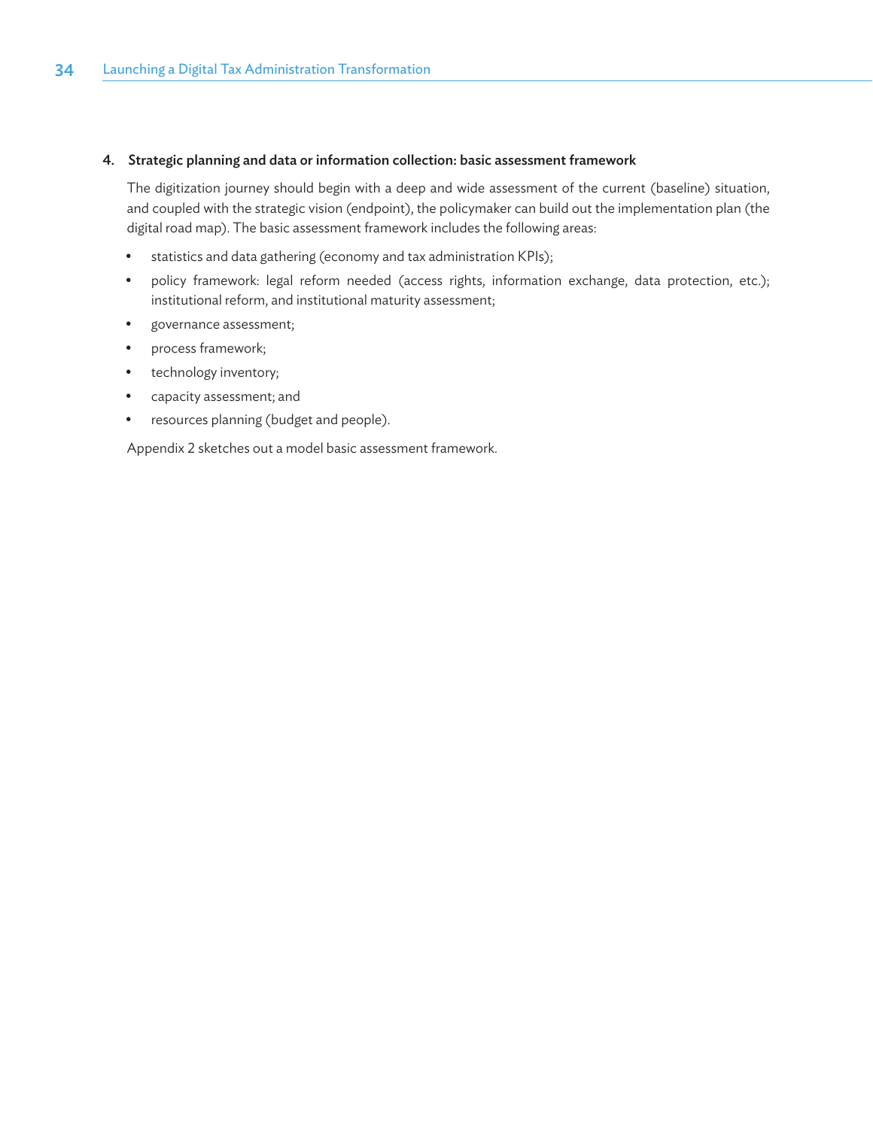#### 4. Strategic planning and data or information collection: basic assessment framework

The digitization journey should begin with a deep and wide assessment of the current (baseline) situation, and coupled with the strategic vision (endpoint), the policymaker can build out the implementation plan (the digital road map). The basic assessment framework includes the following areas:

- statistics and data gathering (economy and tax administration KPIs);
- policy framework: legal reform needed (access rights, information exchange, data protection, etc.); institutional reform, and institutional maturity assessment;
- governance assessment;
- process framework;
- technology inventory;
- capacity assessment; and
- resources planning (budget and people).

Appendix 2 sketches out a model basic assessment framework.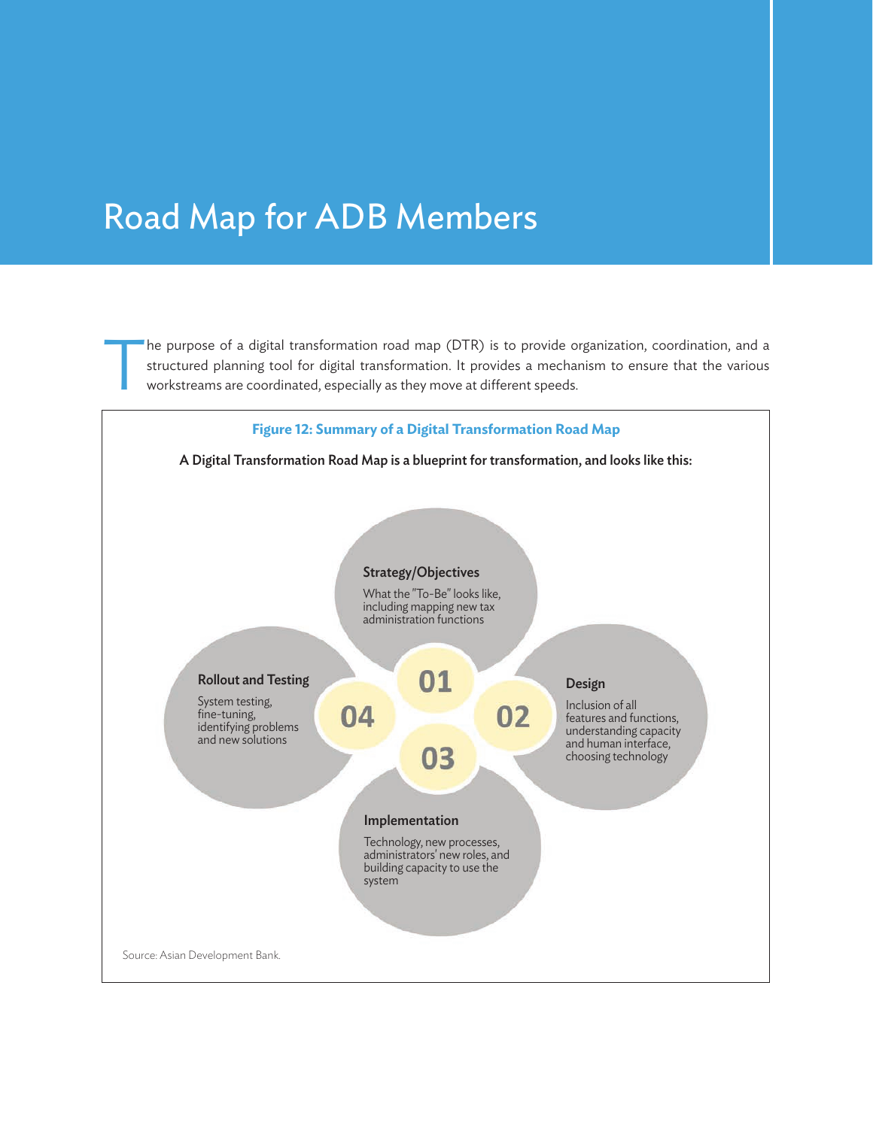## Road Map for ADB Members

The purpose of a digital transformation road map (DTR) is to provide organization, coordination, and a structured planning tool for digital transformation. It provides a mechanism to ensure that the various workstreams are structured planning tool for digital transformation. It provides a mechanism to ensure that the various workstreams are coordinated, especially as they move at different speeds.

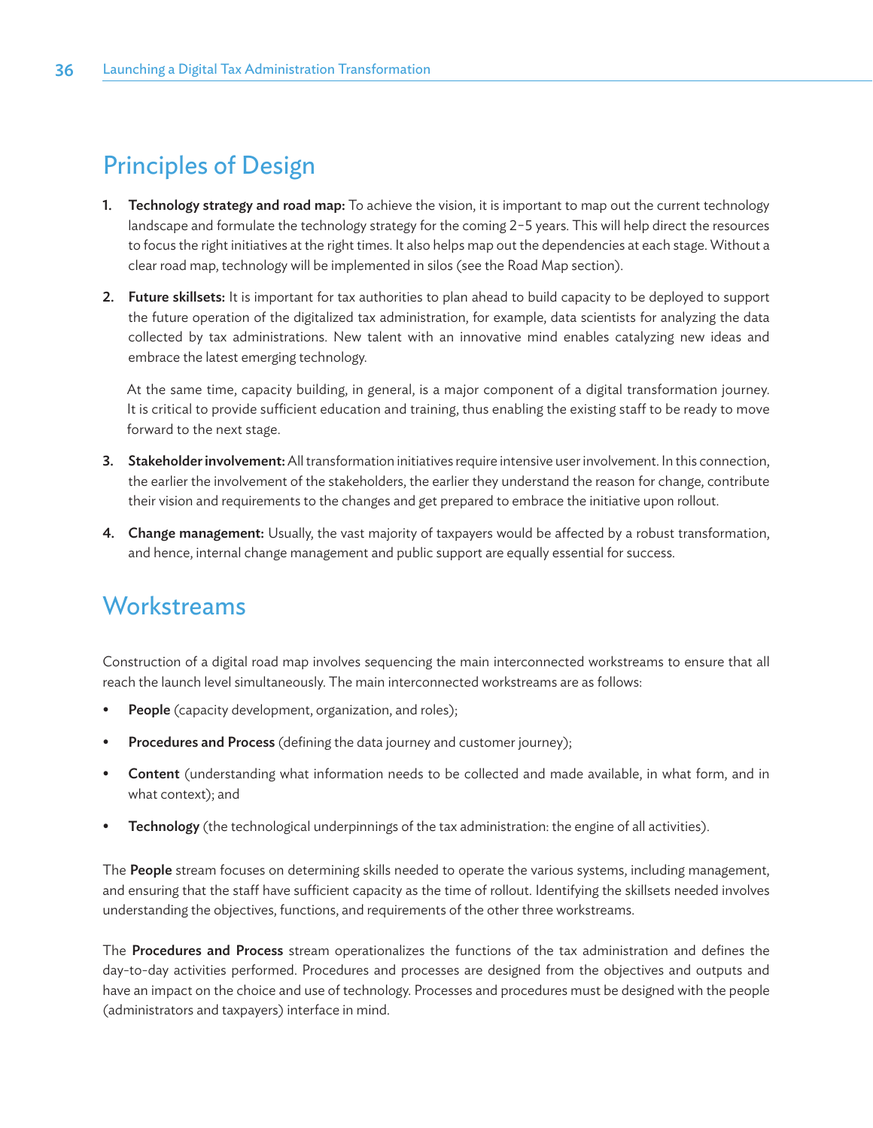## Principles of Design

- **1.** Technology strategy and road map: To achieve the vision, it is important to map out the current technology landscape and formulate the technology strategy for the coming 2−5 years. This will help direct the resources to focus the right initiatives at the right times. It also helps map out the dependencies at each stage. Without a clear road map, technology will be implemented in silos (see the Road Map section).
- 2. Future skillsets: It is important for tax authorities to plan ahead to build capacity to be deployed to support the future operation of the digitalized tax administration, for example, data scientists for analyzing the data collected by tax administrations. New talent with an innovative mind enables catalyzing new ideas and embrace the latest emerging technology.

At the same time, capacity building, in general, is a major component of a digital transformation journey. It is critical to provide sufficient education and training, thus enabling the existing staff to be ready to move forward to the next stage.

- 3. Stakeholder involvement: All transformation initiatives require intensive user involvement. In this connection, the earlier the involvement of the stakeholders, the earlier they understand the reason for change, contribute their vision and requirements to the changes and get prepared to embrace the initiative upon rollout.
- 4. Change management: Usually, the vast majority of taxpayers would be affected by a robust transformation, and hence, internal change management and public support are equally essential for success.

### **Workstreams**

Construction of a digital road map involves sequencing the main interconnected workstreams to ensure that all reach the launch level simultaneously. The main interconnected workstreams are as follows:

- People (capacity development, organization, and roles);
- Procedures and Process (defining the data journey and customer journey);
- Content (understanding what information needs to be collected and made available, in what form, and in what context); and
- Technology (the technological underpinnings of the tax administration: the engine of all activities).

The People stream focuses on determining skills needed to operate the various systems, including management, and ensuring that the staff have sufficient capacity as the time of rollout. Identifying the skillsets needed involves understanding the objectives, functions, and requirements of the other three workstreams.

The Procedures and Process stream operationalizes the functions of the tax administration and defines the day-to-day activities performed. Procedures and processes are designed from the objectives and outputs and have an impact on the choice and use of technology. Processes and procedures must be designed with the people (administrators and taxpayers) interface in mind.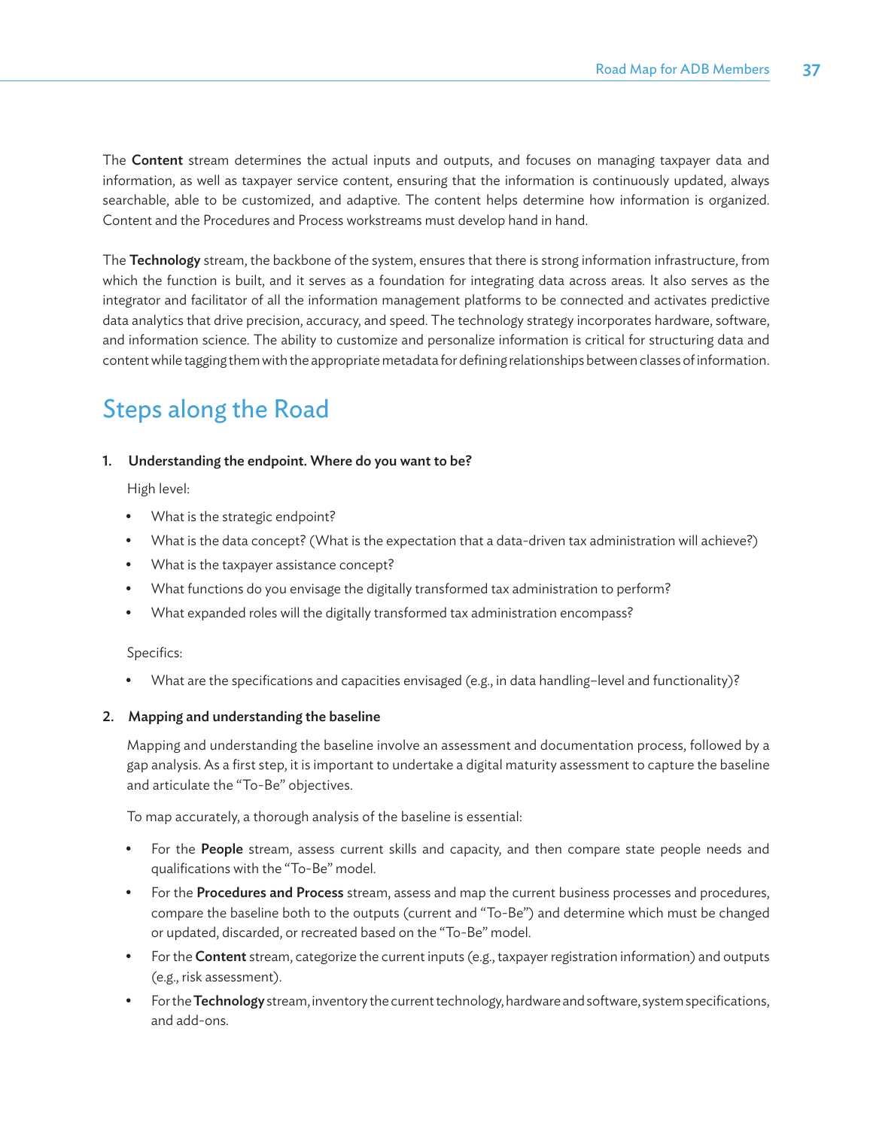The **Content** stream determines the actual inputs and outputs, and focuses on managing taxpayer data and information, as well as taxpayer service content, ensuring that the information is continuously updated, always searchable, able to be customized, and adaptive. The content helps determine how information is organized. Content and the Procedures and Process workstreams must develop hand in hand.

The Technology stream, the backbone of the system, ensures that there is strong information infrastructure, from which the function is built, and it serves as a foundation for integrating data across areas. It also serves as the integrator and facilitator of all the information management platforms to be connected and activates predictive data analytics that drive precision, accuracy, and speed. The technology strategy incorporates hardware, software, and information science. The ability to customize and personalize information is critical for structuring data and content while tagging them with the appropriate metadata for defining relationships between classes of information.

### Steps along the Road

#### 1. Understanding the endpoint. Where do you want to be?

High level:

- What is the strategic endpoint?
- What is the data concept? (What is the expectation that a data-driven tax administration will achieve?)
- What is the taxpayer assistance concept?
- What functions do you envisage the digitally transformed tax administration to perform?
- What expanded roles will the digitally transformed tax administration encompass?

Specifics:

• What are the specifications and capacities envisaged (e.g., in data handling–level and functionality)?

#### 2. Mapping and understanding the baseline

Mapping and understanding the baseline involve an assessment and documentation process, followed by a gap analysis. As a first step, it is important to undertake a digital maturity assessment to capture the baseline and articulate the "To-Be" objectives.

To map accurately, a thorough analysis of the baseline is essential:

- For the **People** stream, assess current skills and capacity, and then compare state people needs and qualifications with the "To-Be" model.
- For the Procedures and Process stream, assess and map the current business processes and procedures, compare the baseline both to the outputs (current and "To-Be") and determine which must be changed or updated, discarded, or recreated based on the "To-Be" model.
- For the **Content** stream, categorize the current inputs (e.g., taxpayer registration information) and outputs (e.g., risk assessment).
- For the Technology stream, inventory the current technology, hardware and software, system specifications, and add-ons.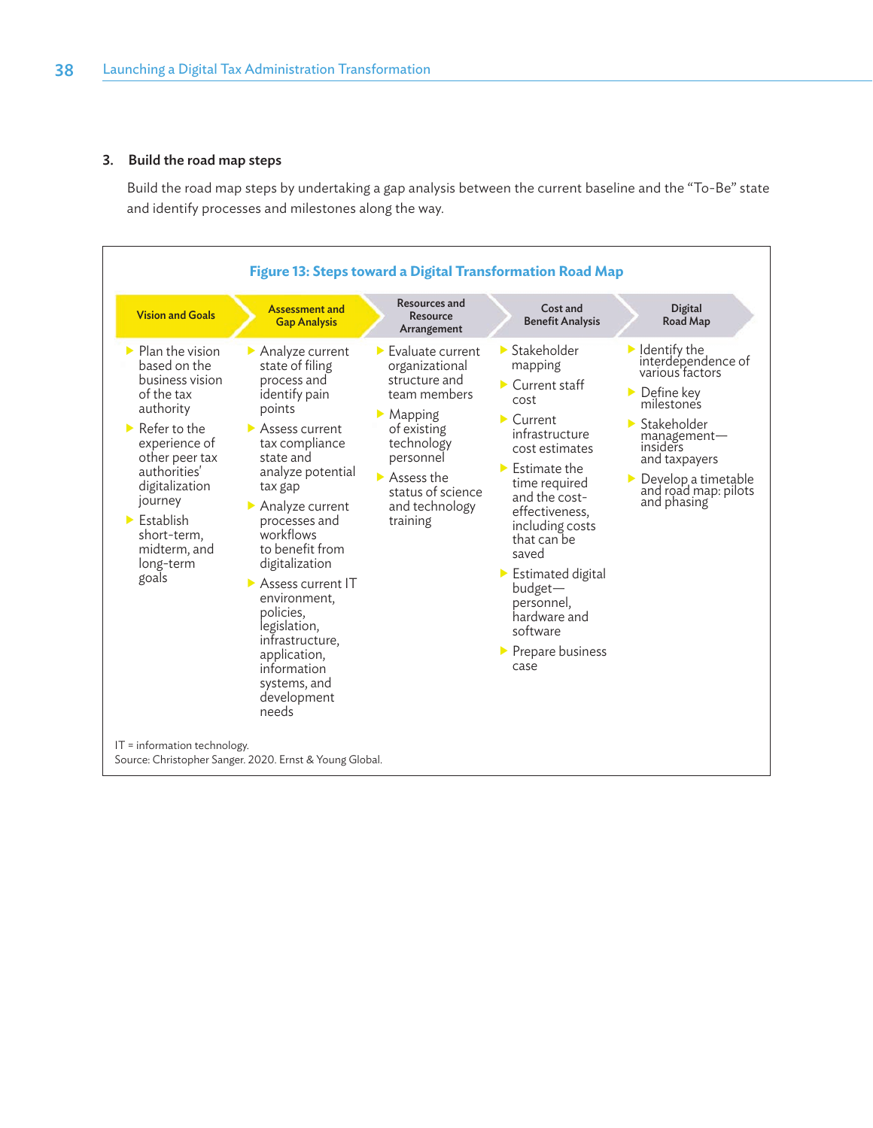#### 3. Build the road map steps

Build the road map steps by undertaking a gap analysis between the current baseline and the "To-Be" state and identify processes and milestones along the way.

| <b>Figure 13: Steps toward a Digital Transformation Road Map</b>                                                                                                                                                                                                                                                  |                                                                                                                                                                                                                                                                                                                                                                                                                                                   |                                                                                                                                                                                                                                       |                                                                                                                                                                                                                                                                                                                                                                                                                                                         |                                                                                                                                                                                                                                                                                    |  |  |  |
|-------------------------------------------------------------------------------------------------------------------------------------------------------------------------------------------------------------------------------------------------------------------------------------------------------------------|---------------------------------------------------------------------------------------------------------------------------------------------------------------------------------------------------------------------------------------------------------------------------------------------------------------------------------------------------------------------------------------------------------------------------------------------------|---------------------------------------------------------------------------------------------------------------------------------------------------------------------------------------------------------------------------------------|---------------------------------------------------------------------------------------------------------------------------------------------------------------------------------------------------------------------------------------------------------------------------------------------------------------------------------------------------------------------------------------------------------------------------------------------------------|------------------------------------------------------------------------------------------------------------------------------------------------------------------------------------------------------------------------------------------------------------------------------------|--|--|--|
| <b>Vision and Goals</b>                                                                                                                                                                                                                                                                                           | <b>Assessment and</b><br><b>Gap Analysis</b>                                                                                                                                                                                                                                                                                                                                                                                                      | Resources and<br>Resource<br>Arrangement                                                                                                                                                                                              | Cost and<br><b>Benefit Analysis</b>                                                                                                                                                                                                                                                                                                                                                                                                                     | <b>Digital</b><br>Road Map                                                                                                                                                                                                                                                         |  |  |  |
| $\blacktriangleright$ Plan the vision<br>based on the<br>business vision<br>of the tax<br>authority<br>$\blacktriangleright$ Refer to the<br>experience of<br>other peer tax<br>authorities'<br>digitalization<br>journey<br>$\blacktriangleright$ Establish<br>short-term,<br>midterm, and<br>long-term<br>goals | Analyze current<br>state of filing<br>process and<br>identify pain<br>points<br>$\triangleright$ Assess current<br>tax compliance<br>state and<br>analyze potential<br>tax gap<br>Analyze current<br>processes and<br>workflows<br>to benefit from<br>digitalization<br>$\triangleright$ Assess current IT<br>environment,<br>policies.<br>legislation,<br>infrastructure,<br>application,<br>information<br>systems, and<br>development<br>needs | $\blacktriangleright$ Evaluate current<br>organizational<br>structure and<br>team members<br>$\blacktriangleright$ Mapping<br>of existing<br>technology<br>personnel<br>Assess the<br>status of science<br>and technology<br>training | $\blacktriangleright$ Stakeholder<br>mapping<br>$\blacktriangleright$ Current staff<br>cost<br>$\blacktriangleright$ Current<br>infrastructure<br>cost estimates<br>$\blacktriangleright$ Estimate the<br>time required<br>and the cost-<br>effectiveness,<br>including costs<br>that can be<br>saved<br>$\blacktriangleright$ Estimated digital<br>budget-<br>personnel,<br>hardware and<br>software<br>$\blacktriangleright$ Prepare business<br>case | $\blacktriangleright$ Identify the<br>interdependence of<br>various factors<br>$\blacktriangleright$ Define key<br>milestones<br>$\blacktriangleright$ Stakeholder<br>$m$ anagement $-$<br>insiders<br>and taxpayers<br>Develop a timetable<br>and road map: pilots<br>and phasing |  |  |  |
| $IT = information technology.$                                                                                                                                                                                                                                                                                    | Source: Christopher Sanger. 2020. Ernst & Young Global.                                                                                                                                                                                                                                                                                                                                                                                           |                                                                                                                                                                                                                                       |                                                                                                                                                                                                                                                                                                                                                                                                                                                         |                                                                                                                                                                                                                                                                                    |  |  |  |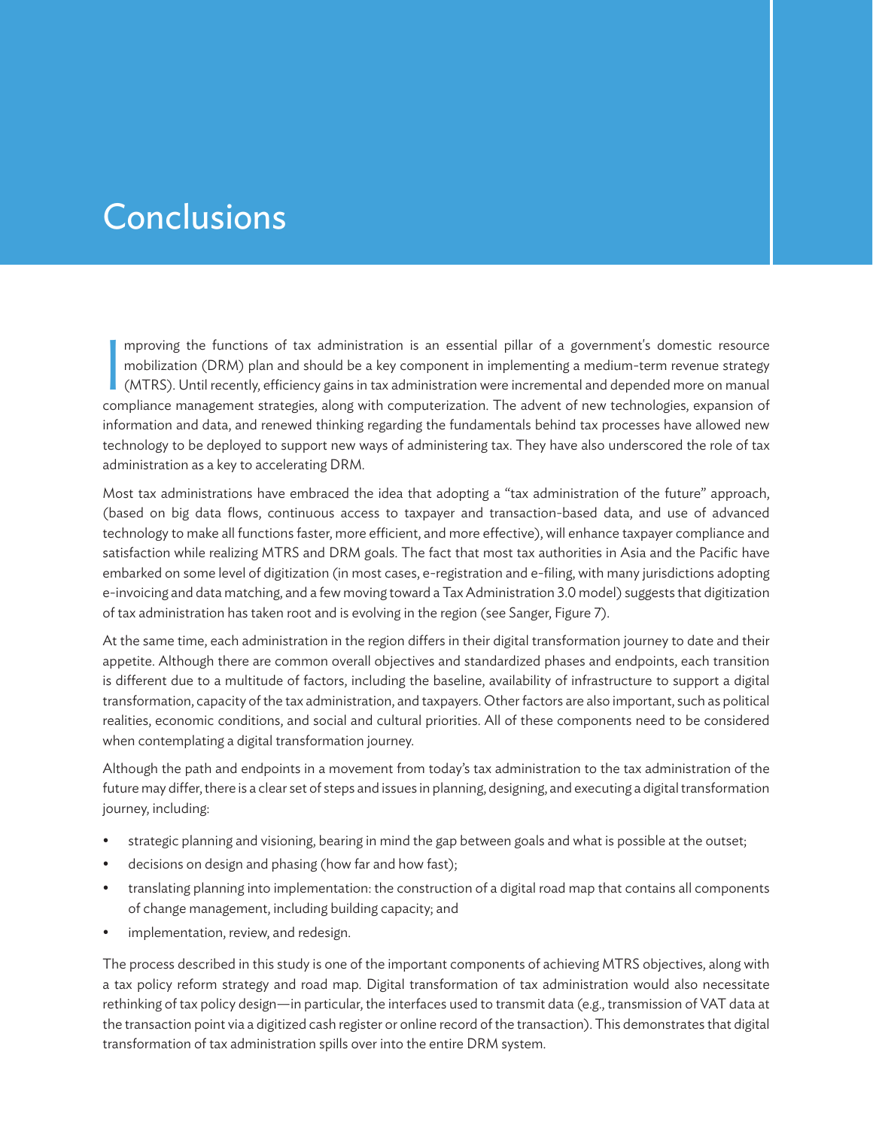## **Conclusions**

I mproving the functions of tax administration is an essential pillar of a government's domestic resource mobilization (DRM) plan and should be a key component in implementing a medium-term revenue strategy (MTRS). Until recently, efficiency gains in tax administration were incremental and depended more on manual compliance management strategies, along with computerization. The advent of new technologies, expansion of information and data, and renewed thinking regarding the fundamentals behind tax processes have allowed new technology to be deployed to support new ways of administering tax. They have also underscored the role of tax administration as a key to accelerating DRM.

Most tax administrations have embraced the idea that adopting a "tax administration of the future" approach, (based on big data flows, continuous access to taxpayer and transaction-based data, and use of advanced technology to make all functions faster, more efficient, and more effective), will enhance taxpayer compliance and satisfaction while realizing MTRS and DRM goals. The fact that most tax authorities in Asia and the Pacific have embarked on some level of digitization (in most cases, e-registration and e-filing, with many jurisdictions adopting e-invoicing and data matching, and a few moving toward a Tax Administration 3.0 model) suggests that digitization of tax administration has taken root and is evolving in the region (see Sanger, Figure 7).

At the same time, each administration in the region differs in their digital transformation journey to date and their appetite. Although there are common overall objectives and standardized phases and endpoints, each transition is different due to a multitude of factors, including the baseline, availability of infrastructure to support a digital transformation, capacity of the tax administration, and taxpayers. Other factors are also important, such as political realities, economic conditions, and social and cultural priorities. All of these components need to be considered when contemplating a digital transformation journey.

Although the path and endpoints in a movement from today's tax administration to the tax administration of the future may differ, there is a clear set of steps and issues in planning, designing, and executing a digital transformation journey, including:

- strategic planning and visioning, bearing in mind the gap between goals and what is possible at the outset;
- decisions on design and phasing (how far and how fast);
- translating planning into implementation: the construction of a digital road map that contains all components of change management, including building capacity; and
- implementation, review, and redesign.

The process described in this study is one of the important components of achieving MTRS objectives, along with a tax policy reform strategy and road map. Digital transformation of tax administration would also necessitate rethinking of tax policy design—in particular, the interfaces used to transmit data (e.g., transmission of VAT data at the transaction point via a digitized cash register or online record of the transaction). This demonstrates that digital transformation of tax administration spills over into the entire DRM system.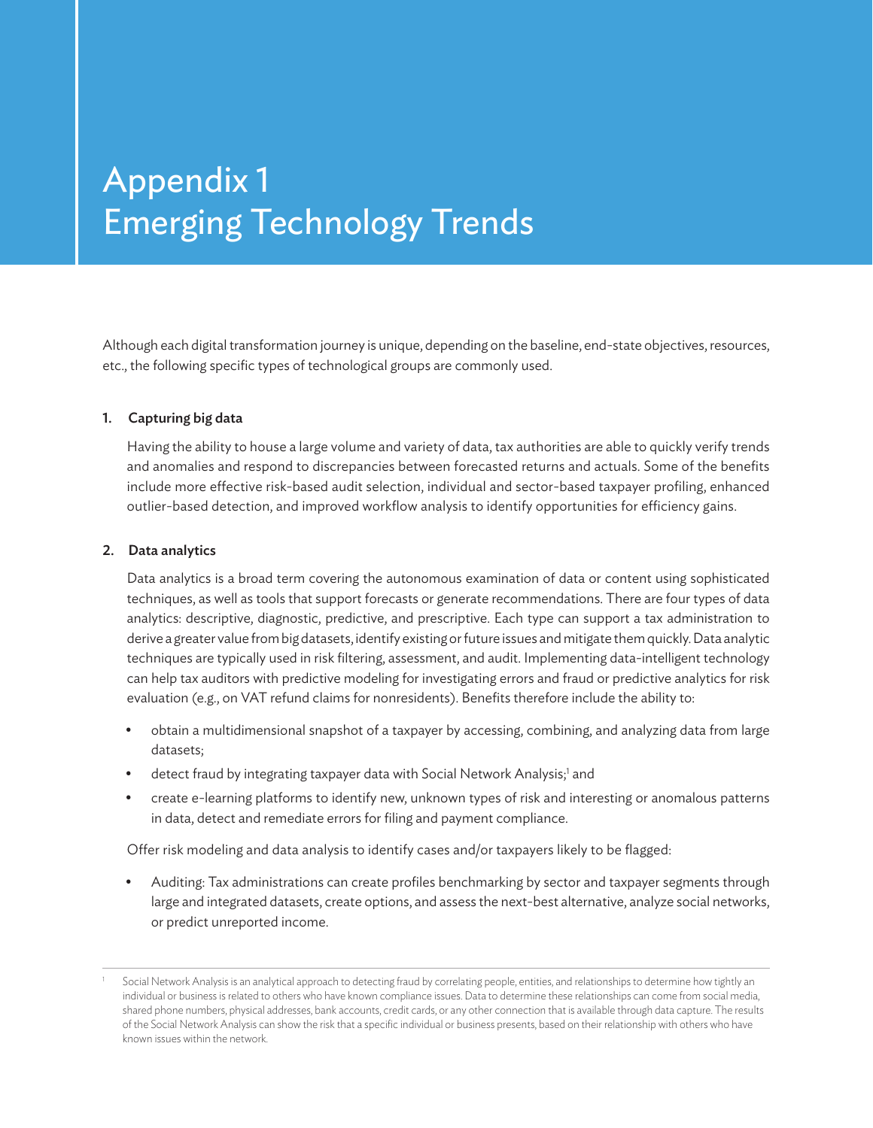## Appendix 1 Emerging Technology Trends

Although each digital transformation journey is unique, depending on the baseline, end-state objectives, resources, etc., the following specific types of technological groups are commonly used.

#### 1. Capturing big data

Having the ability to house a large volume and variety of data, tax authorities are able to quickly verify trends and anomalies and respond to discrepancies between forecasted returns and actuals. Some of the benefits include more effective risk-based audit selection, individual and sector-based taxpayer profiling, enhanced outlier-based detection, and improved workflow analysis to identify opportunities for efficiency gains.

#### 2. Data analytics

Data analytics is a broad term covering the autonomous examination of data or content using sophisticated techniques, as well as tools that support forecasts or generate recommendations. There are four types of data analytics: descriptive, diagnostic, predictive, and prescriptive. Each type can support a tax administration to derive a greater value from big datasets, identify existing or future issues and mitigate them quickly. Data analytic techniques are typically used in risk filtering, assessment, and audit. Implementing data-intelligent technology can help tax auditors with predictive modeling for investigating errors and fraud or predictive analytics for risk evaluation (e.g., on VAT refund claims for nonresidents). Benefits therefore include the ability to:

- obtain a multidimensional snapshot of a taxpayer by accessing, combining, and analyzing data from large datasets;
- detect fraud by integrating taxpayer data with Social Network Analysis;<sup>1</sup> and
- create e-learning platforms to identify new, unknown types of risk and interesting or anomalous patterns in data, detect and remediate errors for filing and payment compliance.

Offer risk modeling and data analysis to identify cases and/or taxpayers likely to be flagged:

• Auditing: Tax administrations can create profiles benchmarking by sector and taxpayer segments through large and integrated datasets, create options, and assess the next-best alternative, analyze social networks, or predict unreported income.

Social Network Analysis is an analytical approach to detecting fraud by correlating people, entities, and relationships to determine how tightly an individual or business is related to others who have known compliance issues. Data to determine these relationships can come from social media, shared phone numbers, physical addresses, bank accounts, credit cards, or any other connection that is available through data capture. The results of the Social Network Analysis can show the risk that a specific individual or business presents, based on their relationship with others who have known issues within the network.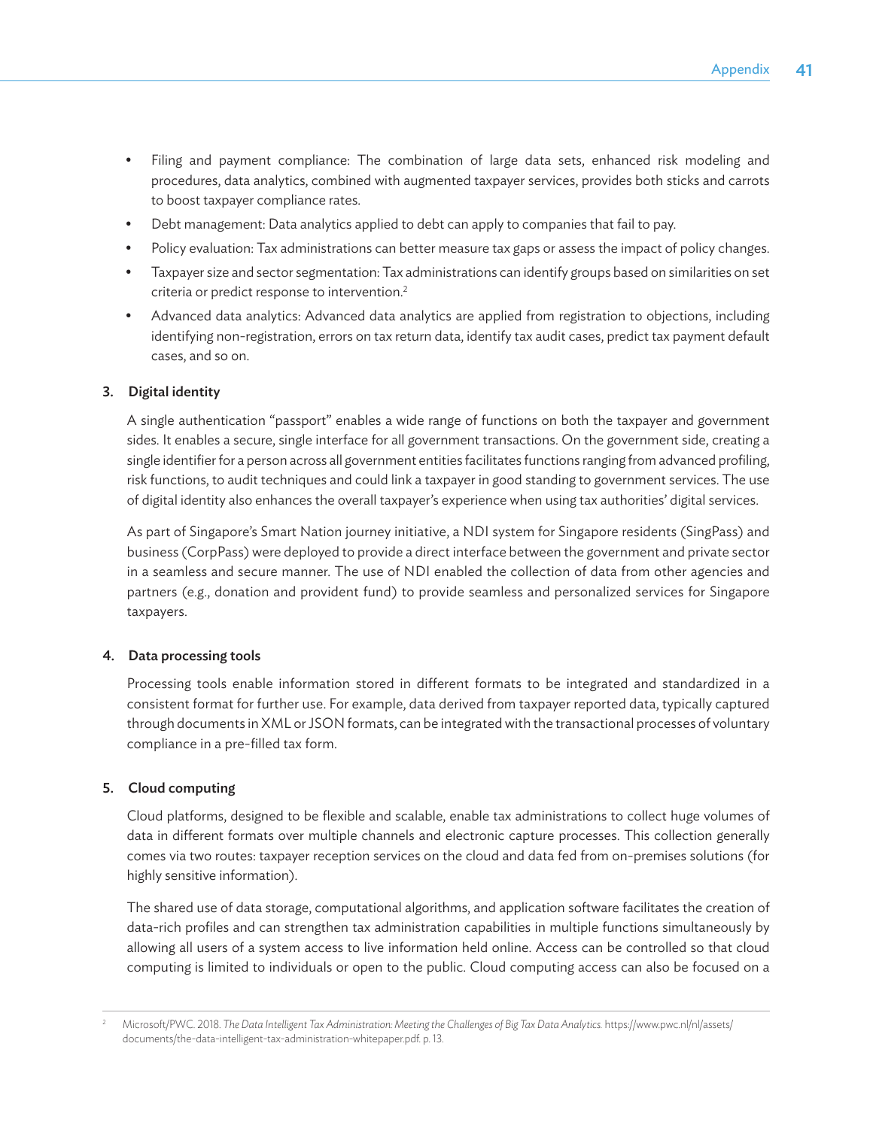- Filing and payment compliance: The combination of large data sets, enhanced risk modeling and procedures, data analytics, combined with augmented taxpayer services, provides both sticks and carrots to boost taxpayer compliance rates.
- Debt management: Data analytics applied to debt can apply to companies that fail to pay.
- Policy evaluation: Tax administrations can better measure tax gaps or assess the impact of policy changes.
- Taxpayer size and sector segmentation: Tax administrations can identify groups based on similarities on set criteria or predict response to intervention.2
- Advanced data analytics: Advanced data analytics are applied from registration to objections, including identifying non-registration, errors on tax return data, identify tax audit cases, predict tax payment default cases, and so on.

#### 3. Digital identity

A single authentication "passport" enables a wide range of functions on both the taxpayer and government sides. It enables a secure, single interface for all government transactions. On the government side, creating a single identifier for a person across all government entities facilitates functions ranging from advanced profiling, risk functions, to audit techniques and could link a taxpayer in good standing to government services. The use of digital identity also enhances the overall taxpayer's experience when using tax authorities' digital services.

As part of Singapore's Smart Nation journey initiative, a NDI system for Singapore residents (SingPass) and business (CorpPass) were deployed to provide a direct interface between the government and private sector in a seamless and secure manner. The use of NDI enabled the collection of data from other agencies and partners (e.g., donation and provident fund) to provide seamless and personalized services for Singapore taxpayers.

#### 4. Data processing tools

Processing tools enable information stored in different formats to be integrated and standardized in a consistent format for further use. For example, data derived from taxpayer reported data, typically captured through documents in XML or JSON formats, can be integrated with the transactional processes of voluntary compliance in a pre-filled tax form.

#### 5. Cloud computing

Cloud platforms, designed to be flexible and scalable, enable tax administrations to collect huge volumes of data in different formats over multiple channels and electronic capture processes. This collection generally comes via two routes: taxpayer reception services on the cloud and data fed from on-premises solutions (for highly sensitive information).

The shared use of data storage, computational algorithms, and application software facilitates the creation of data-rich profiles and can strengthen tax administration capabilities in multiple functions simultaneously by allowing all users of a system access to live information held online. Access can be controlled so that cloud computing is limited to individuals or open to the public. Cloud computing access can also be focused on a

<sup>2</sup> Microsoft/PWC. 2018. *The Data Intelligent Tax Administration: Meeting the Challenges of Big Tax Data Analytics.* [https://www.pwc.nl/nl/assets/](https://www.pwc.nl/nl/assets/documents/the-data-intelligent-tax-administration-whitepaper.pdf) [documents/the-data-intelligent-tax-administration-whitepaper.pdf.](https://www.pwc.nl/nl/assets/documents/the-data-intelligent-tax-administration-whitepaper.pdf) p. 13.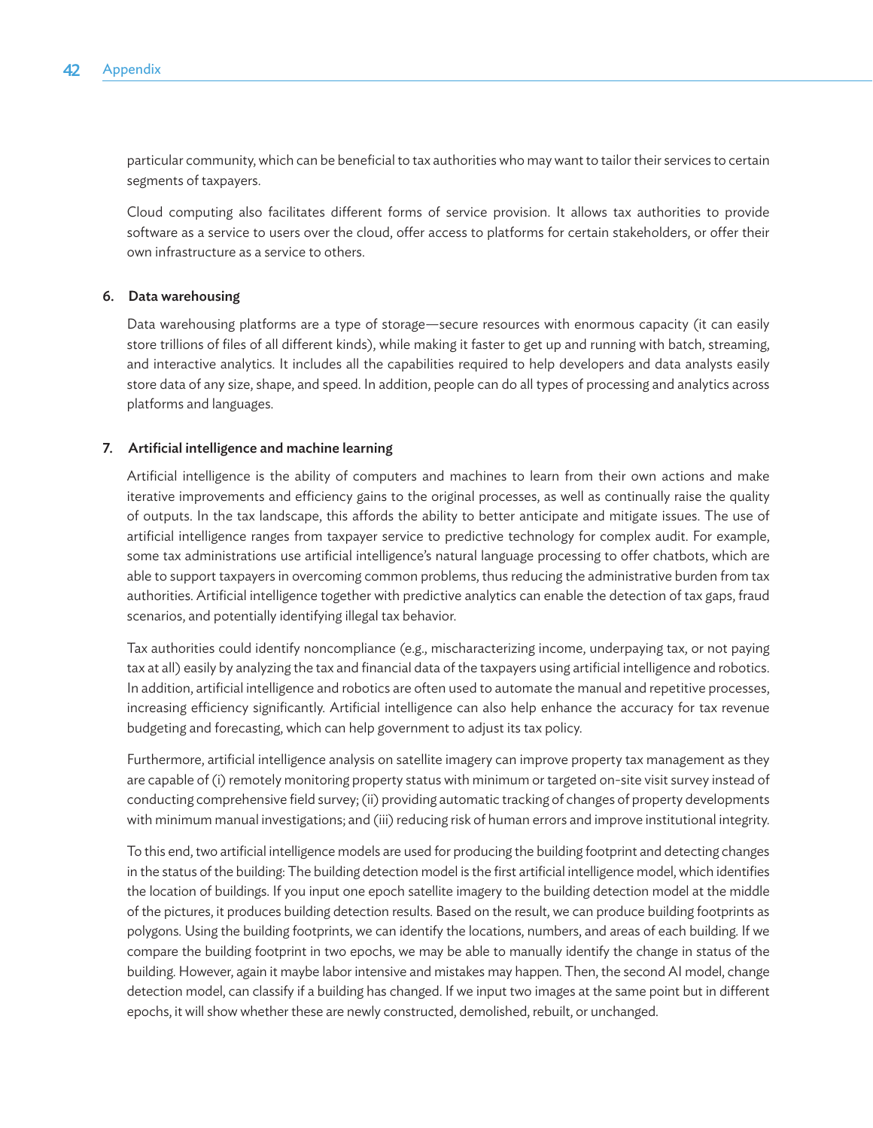particular community, which can be beneficial to tax authorities who may want to tailor their services to certain segments of taxpayers.

Cloud computing also facilitates different forms of service provision. It allows tax authorities to provide software as a service to users over the cloud, offer access to platforms for certain stakeholders, or offer their own infrastructure as a service to others.

#### 6. Data warehousing

Data warehousing platforms are a type of storage—secure resources with enormous capacity (it can easily store trillions of files of all different kinds), while making it faster to get up and running with batch, streaming, and interactive analytics. It includes all the capabilities required to help developers and data analysts easily store data of any size, shape, and speed. In addition, people can do all types of processing and analytics across platforms and languages.

#### 7. Artificial intelligence and machine learning

Artificial intelligence is the ability of computers and machines to learn from their own actions and make iterative improvements and efficiency gains to the original processes, as well as continually raise the quality of outputs. In the tax landscape, this affords the ability to better anticipate and mitigate issues. The use of artificial intelligence ranges from taxpayer service to predictive technology for complex audit. For example, some tax administrations use artificial intelligence's natural language processing to offer chatbots, which are able to support taxpayers in overcoming common problems, thus reducing the administrative burden from tax authorities. Artificial intelligence together with predictive analytics can enable the detection of tax gaps, fraud scenarios, and potentially identifying illegal tax behavior.

Tax authorities could identify noncompliance (e.g., mischaracterizing income, underpaying tax, or not paying tax at all) easily by analyzing the tax and financial data of the taxpayers using artificial intelligence and robotics. In addition, artificial intelligence and robotics are often used to automate the manual and repetitive processes, increasing efficiency significantly. Artificial intelligence can also help enhance the accuracy for tax revenue budgeting and forecasting, which can help government to adjust its tax policy.

Furthermore, artificial intelligence analysis on satellite imagery can improve property tax management as they are capable of (i) remotely monitoring property status with minimum or targeted on-site visit survey instead of conducting comprehensive field survey; (ii) providing automatic tracking of changes of property developments with minimum manual investigations; and (iii) reducing risk of human errors and improve institutional integrity.

To this end, two artificial intelligence models are used for producing the building footprint and detecting changes in the status of the building: The building detection model is the first artificial intelligence model, which identifies the location of buildings. If you input one epoch satellite imagery to the building detection model at the middle of the pictures, it produces building detection results. Based on the result, we can produce building footprints as polygons. Using the building footprints, we can identify the locations, numbers, and areas of each building. If we compare the building footprint in two epochs, we may be able to manually identify the change in status of the building. However, again it maybe labor intensive and mistakes may happen. Then, the second AI model, change detection model, can classify if a building has changed. If we input two images at the same point but in different epochs, it will show whether these are newly constructed, demolished, rebuilt, or unchanged.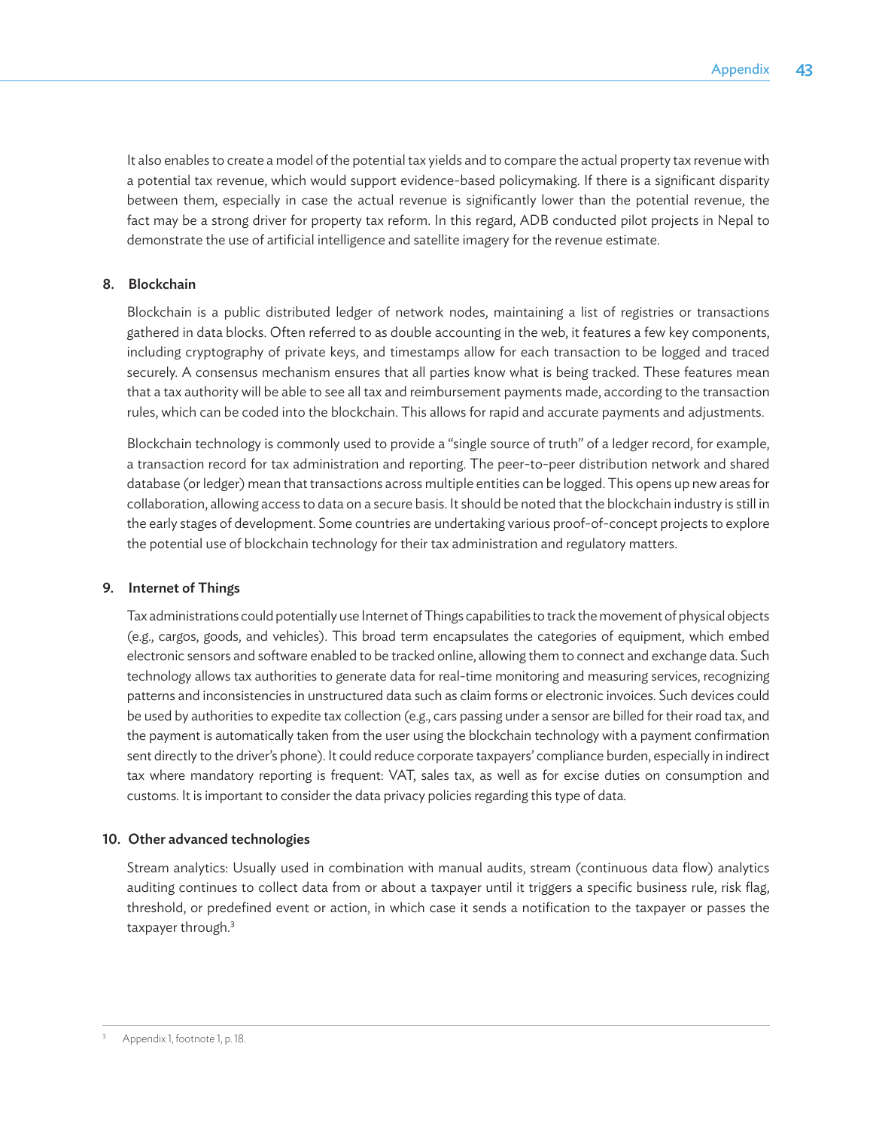It also enables to create a model of the potential tax yields and to compare the actual property tax revenue with a potential tax revenue, which would support evidence-based policymaking. If there is a significant disparity between them, especially in case the actual revenue is significantly lower than the potential revenue, the fact may be a strong driver for property tax reform. In this regard, ADB conducted pilot projects in Nepal to demonstrate the use of artificial intelligence and satellite imagery for the revenue estimate.

#### 8. Blockchain

Blockchain is a public distributed ledger of network nodes, maintaining a list of registries or transactions gathered in data blocks. Often referred to as double accounting in the web, it features a few key components, including cryptography of private keys, and timestamps allow for each transaction to be logged and traced securely. A consensus mechanism ensures that all parties know what is being tracked. These features mean that a tax authority will be able to see all tax and reimbursement payments made, according to the transaction rules, which can be coded into the blockchain. This allows for rapid and accurate payments and adjustments.

Blockchain technology is commonly used to provide a "single source of truth" of a ledger record, for example, a transaction record for tax administration and reporting. The peer-to-peer distribution network and shared database (or ledger) mean that transactions across multiple entities can be logged. This opens up new areas for collaboration, allowing access to data on a secure basis. It should be noted that the blockchain industry is still in the early stages of development. Some countries are undertaking various proof-of-concept projects to explore the potential use of blockchain technology for their tax administration and regulatory matters.

#### 9. Internet of Things

Tax administrations could potentially use Internet of Things capabilities to track the movement of physical objects (e.g., cargos, goods, and vehicles). This broad term encapsulates the categories of equipment, which embed electronic sensors and software enabled to be tracked online, allowing them to connect and exchange data. Such technology allows tax authorities to generate data for real-time monitoring and measuring services, recognizing patterns and inconsistencies in unstructured data such as claim forms or electronic invoices. Such devices could be used by authorities to expedite tax collection (e.g., cars passing under a sensor are billed for their road tax, and the payment is automatically taken from the user using the blockchain technology with a payment confirmation sent directly to the driver's phone). It could reduce corporate taxpayers' compliance burden, especially in indirect tax where mandatory reporting is frequent: VAT, sales tax, as well as for excise duties on consumption and customs. It is important to consider the data privacy policies regarding this type of data.

#### 10. Other advanced technologies

Stream analytics: Usually used in combination with manual audits, stream (continuous data flow) analytics auditing continues to collect data from or about a taxpayer until it triggers a specific business rule, risk flag, threshold, or predefined event or action, in which case it sends a notification to the taxpayer or passes the taxpayer through.<sup>3</sup>

Appendix 1, footnote 1, p. 18.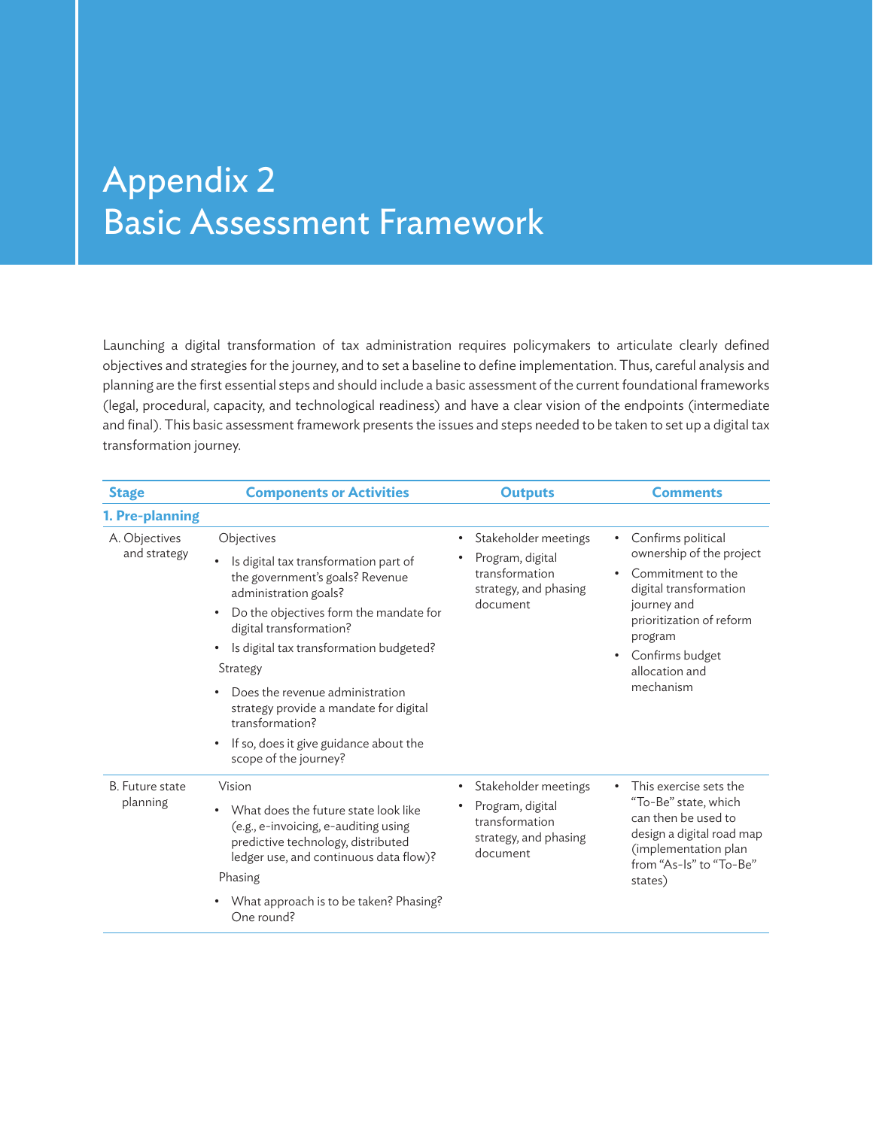## Appendix 2 Basic Assessment Framework

Launching a digital transformation of tax administration requires policymakers to articulate clearly defined objectives and strategies for the journey, and to set a baseline to define implementation. Thus, careful analysis and planning are the first essential steps and should include a basic assessment of the current foundational frameworks (legal, procedural, capacity, and technological readiness) and have a clear vision of the endpoints (intermediate and final). This basic assessment framework presents the issues and steps needed to be taken to set up a digital tax transformation journey.

| <b>Stage</b>                       | <b>Components or Activities</b>                                                                                                                                                                                                                                                                                                                                                                                                            | <b>Outputs</b>                                                                                  | <b>Comments</b>                                                                                                                                                                                                    |
|------------------------------------|--------------------------------------------------------------------------------------------------------------------------------------------------------------------------------------------------------------------------------------------------------------------------------------------------------------------------------------------------------------------------------------------------------------------------------------------|-------------------------------------------------------------------------------------------------|--------------------------------------------------------------------------------------------------------------------------------------------------------------------------------------------------------------------|
| 1. Pre-planning                    |                                                                                                                                                                                                                                                                                                                                                                                                                                            |                                                                                                 |                                                                                                                                                                                                                    |
| A. Objectives<br>and strategy      | Objectives<br>• Is digital tax transformation part of<br>the government's goals? Revenue<br>administration goals?<br>Do the objectives form the mandate for<br>digital transformation?<br>Is digital tax transformation budgeted?<br>$\bullet$<br>Strategy<br>Does the revenue administration<br>strategy provide a mandate for digital<br>transformation?<br>If so, does it give guidance about the<br>$\bullet$<br>scope of the journey? | Stakeholder meetings<br>Program, digital<br>transformation<br>strategy, and phasing<br>document | Confirms political<br>ownership of the project<br>Commitment to the<br>digital transformation<br>journey and<br>prioritization of reform<br>program<br>Confirms budget<br>$\bullet$<br>allocation and<br>mechanism |
| <b>B.</b> Future state<br>planning | Vision<br>What does the future state look like<br>$\bullet$<br>(e.g., e-invoicing, e-auditing using<br>predictive technology, distributed<br>ledger use, and continuous data flow)?<br>Phasing<br>What approach is to be taken? Phasing?<br>One round?                                                                                                                                                                                     | Stakeholder meetings<br>Program, digital<br>transformation<br>strategy, and phasing<br>document | This exercise sets the<br>"To-Be" state, which<br>can then be used to<br>design a digital road map<br>(implementation plan<br>from "As-Is" to "To-Be"<br>states)                                                   |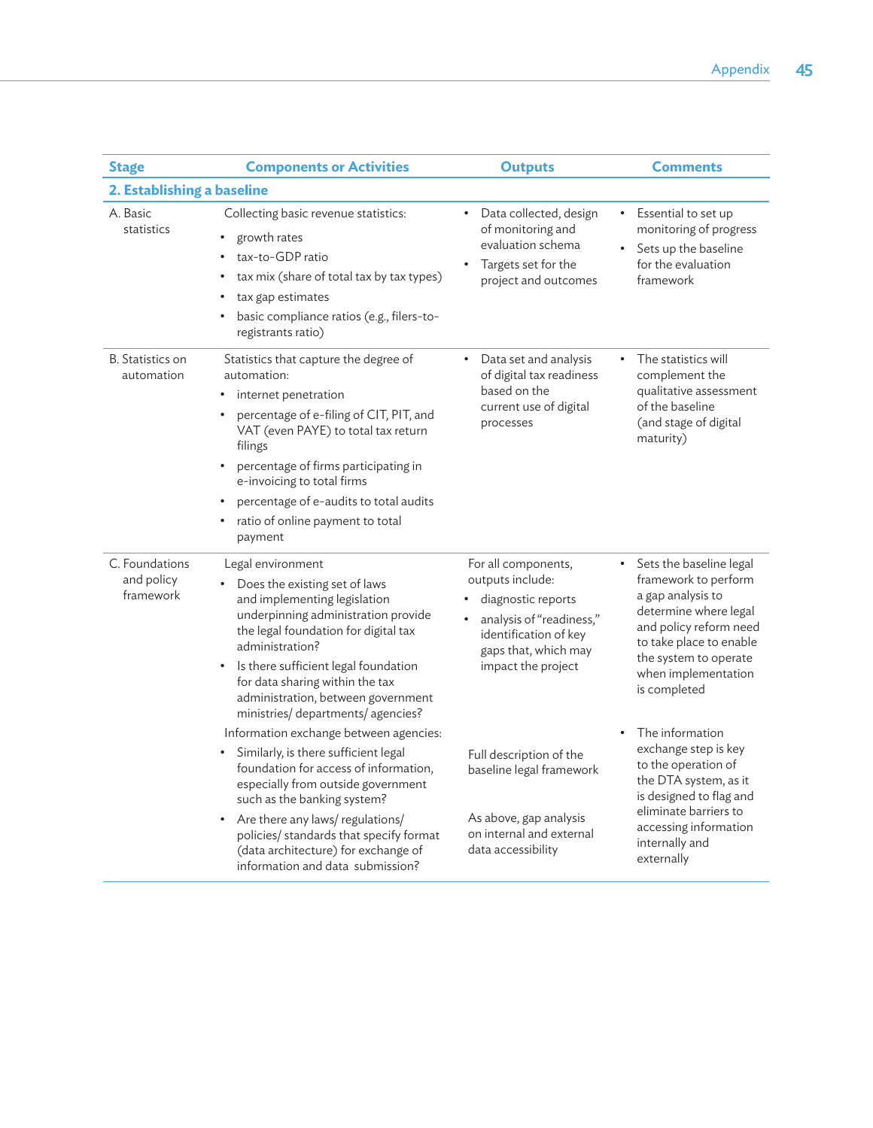| <b>Stage</b>                              | <b>Components or Activities</b>                                                                                                                                                                                                                                                                                                                                    | <b>Outputs</b>                                                                                                                                                   | <b>Comments</b>                                                                                                                                                                                                         |
|-------------------------------------------|--------------------------------------------------------------------------------------------------------------------------------------------------------------------------------------------------------------------------------------------------------------------------------------------------------------------------------------------------------------------|------------------------------------------------------------------------------------------------------------------------------------------------------------------|-------------------------------------------------------------------------------------------------------------------------------------------------------------------------------------------------------------------------|
| 2. Establishing a baseline                |                                                                                                                                                                                                                                                                                                                                                                    |                                                                                                                                                                  |                                                                                                                                                                                                                         |
| A. Basic<br>statistics                    | Collecting basic revenue statistics:<br>growth rates<br>tax-to-GDP ratio<br>tax mix (share of total tax by tax types)<br>tax gap estimates<br>basic compliance ratios (e.g., filers-to-<br>registrants ratio)                                                                                                                                                      | Data collected, design<br>٠<br>of monitoring and<br>evaluation schema<br>Targets set for the<br>project and outcomes                                             | • Essential to set up<br>monitoring of progress<br>• Sets up the baseline<br>for the evaluation<br>framework                                                                                                            |
| B. Statistics on<br>automation            | Statistics that capture the degree of<br>automation:<br>internet penetration<br>percentage of e-filing of CIT, PIT, and<br>VAT (even PAYE) to total tax return<br>filings<br>percentage of firms participating in<br>e-invoicing to total firms<br>percentage of e-audits to total audits<br>ratio of online payment to total<br>payment                           | Data set and analysis<br>of digital tax readiness<br>based on the<br>current use of digital<br>processes                                                         | The statistics will<br>٠<br>complement the<br>qualitative assessment<br>of the baseline<br>(and stage of digital<br>maturity)                                                                                           |
| C. Foundations<br>and policy<br>framework | Legal environment<br>Does the existing set of laws<br>and implementing legislation<br>underpinning administration provide<br>the legal foundation for digital tax<br>administration?<br>Is there sufficient legal foundation<br>for data sharing within the tax<br>administration, between government<br>ministries/departments/agencies?                          | For all components,<br>outputs include:<br>diagnostic reports<br>analysis of "readiness,"<br>identification of key<br>gaps that, which may<br>impact the project | Sets the baseline legal<br>٠<br>framework to perform<br>a gap analysis to<br>determine where legal<br>and policy reform need<br>to take place to enable<br>the system to operate<br>when implementation<br>is completed |
|                                           | Information exchange between agencies:<br>Similarly, is there sufficient legal<br>$\bullet$<br>foundation for access of information,<br>especially from outside government<br>such as the banking system?<br>Are there any laws/regulations/<br>policies/ standards that specify format<br>(data architecture) for exchange of<br>information and data submission? | Full description of the<br>baseline legal framework<br>As above, gap analysis<br>on internal and external<br>data accessibility                                  | The information<br>exchange step is key<br>to the operation of<br>the DTA system, as it<br>is designed to flag and<br>eliminate barriers to<br>accessing information<br>internally and<br>externally                    |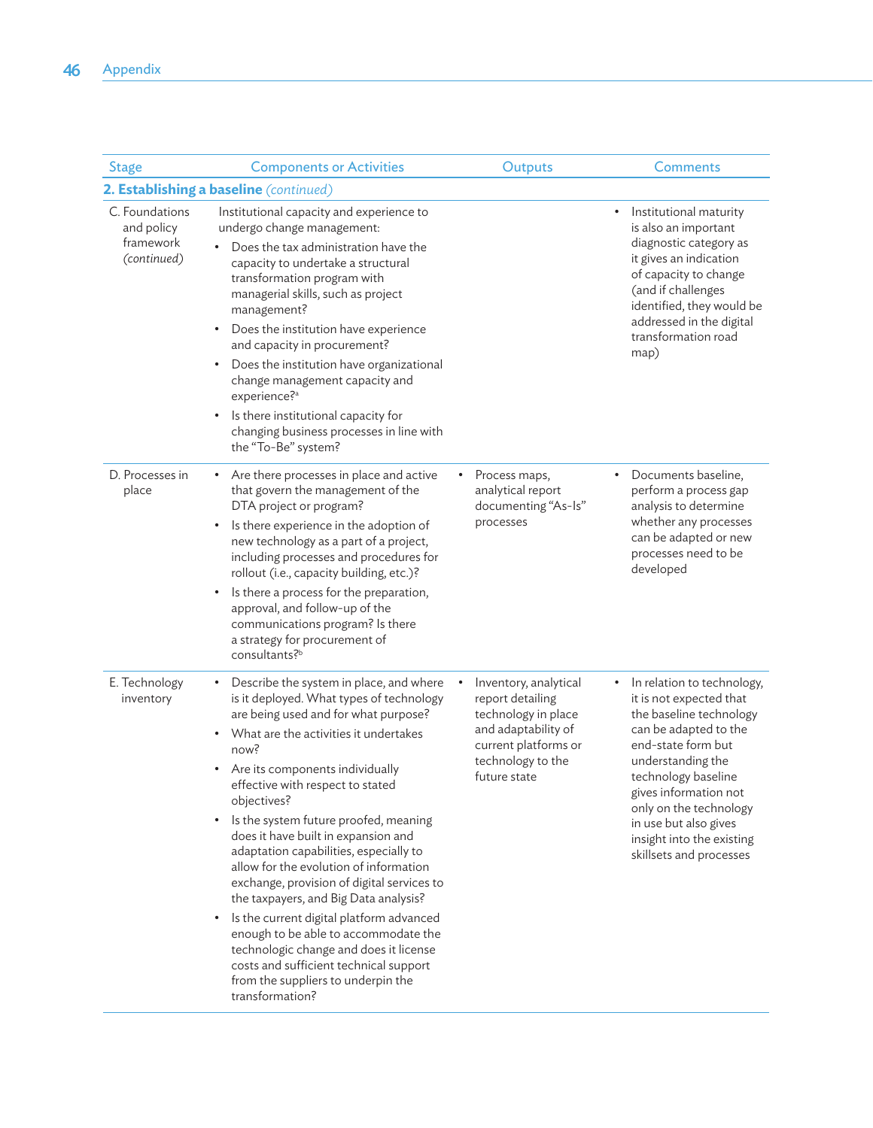| <b>Components or Activities</b><br><b>Stage</b>          |                                                                                                                                                                                                                                                                                                                                                                                                                                                                                                                                                                                                                                                                                                                                                                                          | Outputs                                                                                                                                              | <b>Comments</b>                                                                                                                                                                                                                                                                                                      |
|----------------------------------------------------------|------------------------------------------------------------------------------------------------------------------------------------------------------------------------------------------------------------------------------------------------------------------------------------------------------------------------------------------------------------------------------------------------------------------------------------------------------------------------------------------------------------------------------------------------------------------------------------------------------------------------------------------------------------------------------------------------------------------------------------------------------------------------------------------|------------------------------------------------------------------------------------------------------------------------------------------------------|----------------------------------------------------------------------------------------------------------------------------------------------------------------------------------------------------------------------------------------------------------------------------------------------------------------------|
|                                                          | 2. Establishing a baseline (continued)                                                                                                                                                                                                                                                                                                                                                                                                                                                                                                                                                                                                                                                                                                                                                   |                                                                                                                                                      |                                                                                                                                                                                                                                                                                                                      |
| C. Foundations<br>and policy<br>framework<br>(continued) | Institutional capacity and experience to<br>undergo change management:<br>Does the tax administration have the<br>capacity to undertake a structural<br>transformation program with<br>managerial skills, such as project<br>management?<br>Does the institution have experience<br>and capacity in procurement?<br>Does the institution have organizational<br>٠<br>change management capacity and<br>experience? <sup>a</sup><br>Is there institutional capacity for<br>changing business processes in line with<br>the "To-Be" system?                                                                                                                                                                                                                                                |                                                                                                                                                      | Institutional maturity<br>٠<br>is also an important<br>diagnostic category as<br>it gives an indication<br>of capacity to change<br>(and if challenges<br>identified, they would be<br>addressed in the digital<br>transformation road<br>map)                                                                       |
| D. Processes in<br>place                                 | • Are there processes in place and active<br>that govern the management of the<br>DTA project or program?<br>Is there experience in the adoption of<br>new technology as a part of a project,<br>including processes and procedures for<br>rollout (i.e., capacity building, etc.)?<br>Is there a process for the preparation,<br>٠<br>approval, and follow-up of the<br>communications program? Is there<br>a strategy for procurement of<br>consultants? <sup>b</sup>                                                                                                                                                                                                                                                                                                                  | Process maps,<br>$\bullet$<br>analytical report<br>documenting "As-Is"<br>processes                                                                  | Documents baseline,<br>٠<br>perform a process gap<br>analysis to determine<br>whether any processes<br>can be adapted or new<br>processes need to be<br>developed                                                                                                                                                    |
| E. Technology<br>inventory                               | Describe the system in place, and where<br>is it deployed. What types of technology<br>are being used and for what purpose?<br>What are the activities it undertakes<br>now?<br>Are its components individually<br>effective with respect to stated<br>objectives?<br>Is the system future proofed, meaning<br>$\bullet$<br>does it have built in expansion and<br>adaptation capabilities, especially to<br>allow for the evolution of information<br>exchange, provision of digital services to<br>the taxpayers, and Big Data analysis?<br>Is the current digital platform advanced<br>$\bullet$<br>enough to be able to accommodate the<br>technologic change and does it license<br>costs and sufficient technical support<br>from the suppliers to underpin the<br>transformation? | Inventory, analytical<br>report detailing<br>technology in place<br>and adaptability of<br>current platforms or<br>technology to the<br>future state | In relation to technology,<br>٠<br>it is not expected that<br>the baseline technology<br>can be adapted to the<br>end-state form but<br>understanding the<br>technology baseline<br>gives information not<br>only on the technology<br>in use but also gives<br>insight into the existing<br>skillsets and processes |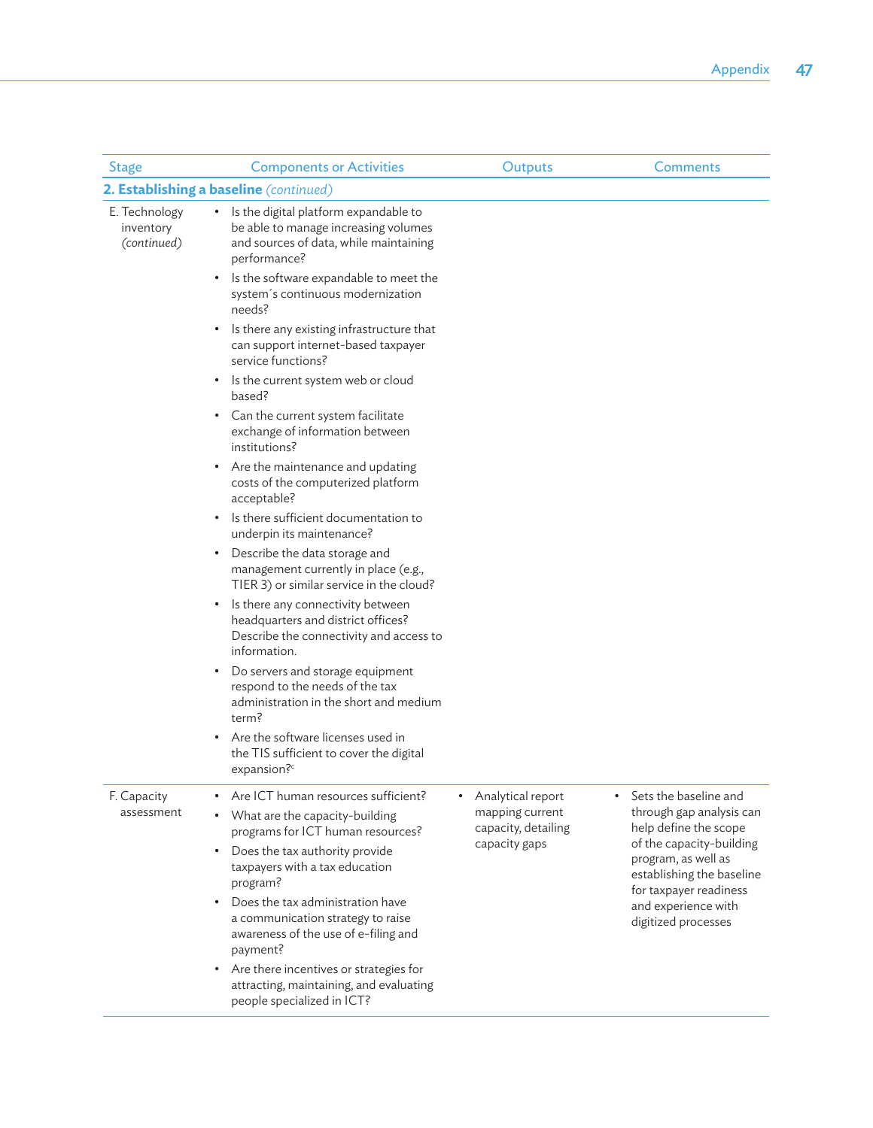| <b>Stage</b>                              | <b>Components or Activities</b>                                                                                                                 | Outputs                                | <b>Comments</b>                                                                                        |
|-------------------------------------------|-------------------------------------------------------------------------------------------------------------------------------------------------|----------------------------------------|--------------------------------------------------------------------------------------------------------|
|                                           | 2. Establishing a baseline (continued)                                                                                                          |                                        |                                                                                                        |
| E. Technology<br>inventory<br>(continued) | • Is the digital platform expandable to<br>be able to manage increasing volumes<br>and sources of data, while maintaining<br>performance?       |                                        |                                                                                                        |
|                                           | Is the software expandable to meet the<br>$\bullet$<br>system's continuous modernization<br>needs?                                              |                                        |                                                                                                        |
|                                           | Is there any existing infrastructure that<br>can support internet-based taxpayer<br>service functions?                                          |                                        |                                                                                                        |
|                                           | Is the current system web or cloud<br>٠<br>based?                                                                                               |                                        |                                                                                                        |
|                                           | Can the current system facilitate<br>exchange of information between<br>institutions?                                                           |                                        |                                                                                                        |
|                                           | Are the maintenance and updating<br>costs of the computerized platform<br>acceptable?                                                           |                                        |                                                                                                        |
|                                           | Is there sufficient documentation to<br>underpin its maintenance?                                                                               |                                        |                                                                                                        |
|                                           | Describe the data storage and<br>$\bullet$<br>management currently in place (e.g.,<br>TIER 3) or similar service in the cloud?                  |                                        |                                                                                                        |
|                                           | Is there any connectivity between<br>$\bullet$<br>headquarters and district offices?<br>Describe the connectivity and access to<br>information. |                                        |                                                                                                        |
|                                           | Do servers and storage equipment<br>respond to the needs of the tax<br>administration in the short and medium<br>term?                          |                                        |                                                                                                        |
|                                           | Are the software licenses used in<br>the TIS sufficient to cover the digital<br>expansion?c                                                     |                                        |                                                                                                        |
| F. Capacity                               | Are ICT human resources sufficient?                                                                                                             | Analytical report                      | Sets the baseline and                                                                                  |
| assessment                                | What are the capacity-building<br>programs for ICT human resources?                                                                             | mapping current<br>capacity, detailing | through gap analysis can<br>help define the scope                                                      |
|                                           | Does the tax authority provide<br>taxpayers with a tax education<br>program?                                                                    | capacity gaps                          | of the capacity-building<br>program, as well as<br>establishing the baseline<br>for taxpayer readiness |
|                                           | Does the tax administration have<br>$\bullet$<br>a communication strategy to raise<br>awareness of the use of e-filing and<br>payment?          |                                        | and experience with<br>digitized processes                                                             |
|                                           | Are there incentives or strategies for<br>$\bullet$<br>attracting, maintaining, and evaluating<br>people specialized in ICT?                    |                                        |                                                                                                        |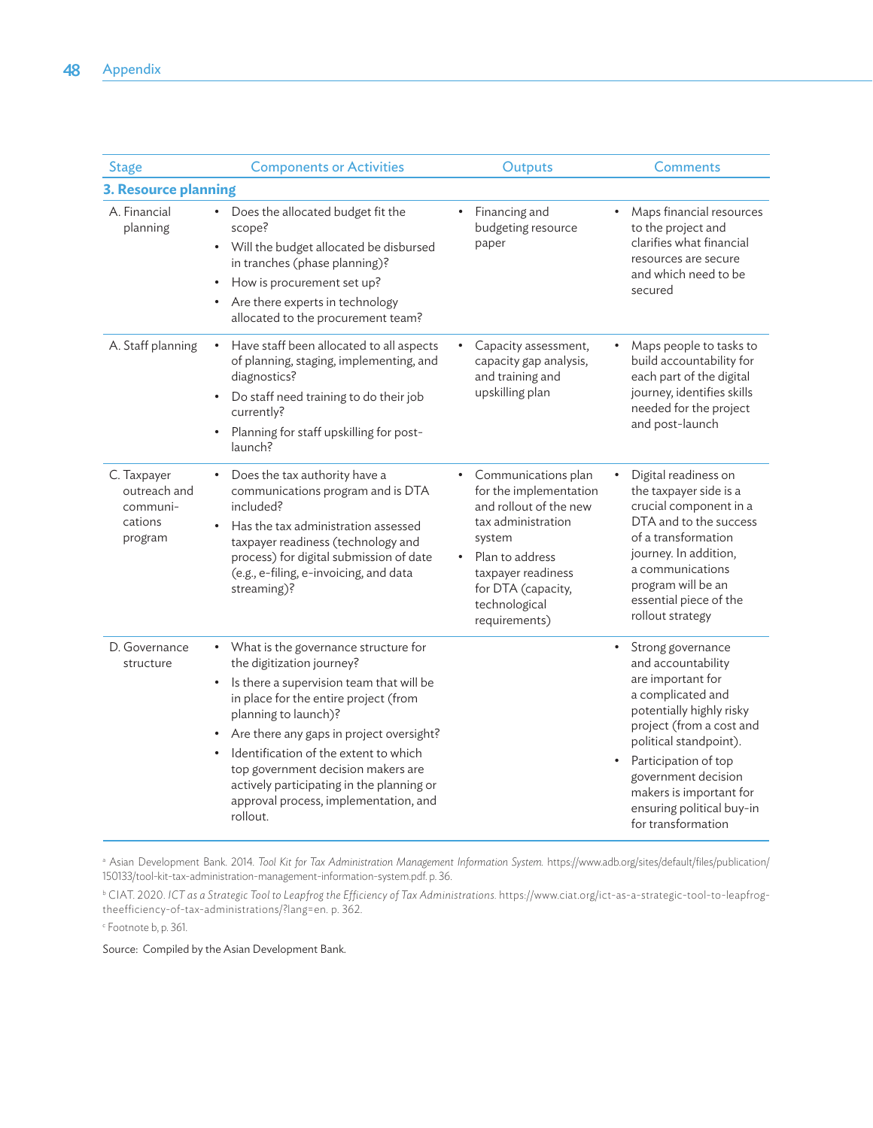| <b>Stage</b>                                                  | <b>Components or Activities</b>                                                                                                                                                                                                                                                                                                                                                                                                            | Outputs<br><b>Comments</b>                                                                                                                                                                                                         |                                                                                                                                                                                                                                                                                                               |  |
|---------------------------------------------------------------|--------------------------------------------------------------------------------------------------------------------------------------------------------------------------------------------------------------------------------------------------------------------------------------------------------------------------------------------------------------------------------------------------------------------------------------------|------------------------------------------------------------------------------------------------------------------------------------------------------------------------------------------------------------------------------------|---------------------------------------------------------------------------------------------------------------------------------------------------------------------------------------------------------------------------------------------------------------------------------------------------------------|--|
| 3. Resource planning                                          |                                                                                                                                                                                                                                                                                                                                                                                                                                            |                                                                                                                                                                                                                                    |                                                                                                                                                                                                                                                                                                               |  |
| A. Financial<br>planning                                      | Does the allocated budget fit the<br>$\bullet$<br>scope?<br>• Will the budget allocated be disbursed<br>in tranches (phase planning)?<br>How is procurement set up?<br>٠<br>Are there experts in technology<br>allocated to the procurement team?                                                                                                                                                                                          | Financing and<br>٠<br>budgeting resource<br>paper                                                                                                                                                                                  | Maps financial resources<br>$\bullet$<br>to the project and<br>clarifies what financial<br>resources are secure<br>and which need to be<br>secured                                                                                                                                                            |  |
| A. Staff planning                                             | Have staff been allocated to all aspects<br>٠<br>of planning, staging, implementing, and<br>diagnostics?<br>Do staff need training to do their job<br>currently?<br>Planning for staff upskilling for post-<br>launch?                                                                                                                                                                                                                     | Capacity assessment,<br>capacity gap analysis,<br>and training and<br>upskilling plan                                                                                                                                              | Maps people to tasks to<br>build accountability for<br>each part of the digital<br>journey, identifies skills<br>needed for the project<br>and post-launch                                                                                                                                                    |  |
| C. Taxpayer<br>outreach and<br>communi-<br>cations<br>program | Does the tax authority have a<br>$\bullet$<br>communications program and is DTA<br>included?<br>Has the tax administration assessed<br>taxpayer readiness (technology and<br>process) for digital submission of date<br>(e.g., e-filing, e-invoicing, and data<br>streaming)?                                                                                                                                                              | Communications plan<br>$\bullet$<br>for the implementation<br>and rollout of the new<br>tax administration<br>system<br>Plan to address<br>$\bullet$<br>taxpayer readiness<br>for DTA (capacity,<br>technological<br>requirements) | Digital readiness on<br>the taxpayer side is a<br>crucial component in a<br>DTA and to the success<br>of a transformation<br>journey. In addition,<br>a communications<br>program will be an<br>essential piece of the<br>rollout strategy                                                                    |  |
| D. Governance<br>structure                                    | What is the governance structure for<br>٠<br>the digitization journey?<br>Is there a supervision team that will be<br>$\bullet$<br>in place for the entire project (from<br>planning to launch)?<br>Are there any gaps in project oversight?<br>Identification of the extent to which<br>$\bullet$<br>top government decision makers are<br>actively participating in the planning or<br>approval process, implementation, and<br>rollout. |                                                                                                                                                                                                                                    | Strong governance<br>$\bullet$<br>and accountability<br>are important for<br>a complicated and<br>potentially highly risky<br>project (from a cost and<br>political standpoint).<br>Participation of top<br>government decision<br>makers is important for<br>ensuring political buy-in<br>for transformation |  |

a Asian Development Bank. 2014. *Tool Kit for Tax Administration Management Information System.* [https://www.adb.org/sites/default/files/publication/](https://www.adb.org/sites/default/files/publication/150133/tool-kit-tax-administration-management-information-system.pdf) [150133/tool-kit-tax-administration-management-information-system.pdf](https://www.adb.org/sites/default/files/publication/150133/tool-kit-tax-administration-management-information-system.pdf). p. 36.

b CIAT. 2020. *ICT as a Strategic Tool to Leapfrog the Efficiency of Tax Administrations.* [https://www.ciat.org/ict-as-a-strategic-tool-to-leapfrog](https://www.ciat.org/ict-as-a-strategic-tool-to-leapfrog-theefficiency-of-tax-administrations/?lang=en)[theefficiency-of-tax-administrations/?lang=en.](https://www.ciat.org/ict-as-a-strategic-tool-to-leapfrog-theefficiency-of-tax-administrations/?lang=en) p. 362.

c Footnote b, p. 361.

Source: Compiled by the Asian Development Bank.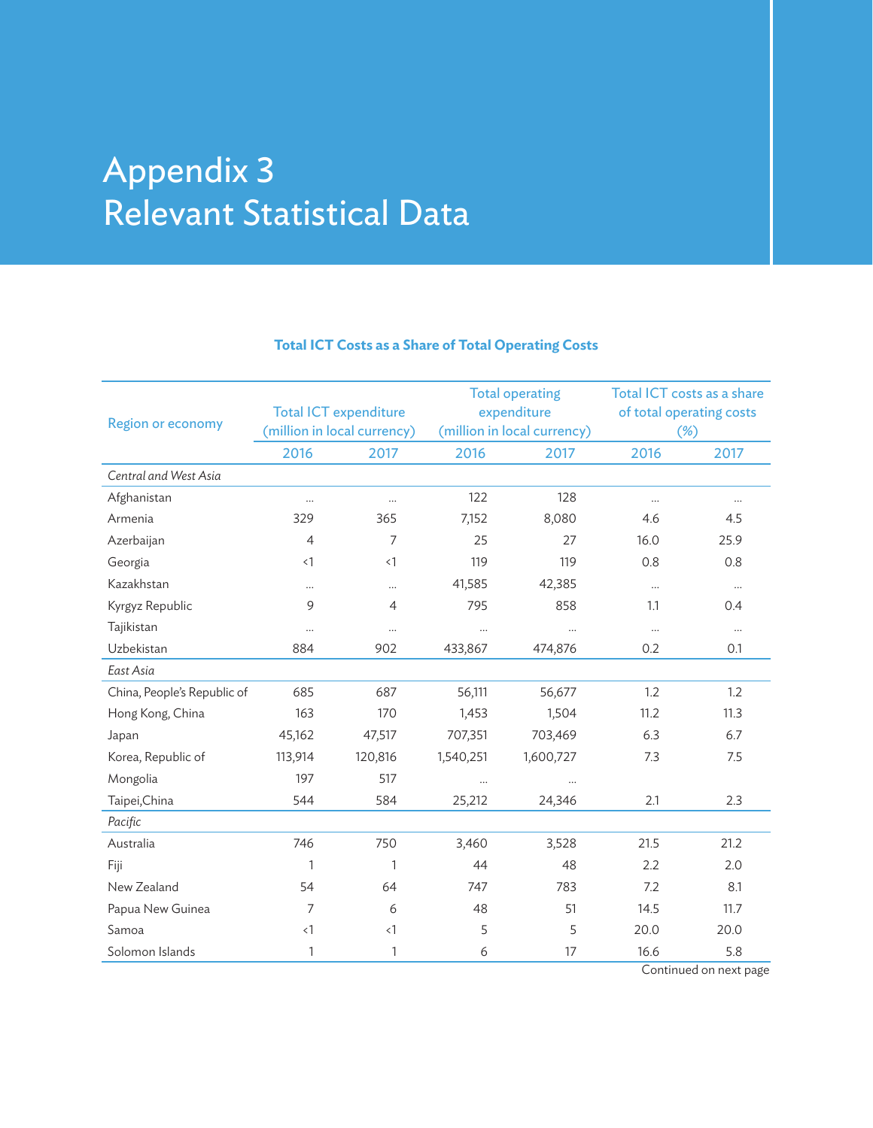## Appendix 3 Relevant Statistical Data

#### **Total ICT Costs as a Share of Total Operating Costs**

| <b>Region or economy</b>    |                | <b>Total ICT expenditure</b><br>(million in local currency) |           | <b>Total operating</b><br>expenditure<br>(million in local currency) | Total ICT costs as a share<br>of total operating costs<br>(%) |          |
|-----------------------------|----------------|-------------------------------------------------------------|-----------|----------------------------------------------------------------------|---------------------------------------------------------------|----------|
|                             | 2016           | 2017                                                        | 2016      | 2017                                                                 | 2016                                                          | 2017     |
| Central and West Asia       |                |                                                             |           |                                                                      |                                                               |          |
| Afghanistan                 | $\cdots$       | $\cdots$                                                    | 122       | 128                                                                  | $\cdots$                                                      | $\ldots$ |
| Armenia                     | 329            | 365                                                         | 7,152     | 8,080                                                                | 4.6                                                           | 4.5      |
| Azerbaijan                  | $\overline{4}$ | 7                                                           | 25        | 27                                                                   | 16.0                                                          | 25.9     |
| Georgia                     | $\langle$ 1    | $\langle$ 1                                                 | 119       | 119                                                                  | 0.8                                                           | 0.8      |
| Kazakhstan                  | $\cdots$       | $\cdots$                                                    | 41,585    | 42,385                                                               | $\cdots$                                                      | $\cdots$ |
| Kyrgyz Republic             | 9              | $\overline{4}$                                              | 795       | 858                                                                  | 1.1                                                           | 0.4      |
| Tajikistan                  | $\cdots$       | $\cdots$                                                    |           | $\cdots$                                                             | $\cdots$                                                      | $\cdots$ |
| Uzbekistan                  | 884            | 902                                                         | 433,867   | 474,876                                                              | 0.2                                                           | 0.1      |
| East Asia                   |                |                                                             |           |                                                                      |                                                               |          |
| China, People's Republic of | 685            | 687                                                         | 56,111    | 56,677                                                               | 1.2                                                           | 1.2      |
| Hong Kong, China            | 163            | 170                                                         | 1,453     | 1,504                                                                | 11.2                                                          | 11.3     |
| Japan                       | 45,162         | 47,517                                                      | 707,351   | 703,469                                                              | 6.3                                                           | 6.7      |
| Korea, Republic of          | 113,914        | 120,816                                                     | 1,540,251 | 1,600,727                                                            | 7.3                                                           | 7.5      |
| Mongolia                    | 197            | 517                                                         | $\cdots$  | $\cdots$                                                             |                                                               |          |
| Taipei, China               | 544            | 584                                                         | 25,212    | 24,346                                                               | 2.1                                                           | 2.3      |
| Pacific                     |                |                                                             |           |                                                                      |                                                               |          |
| Australia                   | 746            | 750                                                         | 3,460     | 3,528                                                                | 21.5                                                          | 21.2     |
| Fiji                        | 1              | $\mathbf{1}$                                                | 44        | 48                                                                   | 2.2                                                           | 2.0      |
| New Zealand                 | 54             | 64                                                          | 747       | 783                                                                  | 7.2                                                           | 8.1      |
| Papua New Guinea            | 7              | 6                                                           | 48        | 51                                                                   | 14.5                                                          | 11.7     |
| Samoa                       | $\langle$ 1    | $\langle$ 1                                                 | 5         | 5                                                                    | 20.0                                                          | 20.0     |
| Solomon Islands             | 1              | 1                                                           | 6         | 17                                                                   | 16.6                                                          | 5.8      |

Continued on next page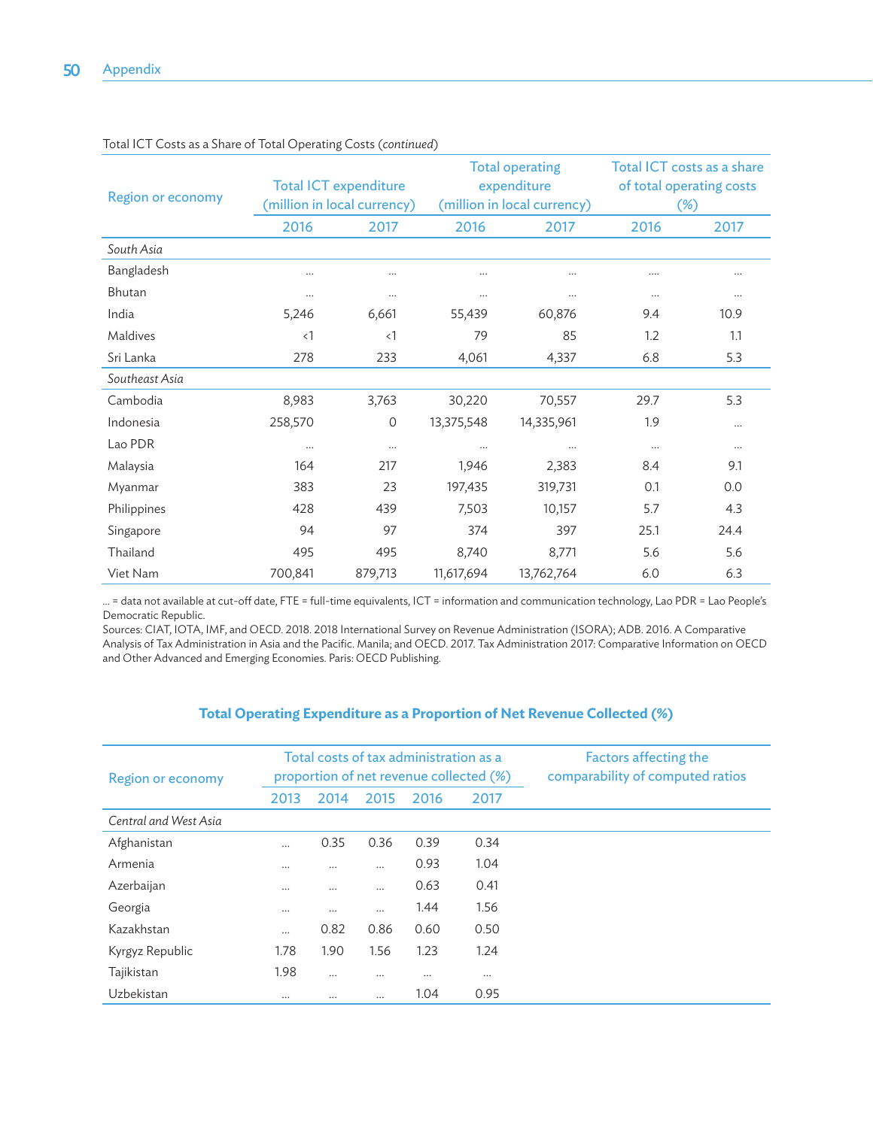| <b>Region or economy</b> |             | <b>Total ICT expenditure</b><br>(million in local currency) |            | <b>Total operating</b><br>expenditure<br>(million in local currency) |          | Total ICT costs as a share<br>of total operating costs<br>$(\%)$ |
|--------------------------|-------------|-------------------------------------------------------------|------------|----------------------------------------------------------------------|----------|------------------------------------------------------------------|
|                          | 2016        | 2017                                                        | 2016       | 2017                                                                 | 2016     | 2017                                                             |
| South Asia               |             |                                                             |            |                                                                      |          |                                                                  |
| Bangladesh               |             |                                                             |            |                                                                      |          |                                                                  |
| <b>Bhutan</b>            |             | $\cdots$                                                    |            |                                                                      | $\cdots$ | $\cdots$                                                         |
| India                    | 5,246       | 6,661                                                       | 55,439     | 60,876                                                               | 9.4      | 10.9                                                             |
| Maldives                 | $\langle$ 1 | $\langle$ 1                                                 | 79         | 85                                                                   | 1.2      | 1.1                                                              |
| Sri Lanka                | 278         | 233                                                         | 4,061      | 4,337                                                                | 6.8      | 5.3                                                              |
| Southeast Asia           |             |                                                             |            |                                                                      |          |                                                                  |
| Cambodia                 | 8,983       | 3,763                                                       | 30,220     | 70,557                                                               | 29.7     | 5.3                                                              |
| Indonesia                | 258,570     | $\circ$                                                     | 13,375,548 | 14,335,961                                                           | 1.9      | $\cdots$                                                         |
| Lao PDR                  | $\cdots$    | $\cdots$                                                    |            |                                                                      | $\cdots$ | $\cdots$                                                         |
| Malaysia                 | 164         | 217                                                         | 1,946      | 2,383                                                                | 8.4      | 9.1                                                              |
| Myanmar                  | 383         | 23                                                          | 197,435    | 319,731                                                              | 0.1      | 0.0                                                              |
| Philippines              | 428         | 439                                                         | 7,503      | 10,157                                                               | 5.7      | 4.3                                                              |
| Singapore                | 94          | 97                                                          | 374        | 397                                                                  | 25.1     | 24.4                                                             |
| Thailand                 | 495         | 495                                                         | 8,740      | 8,771                                                                | 5.6      | 5.6                                                              |
| Viet Nam                 | 700,841     | 879,713                                                     | 11,617,694 | 13,762,764                                                           | 6.0      | 6.3                                                              |

Total ICT Costs as a Share of Total Operating Costs (*continued*)

… = data not available at cut-off date, FTE = full-time equivalents, ICT = information and communication technology, Lao PDR = Lao People's Democratic Republic.

Sources: CIAT, IOTA, IMF, and OECD. 2018. 2018 International Survey on Revenue Administration (ISORA); ADB. 2016. A Comparative Analysis of Tax Administration in Asia and the Pacific. Manila; and OECD. 2017. Tax Administration 2017: Comparative Information on OECD and Other Advanced and Emerging Economies. Paris: OECD Publishing.

#### **Total Operating Expenditure as a Proportion of Net Revenue Collected (%)**

| Region or economy     |          |          |          | Total costs of tax administration as a<br>proportion of net revenue collected (%) | Factors affecting the<br>comparability of computed ratios |  |
|-----------------------|----------|----------|----------|-----------------------------------------------------------------------------------|-----------------------------------------------------------|--|
|                       | 2013     | 2014     | 2015     | 2016                                                                              | 2017                                                      |  |
| Central and West Asia |          |          |          |                                                                                   |                                                           |  |
| Afghanistan           |          | 0.35     | 0.36     | 0.39                                                                              | 0.34                                                      |  |
| Armenia               |          | $\cdots$ |          | 0.93                                                                              | 1.04                                                      |  |
| Azerbaijan            |          | $\cdots$ |          | 0.63                                                                              | 0.41                                                      |  |
| Georgia               | $\cdots$ | $\cdots$ | $\cdots$ | 1.44                                                                              | 1.56                                                      |  |
| Kazakhstan            |          | 0.82     | 0.86     | 0.60                                                                              | 0.50                                                      |  |
| Kyrgyz Republic       | 1.78     | 1.90     | 1.56     | 1.23                                                                              | 1.24                                                      |  |
| Tajikistan            | 1.98     | $\cdots$ | $\cdots$ | $\cdots$                                                                          | $\cdots$                                                  |  |
| Uzbekistan            | $\cdots$ |          | $\cdots$ | 1.04                                                                              | 0.95                                                      |  |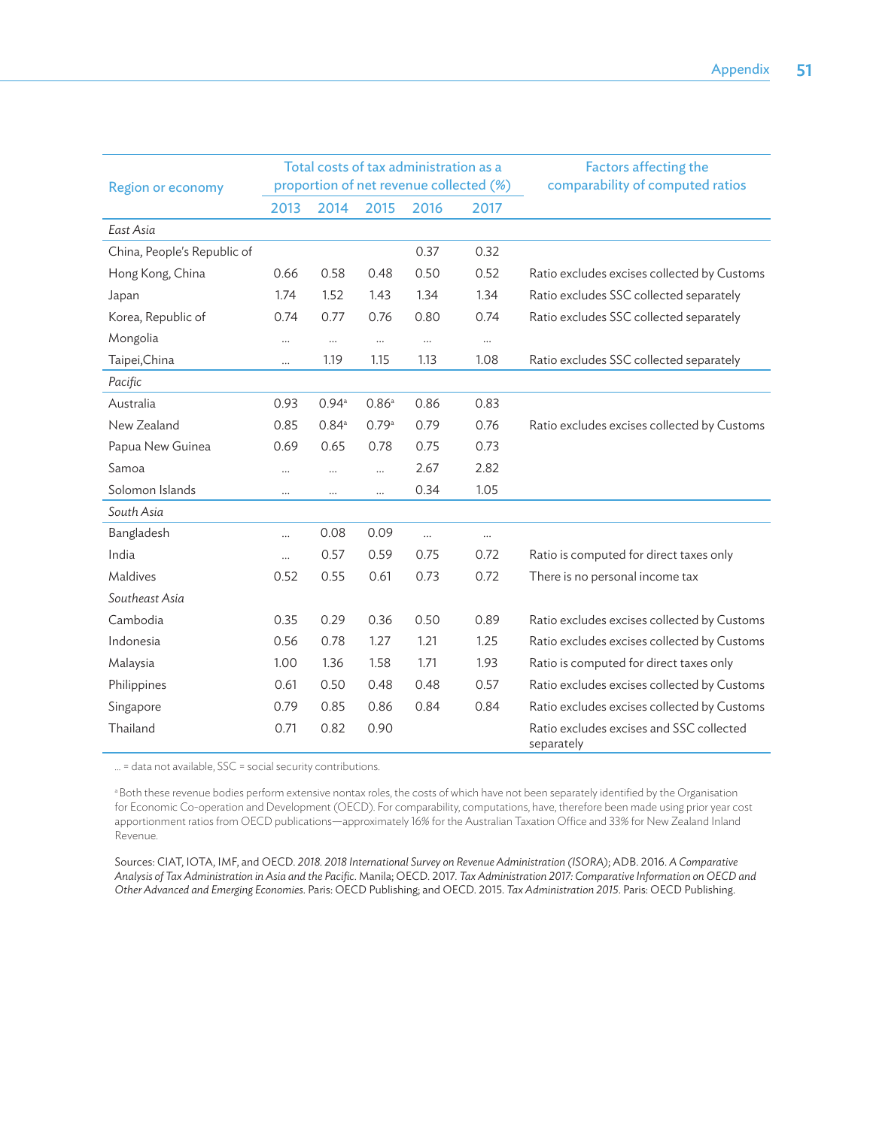|                             | Total costs of tax administration as a<br>proportion of net revenue collected (%) |          |           |            |          | <b>Factors affecting the</b><br>comparability of computed ratios |
|-----------------------------|-----------------------------------------------------------------------------------|----------|-----------|------------|----------|------------------------------------------------------------------|
| Region or economy           | 2013                                                                              | 2014     | 2015      | 2016       | 2017     |                                                                  |
| East Asia                   |                                                                                   |          |           |            |          |                                                                  |
| China, People's Republic of |                                                                                   |          |           | 0.37       | 0.32     |                                                                  |
| Hong Kong, China            | 0.66                                                                              | 0.58     | 0.48      | 0.50       | 0.52     | Ratio excludes excises collected by Customs                      |
| Japan                       | 1.74                                                                              | 1.52     | 1.43      | 1.34       | 1.34     | Ratio excludes SSC collected separately                          |
| Korea, Republic of          | 0.74                                                                              | 0.77     | 0.76      | 0.80       | 0.74     | Ratio excludes SSC collected separately                          |
| Mongolia                    | $\cdots$                                                                          | $\cdots$ | $\cdots$  | $\dddotsc$ | $\cdots$ |                                                                  |
| Taipei, China               | $\cdots$                                                                          | 1.19     | 1.15      | 1.13       | 1.08     | Ratio excludes SSC collected separately                          |
| Pacific                     |                                                                                   |          |           |            |          |                                                                  |
| Australia                   | 0.93                                                                              | 0.94a    | 0.86a     | 0.86       | 0.83     |                                                                  |
| New Zealand                 | 0.85                                                                              | 0.84a    | 0.79a     | 0.79       | 0.76     | Ratio excludes excises collected by Customs                      |
| Papua New Guinea            | 0.69                                                                              | 0.65     | 0.78      | 0.75       | 0.73     |                                                                  |
| Samoa                       |                                                                                   |          | $\ddotsc$ | 2.67       | 2.82     |                                                                  |
| Solomon Islands             | $\cdots$                                                                          | $\cdots$ | $\cdots$  | 0.34       | 1.05     |                                                                  |
| South Asia                  |                                                                                   |          |           |            |          |                                                                  |
| Bangladesh                  | $\cdots$                                                                          | 0.08     | 0.09      | $\cdots$   |          |                                                                  |
| India                       | $\cdots$                                                                          | 0.57     | 0.59      | 0.75       | 0.72     | Ratio is computed for direct taxes only                          |
| Maldives                    | 0.52                                                                              | 0.55     | 0.61      | 0.73       | 0.72     | There is no personal income tax                                  |
| Southeast Asia              |                                                                                   |          |           |            |          |                                                                  |
| Cambodia                    | 0.35                                                                              | 0.29     | 0.36      | 0.50       | 0.89     | Ratio excludes excises collected by Customs                      |
| Indonesia                   | 0.56                                                                              | 0.78     | 1.27      | 1.21       | 1.25     | Ratio excludes excises collected by Customs                      |
| Malaysia                    | 1.00                                                                              | 1.36     | 1.58      | 1.71       | 1.93     | Ratio is computed for direct taxes only                          |
| Philippines                 | 0.61                                                                              | 0.50     | 0.48      | 0.48       | 0.57     | Ratio excludes excises collected by Customs                      |
| Singapore                   | 0.79                                                                              | 0.85     | 0.86      | 0.84       | 0.84     | Ratio excludes excises collected by Customs                      |
| Thailand                    | 0.71                                                                              | 0.82     | 0.90      |            |          | Ratio excludes excises and SSC collected<br>separately           |

… = data not available, SSC = social security contributions.

a Both these revenue bodies perform extensive nontax roles, the costs of which have not been separately identified by the Organisation for Economic Co-operation and Development (OECD). For comparability, computations, have, therefore been made using prior year cost apportionment ratios from OECD publications—approximately 16% for the Australian Taxation Office and 33% for New Zealand Inland Revenue.

Sources: CIAT, IOTA, IMF, and OECD. *2018. 2018 International Survey on Revenue Administration (ISORA)*; ADB. 2016. *A Comparative Analysis of Tax Administration in Asia and the Pacific*. Manila; OECD. 2017. *Tax Administration 2017: Comparative Information on OECD and Other Advanced and Emerging Economies*. Paris: OECD Publishing; and OECD. 2015. *Tax Administration 2015*. Paris: OECD Publishing.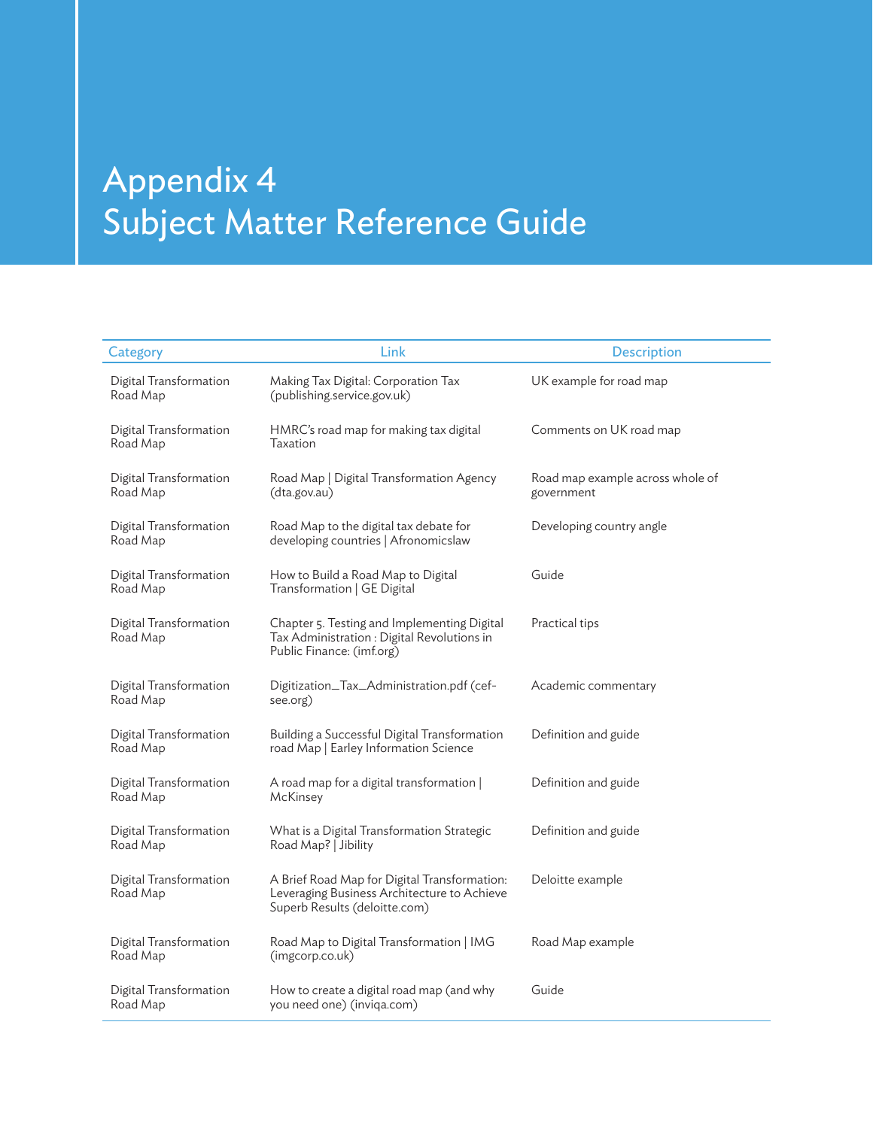## Appendix 4 Subject Matter Reference Guide

| Category                           | Link                                                                                                                         | <b>Description</b>                             |  |  |
|------------------------------------|------------------------------------------------------------------------------------------------------------------------------|------------------------------------------------|--|--|
| Digital Transformation<br>Road Map | Making Tax Digital: Corporation Tax<br>(publishing.service.gov.uk)                                                           | UK example for road map                        |  |  |
| Digital Transformation<br>Road Map | HMRC's road map for making tax digital<br>Taxation                                                                           | Comments on UK road map                        |  |  |
| Digital Transformation<br>Road Map | Road Map   Digital Transformation Agency<br>(dta.gov.au)                                                                     | Road map example across whole of<br>government |  |  |
| Digital Transformation<br>Road Map | Road Map to the digital tax debate for<br>developing countries   Afronomicslaw                                               | Developing country angle                       |  |  |
| Digital Transformation<br>Road Map | How to Build a Road Map to Digital<br>Transformation   GE Digital                                                            | Guide                                          |  |  |
| Digital Transformation<br>Road Map | Chapter 5. Testing and Implementing Digital<br>Tax Administration : Digital Revolutions in<br>Public Finance: (imf.org)      | Practical tips                                 |  |  |
| Digital Transformation<br>Road Map | Digitization_Tax_Administration.pdf (cef-<br>see.org)                                                                        | Academic commentary                            |  |  |
| Digital Transformation<br>Road Map | Building a Successful Digital Transformation<br>road Map   Earley Information Science                                        | Definition and guide                           |  |  |
| Digital Transformation<br>Road Map | A road map for a digital transformation  <br>McKinsey                                                                        | Definition and guide                           |  |  |
| Digital Transformation<br>Road Map | What is a Digital Transformation Strategic<br>Road Map?   Jibility                                                           | Definition and guide                           |  |  |
| Digital Transformation<br>Road Map | A Brief Road Map for Digital Transformation:<br>Leveraging Business Architecture to Achieve<br>Superb Results (deloitte.com) | Deloitte example                               |  |  |
| Digital Transformation<br>Road Map | Road Map to Digital Transformation   IMG<br>(imgcorp.co.uk)                                                                  | Road Map example                               |  |  |
| Digital Transformation<br>Road Map | How to create a digital road map (and why<br>you need one) (inviqa.com)                                                      | Guide                                          |  |  |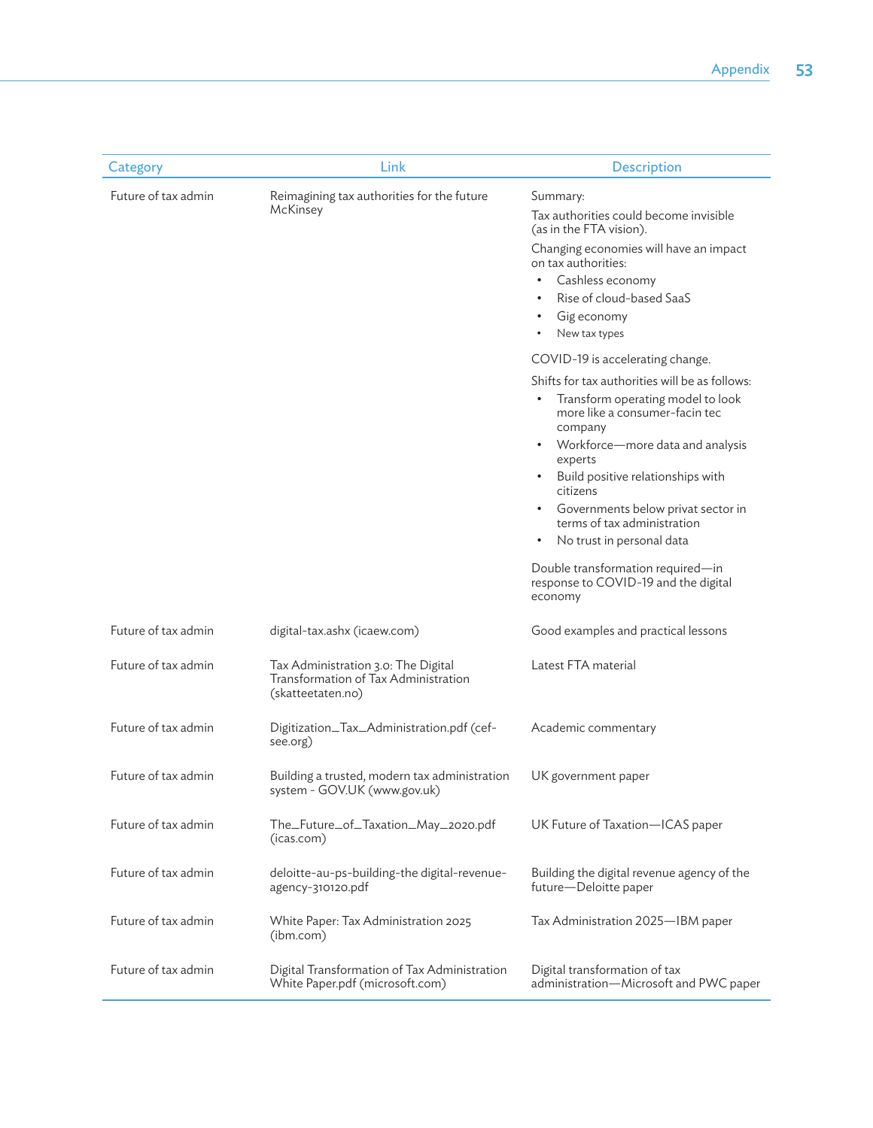| Category            | Link                                                                                             | <b>Description</b>                                                                                                                                         |  |  |
|---------------------|--------------------------------------------------------------------------------------------------|------------------------------------------------------------------------------------------------------------------------------------------------------------|--|--|
| Future of tax admin | Reimagining tax authorities for the future<br>McKinsey                                           | Summary:<br>Tax authorities could become invisible<br>(as in the FTA vision).                                                                              |  |  |
|                     |                                                                                                  | Changing economies will have an impact<br>on tax authorities:<br>Cashless economy<br>Rise of cloud-based SaaS<br>Gig economy<br>$\bullet$<br>New tax types |  |  |
|                     |                                                                                                  | COVID-19 is accelerating change.                                                                                                                           |  |  |
|                     |                                                                                                  | Shifts for tax authorities will be as follows:<br>Transform operating model to look<br>more like a consumer-facin tec<br>company                           |  |  |
|                     |                                                                                                  | • Workforce-more data and analysis<br>experts<br>Build positive relationships with                                                                         |  |  |
|                     |                                                                                                  | citizens<br>Governments below privat sector in                                                                                                             |  |  |
|                     |                                                                                                  | terms of tax administration<br>No trust in personal data                                                                                                   |  |  |
|                     |                                                                                                  | Double transformation required-in<br>response to COVID-19 and the digital<br>economy                                                                       |  |  |
| Future of tax admin | digital-tax.ashx (icaew.com)                                                                     | Good examples and practical lessons                                                                                                                        |  |  |
| Future of tax admin | Tax Administration 3.0: The Digital<br>Transformation of Tax Administration<br>(skatteetaten.no) | Latest FTA material                                                                                                                                        |  |  |
| Future of tax admin | Digitization_Tax_Administration.pdf (cef-<br>see.org)                                            | Academic commentary                                                                                                                                        |  |  |
| Future of tax admin | Building a trusted, modern tax administration<br>system - GOV.UK (www.gov.uk)                    | UK government paper                                                                                                                                        |  |  |
| Future of tax admin | The_Future_of_Taxation_May_2020.pdf<br>(icas.com)                                                | UK Future of Taxation-ICAS paper                                                                                                                           |  |  |
| Future of tax admin | deloitte-au-ps-building-the digital-revenue-<br>agency-310120.pdf                                | Building the digital revenue agency of the<br>future-Deloitte paper                                                                                        |  |  |
| Future of tax admin | White Paper: Tax Administration 2025<br>(ibm.com)                                                | Tax Administration 2025–IBM paper                                                                                                                          |  |  |
| Future of tax admin | Digital Transformation of Tax Administration<br>White Paper.pdf (microsoft.com)                  | Digital transformation of tax<br>administration-Microsoft and PWC paper                                                                                    |  |  |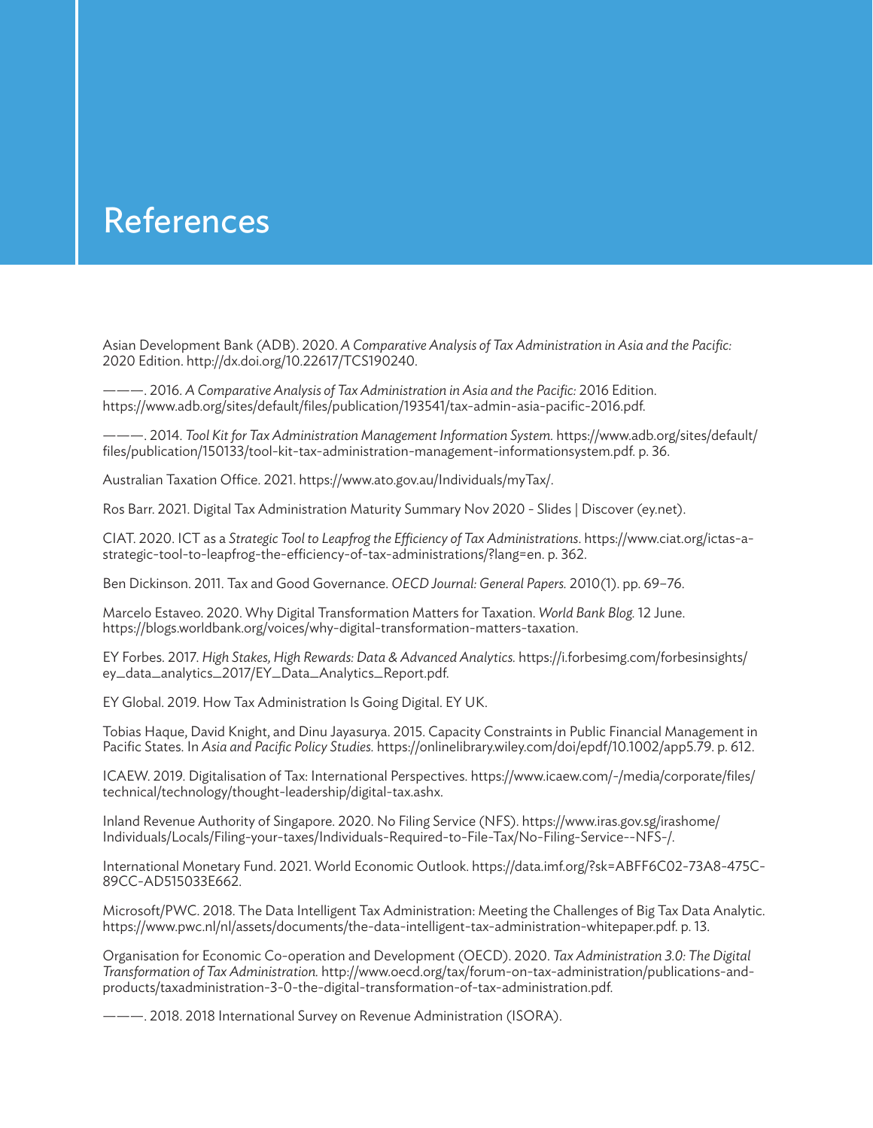## **References**

Asian Development Bank (ADB). 2020. *A Comparative Analysis of Tax Administration in Asia and the Pacific:* 2020 Edition. <http://dx.doi.org/10.22617/TCS190240>.

———. 2016. *A Comparative Analysis of Tax Administration in Asia and the Pacific:* 2016 Edition. <https://www.adb.org/sites/default/files/publication/193541/tax-admin-asia-pacific-2016.pdf>.

———. 2014. *Tool Kit for Tax Administration Management Information System.* [https://www.adb.org/sites/default/](https://www.adb.org/sites/default/files/publication/150133/tool-kit-tax-administration-management-informationsystem.pdf) [files/publication/150133/tool-kit-tax-administration-management-informationsystem.pdf.](https://www.adb.org/sites/default/files/publication/150133/tool-kit-tax-administration-management-informationsystem.pdf) p. 36.

Australian Taxation Office. 2021. <https://www.ato.gov.au/Individuals/myTax/>.

Ros Barr. 2021. Digital Tax Administration Maturity Summary Nov 2020 - Slides | Discover (ey.net).

CIAT. 2020. ICT as a *Strategic Tool to Leapfrog the Efficiency of Tax Administrations*. [https://www.ciat.org/ictas-a](https://www.ciat.org/ict-as-a-strategic-tool-to-leapfrog-the-efficiency-of-tax-administrations/?lang=en)[strategic-tool-to-leapfrog-the-efficiency-of-tax-administrations/?lang=en. p. 362.](https://www.ciat.org/ict-as-a-strategic-tool-to-leapfrog-the-efficiency-of-tax-administrations/?lang=en)

Ben Dickinson. 2011. Tax and Good Governance. *OECD Journal: General Papers.* 2010(1). pp. 69–76.

Marcelo Estaveo. 2020. Why Digital Transformation Matters for Taxation. *World Bank Blog.* 12 June. [https://blogs.worldbank.org/voices/why-digital-transformation-matt](https://blogs.worldbank.org/voices/why-digital-transformation-matters-taxation)ers-taxation.

EY Forbes. 2017. *High Stakes, High Rewards: Data & Advanced Analytics.* [https://i.forbesimg.com/forbesinsights/](https://i.forbesimg.com/forbesinsights/ey_data_analytics_2017/EY_Data_Analytics_Report.pdf) [ey\\_data\\_analytics\\_2017/EY\\_Data\\_Analytics\\_Report.pdf](https://i.forbesimg.com/forbesinsights/ey_data_analytics_2017/EY_Data_Analytics_Report.pdf).

EY Global. 2019. How Tax Administration Is Going Digital. EY UK.

Tobias Haque, David Knight, and Dinu Jayasurya. 2015. Capacity Constraints in Public Financial Management in Pacific States. In *Asia and Pacific Policy Studies.* [https://onlinelibrary.wiley.com/doi/epdf/10.1002/app5.79. p. 612](https://onlinelibrary.wiley.com/doi/epdf/10.1002/app5.79).

ICAEW. 2019. Digitalisation of Tax: International Perspectives. [https://www.icaew.com/-/media/corporate/files/](https://www.icaew.com/-/media/corporate/files/technical/technology/thought-leadership/digital-tax.ashx) [technical/technology/thought-leadership/digital-tax.ashx.](https://www.icaew.com/-/media/corporate/files/technical/technology/thought-leadership/digital-tax.ashx)

Inland Revenue Authority of Singapore. 2020. No Filing Service (NFS). [https://www.iras.gov.sg/irashome/](https://www.iras.gov.sg/irashome/Individuals/Locals/Filing-your-taxes/Individuals-Required-to-File-Tax/No-Filing-Service--NFS-/) [Individuals/Locals/Filing-your-taxes/Individuals-Required-to-File-Tax/No-Filing-Service--NFS-/](https://www.iras.gov.sg/irashome/Individuals/Locals/Filing-your-taxes/Individuals-Required-to-File-Tax/No-Filing-Service--NFS-/).

International Monetary Fund. 2021. World Economic Outlook. [https://data.imf.org/?sk=ABFF6C02-73A8-475C-](https://data.imf.org/?sk=ABFF6C02-73A8-475C-89CC-AD515033E662)[89CC-AD515033E662.](https://data.imf.org/?sk=ABFF6C02-73A8-475C-89CC-AD515033E662)

Microsoft/PWC. 2018. The Data Intelligent Tax Administration: Meeting the Challenges of Big Tax Data Analytic. [https://www.pwc.nl/nl/assets/documents/the-data-intelligent-tax-administration-whitepaper.pdf.](https://www.pwc.nl/nl/assets/documents/the-data-intelligent-tax-administration-whitepaper.pdf) p. 13.

Organisation for Economic Co-operation and Development (OECD). 2020. *Tax Administration 3.0: The Digital Transformation of Tax Administration.* [http://www.oecd.org/tax/forum-on-tax-administration/publications-and](http://www.oecd.org/tax/forum-on-tax-administration/publications-and-products/taxadministration-3-0-the-digital-transformation-of-tax-administration.pdf)[products/taxadministration-3-0-the-digital-transformation-of-tax-administration.pdf](http://www.oecd.org/tax/forum-on-tax-administration/publications-and-products/taxadministration-3-0-the-digital-transformation-of-tax-administration.pdf).

———. 2018. 2018 International Survey on Revenue Administration (ISORA).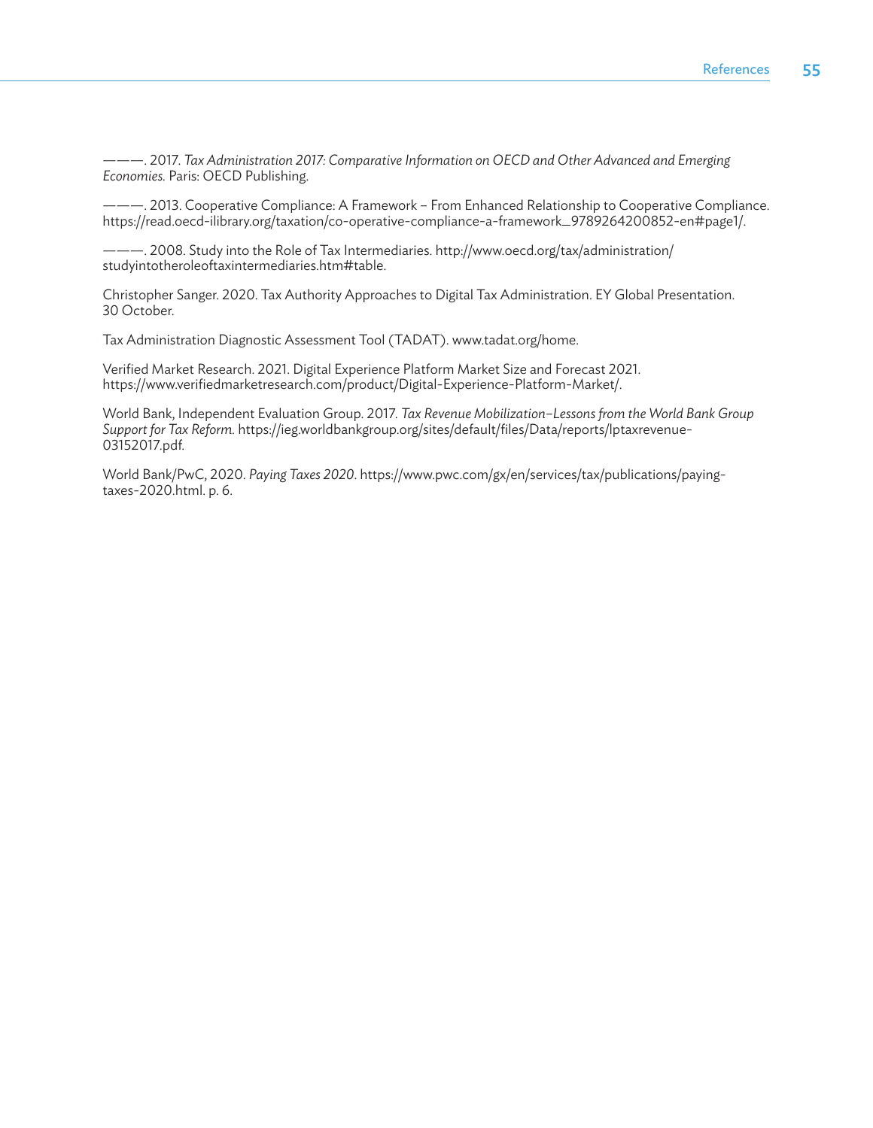———. 2017. *Tax Administration 2017: Comparative Information on OECD and Other Advanced and Emerging Economies.* Paris: OECD Publishing.

———. 2013. Cooperative Compliance: A Framework – From Enhanced Relationship to Cooperative Compliance. [https://read.oecd-ilibrary.org/taxation/co-operative-compliance-a-framework\\_9789264200852-en#page1/](https://read.oecd-ilibrary.org/taxation/co-operative-compliance-a-framework_9789264200852-en#page1/).

———. 2008. Study into the Role of Tax Intermediaries. [http://www.oecd.org/tax/administration/](http://www.oecd.org/tax/administration/studyintotheroleoftaxintermediaries.htm#table) [studyintotheroleoftaxintermediaries.htm#table](http://www.oecd.org/tax/administration/studyintotheroleoftaxintermediaries.htm#table).

Christopher Sanger. 2020. Tax Authority Approaches to Digital Tax Administration. EY Global Presentation. 30 October.

Tax Administration Diagnostic Assessment Tool (TADAT).<www.tadat.org/home>.

Verified Market Research. 2021. Digital Experience Platform Market Size and Forecast 2021. <https://www.verifiedmarketresearch.com/product/Digital-Experience-Platform-Market/>.

World Bank, Independent Evaluation Group. 2017. *Tax Revenue Mobilization–Lessons from the World Bank Group Support for Tax Reform.* [https://ieg.worldbankgroup.org/sites/default/files/Data/reports/lptaxrevenue-](https://ieg.worldbankgroup.org/sites/default/files/Data/reports/lptaxrevenue-03152017.pdf)[03152017.pdf](https://ieg.worldbankgroup.org/sites/default/files/Data/reports/lptaxrevenue-03152017.pdf).

World Bank/PwC, 2020. *Paying Taxes 2020*. [https://www.pwc.com/gx/en/services/tax/publications/paying](https://www.pwc.com/gx/en/services/tax/publications/paying-taxes-2020.html)[taxes-2020.html](https://www.pwc.com/gx/en/services/tax/publications/paying-taxes-2020.html). p. 6.